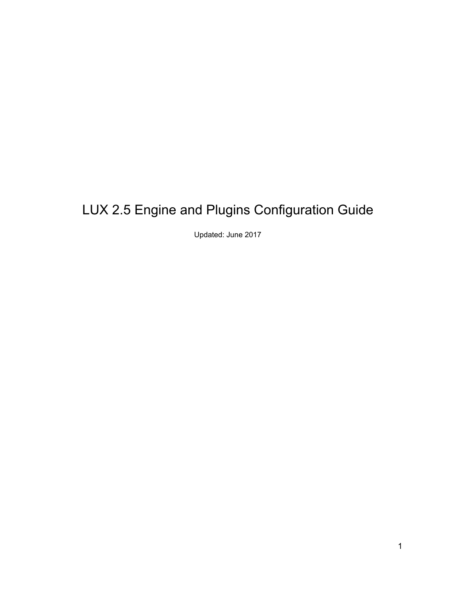# LUX 2.5 Engine and Plugins Configuration Guide

Updated: June 2017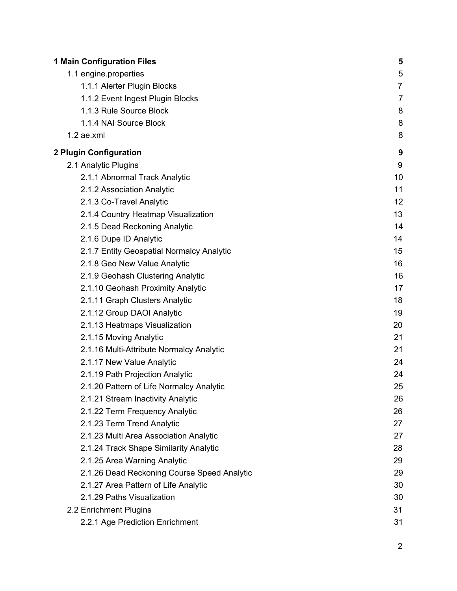| <b>1 Main Configuration Files</b>           | 5              |
|---------------------------------------------|----------------|
| 1.1 engine.properties                       | 5              |
| 1.1.1 Alerter Plugin Blocks                 | $\overline{7}$ |
| 1.1.2 Event Ingest Plugin Blocks            | $\overline{7}$ |
| 1.1.3 Rule Source Block                     | 8              |
| 1.1.4 NAI Source Block                      | 8              |
| $1.2$ ae.xml                                | 8              |
| 2 Plugin Configuration                      | 9              |
| 2.1 Analytic Plugins                        | 9              |
| 2.1.1 Abnormal Track Analytic               | 10             |
| 2.1.2 Association Analytic                  | 11             |
| 2.1.3 Co-Travel Analytic                    | 12             |
| 2.1.4 Country Heatmap Visualization         | 13             |
| 2.1.5 Dead Reckoning Analytic               | 14             |
| 2.1.6 Dupe ID Analytic                      | 14             |
| 2.1.7 Entity Geospatial Normalcy Analytic   | 15             |
| 2.1.8 Geo New Value Analytic                | 16             |
| 2.1.9 Geohash Clustering Analytic           | 16             |
| 2.1.10 Geohash Proximity Analytic           | 17             |
| 2.1.11 Graph Clusters Analytic              | 18             |
| 2.1.12 Group DAOI Analytic                  | 19             |
| 2.1.13 Heatmaps Visualization               | 20             |
| 2.1.15 Moving Analytic                      | 21             |
| 2.1.16 Multi-Attribute Normalcy Analytic    | 21             |
| 2.1.17 New Value Analytic                   | 24             |
| 2.1.19 Path Projection Analytic             | 24             |
| 2.1.20 Pattern of Life Normalcy Analytic    | 25             |
| 2.1.21 Stream Inactivity Analytic           | 26             |
| 2.1.22 Term Frequency Analytic              | 26             |
| 2.1.23 Term Trend Analytic                  | 27             |
| 2.1.23 Multi Area Association Analytic      | 27             |
| 2.1.24 Track Shape Similarity Analytic      | 28             |
| 2.1.25 Area Warning Analytic                | 29             |
| 2.1.26 Dead Reckoning Course Speed Analytic | 29             |
| 2.1.27 Area Pattern of Life Analytic        | 30             |
| 2.1.29 Paths Visualization                  | 30             |
| 2.2 Enrichment Plugins                      | 31             |
| 2.2.1 Age Prediction Enrichment             | 31             |
|                                             | 2              |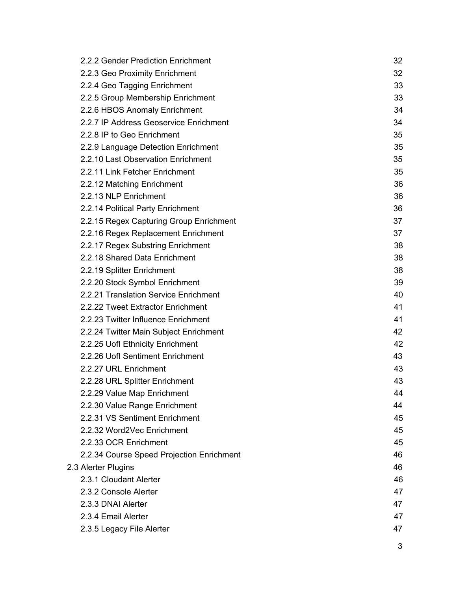$\overline{3}$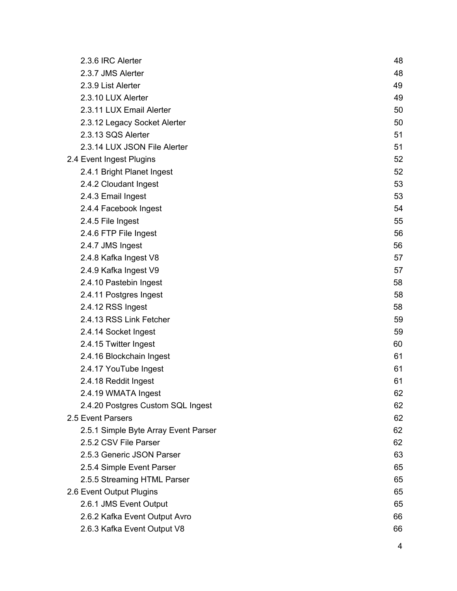| 2.3.6 IRC Alerter                    | 48 |
|--------------------------------------|----|
| 2.3.7 JMS Alerter                    | 48 |
| 2.3.9 List Alerter                   | 49 |
| 2.3.10 LUX Alerter                   | 49 |
| 2.3.11 LUX Email Alerter             | 50 |
| 2.3.12 Legacy Socket Alerter         | 50 |
| 2.3.13 SQS Alerter                   | 51 |
| 2.3.14 LUX JSON File Alerter         | 51 |
| 2.4 Event Ingest Plugins             | 52 |
| 2.4.1 Bright Planet Ingest           | 52 |
| 2.4.2 Cloudant Ingest                | 53 |
| 2.4.3 Email Ingest                   | 53 |
| 2.4.4 Facebook Ingest                | 54 |
| 2.4.5 File Ingest                    | 55 |
| 2.4.6 FTP File Ingest                | 56 |
| 2.4.7 JMS Ingest                     | 56 |
| 2.4.8 Kafka Ingest V8                | 57 |
| 2.4.9 Kafka Ingest V9                | 57 |
| 2.4.10 Pastebin Ingest               | 58 |
| 2.4.11 Postgres Ingest               | 58 |
| 2.4.12 RSS Ingest                    | 58 |
| 2.4.13 RSS Link Fetcher              | 59 |
| 2.4.14 Socket Ingest                 | 59 |
| 2.4.15 Twitter Ingest                | 60 |
| 2.4.16 Blockchain Ingest             | 61 |
| 2.4.17 YouTube Ingest                | 61 |
| 2.4.18 Reddit Ingest                 | 61 |
| 2.4.19 WMATA Ingest                  | 62 |
| 2.4.20 Postgres Custom SQL Ingest    | 62 |
| 2.5 Event Parsers                    | 62 |
| 2.5.1 Simple Byte Array Event Parser | 62 |
| 2.5.2 CSV File Parser                | 62 |
| 2.5.3 Generic JSON Parser            | 63 |
| 2.5.4 Simple Event Parser            | 65 |
| 2.5.5 Streaming HTML Parser          | 65 |
| 2.6 Event Output Plugins             | 65 |
| 2.6.1 JMS Event Output               | 65 |
| 2.6.2 Kafka Event Output Avro        | 66 |
| 2.6.3 Kafka Event Output V8          | 66 |
|                                      | 4  |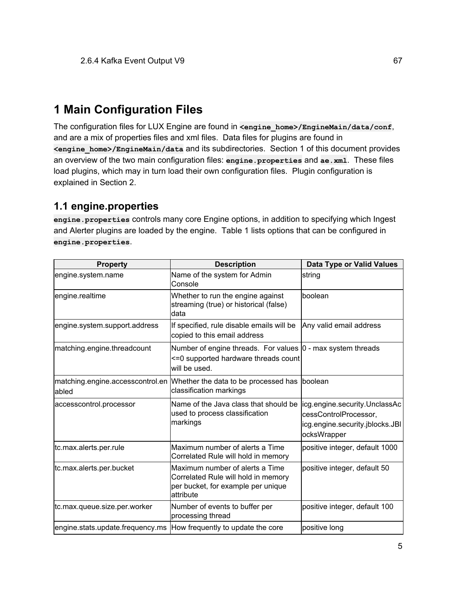# <span id="page-4-0"></span>**1 Main Configuration Files**

The configuration files for LUX Engine are found in <engine home>/EngineMain/data/conf, and are a mix of properties files and xml files. Data files for plugins are found in **<engine\_home>/EngineMain/data** and its subdirectories. Section 1 of this document provides an overview of the two main configuration files: **engine.properties** and **ae.xml**. These files load plugins, which may in turn load their own configuration files. Plugin configuration is explained in Section 2.

## <span id="page-4-1"></span>**1.1 engine.properties**

**engine.properties** controls many core Engine options, in addition to specifying which Ingest and Alerter plugins are loaded by the engine. Table 1 lists options that can be configured in **engine.properties**.

| <b>Property</b>                  | <b>Description</b>                                                                                                        | <b>Data Type or Valid Values</b>                                                                          |
|----------------------------------|---------------------------------------------------------------------------------------------------------------------------|-----------------------------------------------------------------------------------------------------------|
| engine.system.name               | Name of the system for Admin<br>Console                                                                                   | string                                                                                                    |
| engine.realtime                  | Whether to run the engine against<br>streaming (true) or historical (false)<br>data                                       | Iboolean                                                                                                  |
| engine.system.support.address    | If specified, rule disable emails will be<br>copied to this email address                                                 | Any valid email address                                                                                   |
| matching.engine.threadcount      | Number of engine threads. For values  0 - max system threads<br><= 0 supported hardware threads count<br>will be used.    |                                                                                                           |
| abled                            | matching engine accesscontrol en Whether the data to be processed has boolean<br>classification markings                  |                                                                                                           |
| accesscontrol.processor          | Name of the Java class that should be<br>used to process classification<br>markings                                       | licg.engine.security.UnclassAc<br>cessControlProcessor,<br>icg.engine.security.jblocks.JBI<br>ocksWrapper |
| tc.max.alerts.per.rule           | Maximum number of alerts a Time<br>Correlated Rule will hold in memory                                                    | positive integer, default 1000                                                                            |
| tc.max.alerts.per.bucket         | Maximum number of alerts a Time<br>Correlated Rule will hold in memory<br>per bucket, for example per unique<br>attribute | positive integer, default 50                                                                              |
| tc.max.queue.size.per.worker     | Number of events to buffer per<br>processing thread                                                                       | positive integer, default 100                                                                             |
| engine.stats.update.frequency.ms | How frequently to update the core                                                                                         | positive long                                                                                             |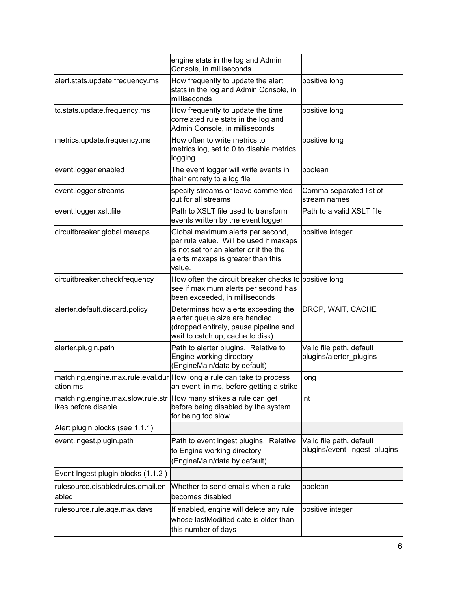|                                                                                          | engine stats in the log and Admin<br>Console, in milliseconds                                                                                                          |                                                          |
|------------------------------------------------------------------------------------------|------------------------------------------------------------------------------------------------------------------------------------------------------------------------|----------------------------------------------------------|
| alert.stats.update.frequency.ms                                                          | How frequently to update the alert<br>stats in the log and Admin Console, in<br>milliseconds                                                                           | positive long                                            |
| tc.stats.update.frequency.ms                                                             | How frequently to update the time<br>correlated rule stats in the log and<br>Admin Console, in milliseconds                                                            | positive long                                            |
| metrics.update.frequency.ms                                                              | How often to write metrics to<br>metrics.log, set to 0 to disable metrics<br>logging                                                                                   | positive long                                            |
| event.logger.enabled                                                                     | The event logger will write events in<br>their entirety to a log file                                                                                                  | boolean                                                  |
| event.logger.streams                                                                     | specify streams or leave commented<br>out for all streams                                                                                                              | Comma separated list of<br>stream names                  |
| event.logger.xslt.file                                                                   | Path to XSLT file used to transform<br>events written by the event logger                                                                                              | Path to a valid XSLT file                                |
| circuitbreaker.global.maxaps                                                             | Global maximum alerts per second,<br>per rule value. Will be used if maxaps<br>is not set for an alerter or if the the<br>alerts maxaps is greater than this<br>value. | positive integer                                         |
| circuitbreaker.checkfrequency                                                            | How often the circuit breaker checks to positive long<br>see if maximum alerts per second has<br>been exceeded, in milliseconds                                        |                                                          |
| alerter.default.discard.policy                                                           | Determines how alerts exceeding the<br>alerter queue size are handled<br>(dropped entirely, pause pipeline and<br>wait to catch up, cache to disk)                     | DROP, WAIT, CACHE                                        |
| alerter.plugin.path                                                                      | Path to alerter plugins. Relative to<br>Engine working directory<br>(EngineMain/data by default)                                                                       | Valid file path, default<br>plugins/alerter_plugins      |
| lation.ms                                                                                | matching.engine.max.rule.eval.dur How long a rule can take to process<br>an event, in ms, before getting a strike                                                      | long                                                     |
| matching engine max slow rule str How many strikes a rule can get<br>ikes.before.disable | before being disabled by the system<br>for being too slow                                                                                                              | lint                                                     |
| Alert plugin blocks (see 1.1.1)                                                          |                                                                                                                                                                        |                                                          |
| event.ingest.plugin.path                                                                 | Path to event ingest plugins. Relative<br>to Engine working directory<br>(EngineMain/data by default)                                                                  | Valid file path, default<br>plugins/event ingest plugins |
| Event Ingest plugin blocks (1.1.2)                                                       |                                                                                                                                                                        |                                                          |
| rulesource.disabledrules.email.en<br>abled                                               | Whether to send emails when a rule<br>becomes disabled                                                                                                                 | boolean                                                  |
| rulesource.rule.age.max.days                                                             | If enabled, engine will delete any rule<br>whose lastModified date is older than<br>this number of days                                                                | positive integer                                         |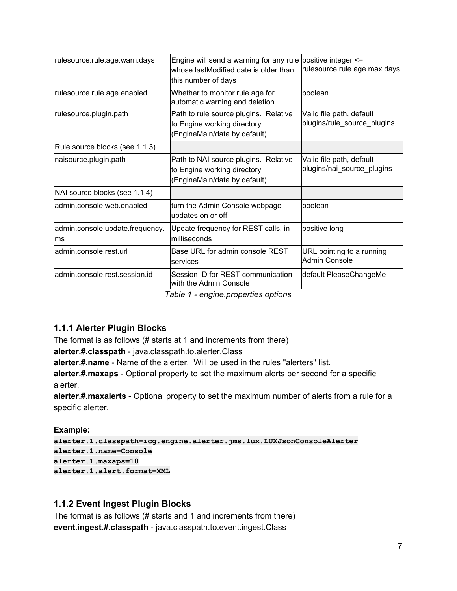| rulesource.rule.age.warn.days          | Engine will send a warning for any rule positive integer $\le$ =<br>whose lastModified date is older than<br>this number of days | rulesource.rule.age.max.days                            |
|----------------------------------------|----------------------------------------------------------------------------------------------------------------------------------|---------------------------------------------------------|
| rulesource.rule.age.enabled            | Whether to monitor rule age for<br>automatic warning and deletion                                                                | boolean                                                 |
| rulesource.plugin.path                 | Path to rule source plugins. Relative<br>to Engine working directory<br>(EngineMain/data by default)                             | Valid file path, default<br>plugins/rule_source_plugins |
| Rule source blocks (see 1.1.3)         |                                                                                                                                  |                                                         |
| naisource.plugin.path                  | Path to NAI source plugins. Relative<br>to Engine working directory<br>(EngineMain/data by default)                              | Valid file path, default<br>plugins/nai_source_plugins  |
| NAI source blocks (see 1.1.4)          |                                                                                                                                  |                                                         |
| admin.console.web.enabled              | turn the Admin Console webpage<br>updates on or off                                                                              | boolean                                                 |
| admin.console.update.frequency.<br>lms | Update frequency for REST calls, in<br>milliseconds                                                                              | positive long                                           |
| admin.console.rest.url                 | Base URL for admin console REST<br>services                                                                                      | URL pointing to a running<br>Admin Console              |
| ladmin.console.rest.session.id         | Session ID for REST communication<br>with the Admin Console                                                                      | default PleaseChangeMe                                  |

*Table 1 - engine.properties options*

## <span id="page-6-0"></span>**1.1.1 Alerter Plugin Blocks**

The format is as follows (# starts at 1 and increments from there)

**alerter.#.classpath** - java.classpath.to.alerter.Class

**alerter.#.name** - Name of the alerter. Will be used in the rules "alerters" list.

**alerter.#.maxaps** - Optional property to set the maximum alerts per second for a specific alerter.

**alerter.#.maxalerts** - Optional property to set the maximum number of alerts from a rule for a specific alerter.

**Example:**

```
alerter.1.classpath=icg.engine.alerter.jms.lux.LUXJsonConsoleAlerter
alerter.1.name=Console
alerter.1.maxaps=10
alerter.1.alert.format=XML
```
## <span id="page-6-1"></span>**1.1.2 Event Ingest Plugin Blocks**

The format is as follows (# starts and 1 and increments from there) **event.ingest.#.classpath** - java.classpath.to.event.ingest.Class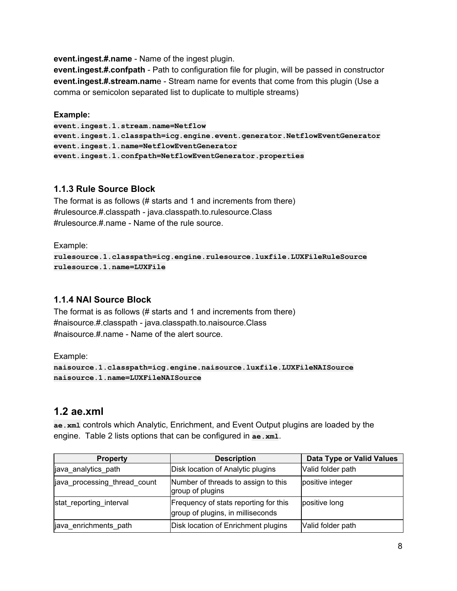**event.ingest.#.name** - Name of the ingest plugin.

**event.ingest.#.confpath** - Path to configuration file for plugin, will be passed in constructor **event.ingest.#.stream.nam**e - Stream name for events that come from this plugin (Use a comma or semicolon separated list to duplicate to multiple streams)

#### **Example:**

**event.ingest.1.stream.name=Netflow event.ingest.1.classpath=icg.engine.event.generator.NetflowEventGenerator event.ingest.1.name=NetflowEventGenerator event.ingest.1.confpath=NetflowEventGenerator.properties**

### <span id="page-7-0"></span>**1.1.3 Rule Source Block**

The format is as follows (# starts and 1 and increments from there) #rulesource.#.classpath - java.classpath.to.rulesource.Class #rulesource.#.name - Name of the rule source.

Example:

```
rulesource.1.classpath=icg.engine.rulesource.luxfile.LUXFileRuleSource
rulesource.1.name=LUXFile
```
## <span id="page-7-1"></span>**1.1.4 NAI Source Block**

The format is as follows (# starts and 1 and increments from there) #naisource.#.classpath - java.classpath.to.naisource.Class #naisource.#.name - Name of the alert source.

Example:

```
naisource.1.classpath=icg.engine.naisource.luxfile.LUXFileNAISource
naisource.1.name=LUXFileNAISource
```
## <span id="page-7-2"></span>**1.2 ae.xml**

**ae.xml** controls which Analytic, Enrichment, and Event Output plugins are loaded by the engine. Table 2 lists options that can be configured in **ae.xml**.

| <b>Property</b>              | <b>Description</b>                                                         | <b>Data Type or Valid Values</b> |
|------------------------------|----------------------------------------------------------------------------|----------------------------------|
| java_analytics_path          | Disk location of Analytic plugins                                          | Valid folder path                |
| java processing thread count | Number of threads to assign to this<br>group of plugins                    | positive integer                 |
| stat_reporting_interval      | Frequency of stats reporting for this<br>group of plugins, in milliseconds | positive long                    |
| java_enrichments_path        | Disk location of Enrichment plugins                                        | Valid folder path                |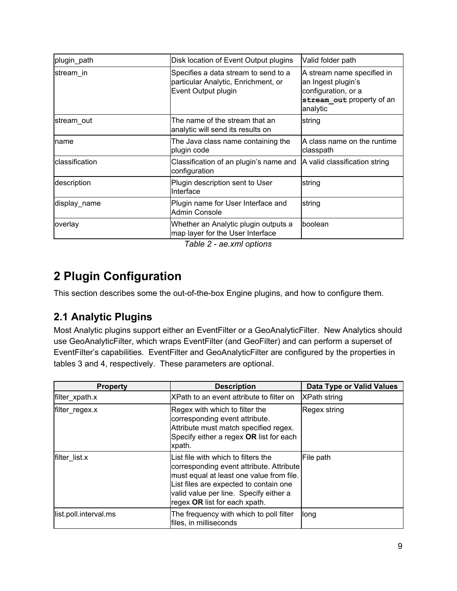| plugin_path    | Disk location of Event Output plugins                                                              | Valid folder path                                                                                                |
|----------------|----------------------------------------------------------------------------------------------------|------------------------------------------------------------------------------------------------------------------|
| stream in      | Specifies a data stream to send to a<br>particular Analytic, Enrichment, or<br>Event Output plugin | A stream name specified in<br>an Ingest plugin's<br>configuration, or a<br>stream out property of an<br>analytic |
| stream out     | The name of the stream that an<br>analytic will send its results on                                | string                                                                                                           |
| name           | The Java class name containing the<br>plugin code                                                  | A class name on the runtime<br>classpath                                                                         |
| classification | Classification of an plugin's name and<br>configuration                                            | A valid classification string                                                                                    |
| description    | Plugin description sent to User<br>Interface                                                       | string                                                                                                           |
| display name   | Plugin name for User Interface and<br><b>Admin Console</b>                                         | string                                                                                                           |
| overlay        | Whether an Analytic plugin outputs a<br>map layer for the User Interface                           | boolean                                                                                                          |

*Table 2 - ae.xml options*

# <span id="page-8-0"></span>**2 Plugin Configuration**

This section describes some the out-of-the-box Engine plugins, and how to configure them.

## <span id="page-8-1"></span>**2.1 Analytic Plugins**

Most Analytic plugins support either an EventFilter or a GeoAnalyticFilter. New Analytics should use GeoAnalyticFilter, which wraps EventFilter (and GeoFilter) and can perform a superset of EventFilter's capabilities. EventFilter and GeoAnalyticFilter are configured by the properties in tables 3 and 4, respectively. These parameters are optional.

| <b>Property</b>       | <b>Description</b>                                                                                                                                                                                                                               | <b>Data Type or Valid Values</b> |
|-----------------------|--------------------------------------------------------------------------------------------------------------------------------------------------------------------------------------------------------------------------------------------------|----------------------------------|
| filter_xpath.x        | XPath to an event attribute to filter on                                                                                                                                                                                                         | <b>XPath string</b>              |
| filter_regex.x        | Regex with which to filter the<br>corresponding event attribute.<br>Attribute must match specified regex.<br>Specify either a regex OR list for each<br>xpath.                                                                                   | Regex string                     |
| filter list.x         | List file with which to filters the<br>corresponding event attribute. Attribute<br>must equal at least one value from file.<br>List files are expected to contain one<br>valid value per line. Specify either a<br>regex OR list for each xpath. | File path                        |
| list.poll.interval.ms | The frequency with which to poll filter<br>files, in milliseconds                                                                                                                                                                                | long                             |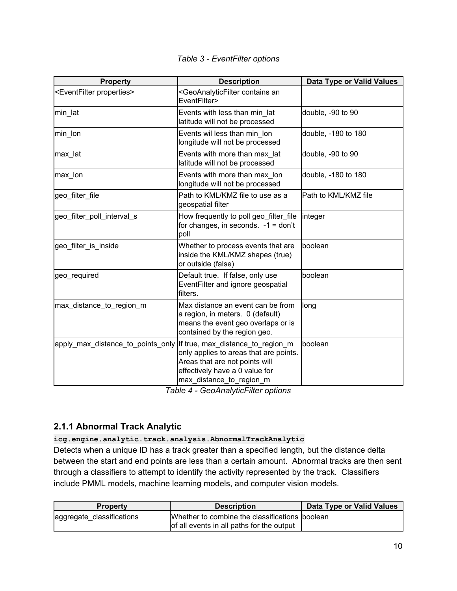|  | Table 3 - EventFilter options |  |
|--|-------------------------------|--|
|--|-------------------------------|--|

| <b>Property</b>                           | <b>Description</b>                                                                                                                                                          | <b>Data Type or Valid Values</b> |
|-------------------------------------------|-----------------------------------------------------------------------------------------------------------------------------------------------------------------------------|----------------------------------|
| <eventfilter properties=""></eventfilter> | <geoanalyticfilter an<br="" contains="">EventFilter&gt;</geoanalyticfilter>                                                                                                 |                                  |
| min lat                                   | Events with less than min lat<br>latitude will not be processed                                                                                                             | double, -90 to 90                |
| min_lon                                   | Events wil less than min lon<br>longitude will not be processed                                                                                                             | double, -180 to 180              |
| max_lat                                   | Events with more than max lat<br>latitude will not be processed                                                                                                             | double, -90 to 90                |
| max_lon                                   | Events with more than max lon<br>longitude will not be processed                                                                                                            | double, -180 to 180              |
| geo_filter_file                           | Path to KML/KMZ file to use as a<br>geospatial filter                                                                                                                       | Path to KML/KMZ file             |
| geo_filter_poll_interval_s                | How frequently to poll geo_filter_file<br>for changes, in seconds. $-1 =$ don't<br>poll                                                                                     | integer                          |
| geo filter is inside                      | Whether to process events that are<br>inside the KML/KMZ shapes (true)<br>or outside (false)                                                                                | boolean                          |
| geo_required                              | Default true. If false, only use<br>EventFilter and ignore geospatial<br>filters.                                                                                           | boolean                          |
| max_distance_to_region_m                  | Max distance an event can be from<br>a region, in meters. 0 (default)<br>means the event geo overlaps or is<br>contained by the region geo.                                 | long                             |
| apply max distance to points only         | If true, max distance to region m<br>only applies to areas that are points.<br>Areas that are not points will<br>effectively have a 0 value for<br>max distance to region m | boolean                          |

*Table 4 - GeoAnalyticFilter options*

## <span id="page-9-0"></span>**2.1.1 Abnormal Track Analytic**

**icg.engine.analytic.track.analysis.AbnormalTrackAnalytic**

Detects when a unique ID has a track greater than a specified length, but the distance delta between the start and end points are less than a certain amount. Abnormal tracks are then sent through a classifiers to attempt to identify the activity represented by the track. Classifiers include PMML models, machine learning models, and computer vision models.

| <b>Property</b>           | <b>Description</b>                                                                          | Data Type or Valid Values |
|---------------------------|---------------------------------------------------------------------------------------------|---------------------------|
| aggregate_classifications | Whether to combine the classifications boolean<br>of all events in all paths for the output |                           |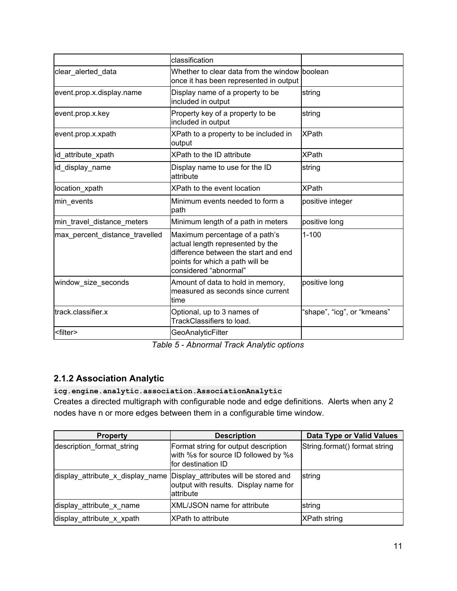|                                | classification                                                                                                                                                         |                             |  |
|--------------------------------|------------------------------------------------------------------------------------------------------------------------------------------------------------------------|-----------------------------|--|
| clear alerted data             | Whether to clear data from the window boolean<br>once it has been represented in output                                                                                |                             |  |
| event.prop.x.display.name      | Display name of a property to be<br>included in output                                                                                                                 | string                      |  |
| event.prop.x.key               | Property key of a property to be<br>included in output                                                                                                                 | string                      |  |
| event.prop.x.xpath             | XPath to a property to be included in<br>output                                                                                                                        | <b>XPath</b>                |  |
| id_attribute_xpath             | XPath to the ID attribute                                                                                                                                              | <b>XPath</b>                |  |
| id_display_name                | Display name to use for the ID<br>attribute                                                                                                                            | string                      |  |
| location xpath                 | XPath to the event location                                                                                                                                            | <b>XPath</b>                |  |
| min_events                     | Minimum events needed to form a<br>path                                                                                                                                | positive integer            |  |
| min travel distance meters     | Minimum length of a path in meters                                                                                                                                     | positive long               |  |
| max_percent_distance_travelled | Maximum percentage of a path's<br>actual length represented by the<br>difference between the start and end<br>points for which a path will be<br>considered "abnormal" | $1 - 100$                   |  |
| window size seconds            | Amount of data to hold in memory,<br>measured as seconds since current<br>ltime                                                                                        | positive long               |  |
| track.classifier.x             | Optional, up to 3 names of<br>TrackClassifiers to load.                                                                                                                | "shape", "icg", or "kmeans" |  |
| <filter></filter>              | <b>GeoAnalyticFilter</b>                                                                                                                                               |                             |  |

*Table 5 - Abnormal Track Analytic options*

## <span id="page-10-0"></span>**2.1.2 Association Analytic**

**icg.engine.analytic.association.AssociationAnalytic**

Creates a directed multigraph with configurable node and edge definitions. Alerts when any 2 nodes have n or more edges between them in a configurable time window.

| <b>Property</b>           | <b>Description</b>                                                                                                            | <b>Data Type or Valid Values</b> |  |
|---------------------------|-------------------------------------------------------------------------------------------------------------------------------|----------------------------------|--|
| description format string | Format string for output description<br>with %s for source ID followed by %s<br>Ifor destination ID                           | String.format() format string    |  |
|                           | display attribute x display name Display attributes will be stored and<br>output with results. Display name for<br>lattribute | string                           |  |
| display attribute x name  | <b>XML/JSON name for attribute</b>                                                                                            | string                           |  |
| display attribute x xpath | IXPath to attribute                                                                                                           | <b>XPath string</b>              |  |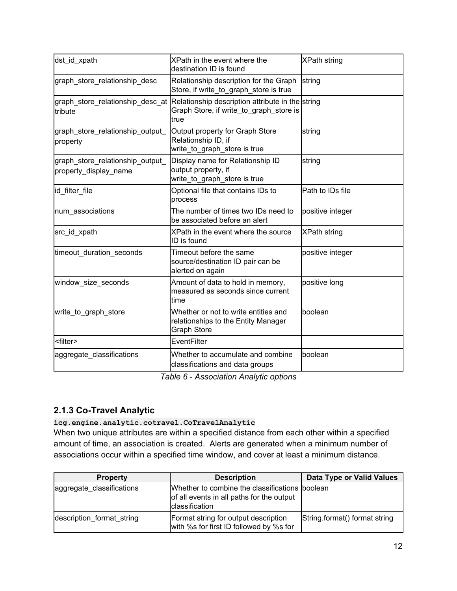| dst id xpath                                              | <b>XPath string</b><br>XPath in the event where the<br>destination ID is found                                                       |                     |  |
|-----------------------------------------------------------|--------------------------------------------------------------------------------------------------------------------------------------|---------------------|--|
| graph store relationship desc                             | Relationship description for the Graph<br>Store, if write_to_graph_store is true                                                     | string              |  |
| tribute                                                   | graph_store_relationship_desc_at Relationship description attribute in the string<br>Graph Store, if write to graph store is<br>true |                     |  |
| graph_store_relationship_output_<br>property              | Output property for Graph Store<br>Relationship ID, if<br>write_to_graph_store is true                                               | string              |  |
| graph_store_relationship_output_<br>property display name | Display name for Relationship ID<br>output property, if<br>write_to_graph_store is true                                              | string              |  |
| id_filter_file                                            | Optional file that contains IDs to<br>process                                                                                        | Path to IDs file    |  |
| num_associations                                          | The number of times two IDs need to<br>be associated before an alert                                                                 | positive integer    |  |
| src_id_xpath                                              | XPath in the event where the source<br>ID is found                                                                                   | <b>XPath string</b> |  |
| timeout duration seconds                                  | Timeout before the same<br>source/destination ID pair can be<br>alerted on again                                                     | positive integer    |  |
| window_size_seconds                                       | Amount of data to hold in memory,<br>measured as seconds since current<br>ltime                                                      | positive long       |  |
| write_to_graph_store                                      | Whether or not to write entities and<br>relationships to the Entity Manager<br><b>Graph Store</b>                                    | boolean             |  |
| <filter></filter>                                         | EventFilter                                                                                                                          |                     |  |
| aggregate_classifications                                 | Whether to accumulate and combine<br>classifications and data groups                                                                 | boolean             |  |

*Table 6 - Association Analytic options*

## <span id="page-11-0"></span>**2.1.3 Co-Travel Analytic**

#### **icg.engine.analytic.cotravel.CoTravelAnalytic**

When two unique attributes are within a specified distance from each other within a specified amount of time, an association is created. Alerts are generated when a minimum number of associations occur within a specified time window, and cover at least a minimum distance.

| <b>Property</b>           | <b>Description</b>                                                                                                   | Data Type or Valid Values     |
|---------------------------|----------------------------------------------------------------------------------------------------------------------|-------------------------------|
| aggregate classifications | Whether to combine the classifications boolean<br>of all events in all paths for the output<br><b>classification</b> |                               |
| description format string | Format string for output description<br>with %s for first ID followed by %s for                                      | String format() format string |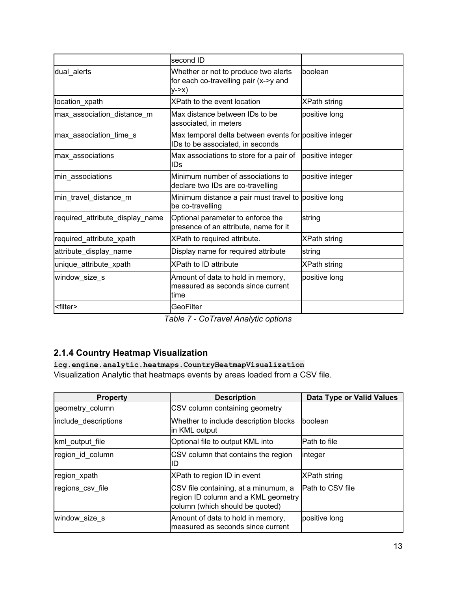|                                 | second ID                                                                                         |                     |  |
|---------------------------------|---------------------------------------------------------------------------------------------------|---------------------|--|
| dual_alerts                     | boolean<br>Whether or not to produce two alerts<br>for each co-travelling pair (x->y and<br>V > X |                     |  |
| location_xpath                  | XPath to the event location                                                                       | <b>XPath string</b> |  |
| max association distance m      | Max distance between IDs to be<br>associated, in meters                                           | positive long       |  |
| max association time s          | Max temporal delta between events for positive integer<br>IDs to be associated, in seconds        |                     |  |
| max associations                | Max associations to store for a pair of<br>ID <sub>S</sub>                                        | positive integer    |  |
| min associations                | Minimum number of associations to<br>declare two IDs are co-travelling                            | positive integer    |  |
| min_travel_distance_m           | Minimum distance a pair must travel to positive long<br>be co-travelling                          |                     |  |
| required_attribute_display_name | Optional parameter to enforce the<br>presence of an attribute, name for it                        | string              |  |
| required_attribute_xpath        | XPath to required attribute.                                                                      | <b>XPath string</b> |  |
| attribute_display_name          | Display name for required attribute                                                               | string              |  |
| unique_attribute_xpath          | <b>XPath to ID attribute</b>                                                                      | <b>XPath string</b> |  |
| window_size_s                   | Amount of data to hold in memory,<br>measured as seconds since current<br>ltime                   | positive long       |  |
| <filter></filter>               | GeoFilter                                                                                         |                     |  |

*Table 7 - CoTravel Analytic options*

## <span id="page-12-0"></span>**2.1.4 Country Heatmap Visualization**

**icg.engine.analytic.heatmaps.CountryHeatmapVisualization** Visualization Analytic that heatmaps events by areas loaded from a CSV file.

| <b>Property</b>      | <b>Data Type or Valid Values</b><br><b>Description</b>                                                         |                  |  |
|----------------------|----------------------------------------------------------------------------------------------------------------|------------------|--|
| geometry_column      | CSV column containing geometry                                                                                 |                  |  |
| include_descriptions | Whether to include description blocks<br>in KML output                                                         | boolean          |  |
| kml_output_file      | Optional file to output KML into                                                                               | Path to file     |  |
| region id column     | CSV column that contains the region<br>ID                                                                      | integer          |  |
| region_xpath         | XPath to region ID in event                                                                                    | XPath string     |  |
| regions csv file     | CSV file containing, at a minumum, a<br>region ID column and a KML geometry<br>column (which should be quoted) | Path to CSV file |  |
| window_size_s        | Amount of data to hold in memory,<br>lmeasured as seconds since current                                        | positive long    |  |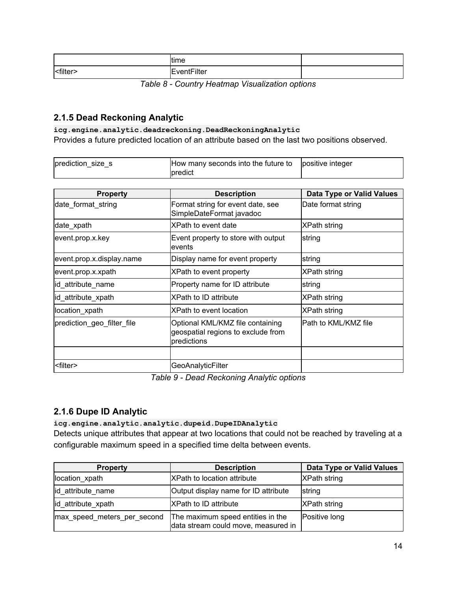|                   | time        |  |
|-------------------|-------------|--|
| <filter></filter> | EventFilter |  |

*Table 8 - Country Heatmap Visualization options*

### <span id="page-13-0"></span>**2.1.5 Dead Reckoning Analytic**

#### **icg.engine.analytic.deadreckoning.DeadReckoningAnalytic**

Provides a future predicted location of an attribute based on the last two positions observed.

| prediction_size_s | How many seconds into the future to positive integer |  |
|-------------------|------------------------------------------------------|--|
|                   | predict                                              |  |

| <b>Property</b>            | <b>Description</b>                                                                    | Data Type or Valid Values |  |
|----------------------------|---------------------------------------------------------------------------------------|---------------------------|--|
| date_format_string         | Format string for event date, see<br>SimpleDateFormat javadoc                         | Date format string        |  |
| date_xpath                 | XPath to event date                                                                   | <b>XPath string</b>       |  |
| event.prop.x.key           | Event property to store with output<br>levents                                        | string                    |  |
| event.prop.x.display.name  | Display name for event property                                                       | string                    |  |
| event.prop.x.xpath         | XPath to event property                                                               | <b>XPath string</b>       |  |
| id_attribute_name          | Property name for ID attribute                                                        | string                    |  |
| id_attribute_xpath         | XPath to ID attribute                                                                 | <b>XPath string</b>       |  |
| location_xpath             | XPath to event location                                                               | <b>XPath string</b>       |  |
| prediction geo filter file | Optional KML/KMZ file containing<br>geospatial regions to exclude from<br>predictions | Path to KML/KMZ file      |  |
|                            |                                                                                       |                           |  |
| <filter></filter>          | <b>GeoAnalyticFilter</b>                                                              |                           |  |

*Table 9 - Dead Reckoning Analytic options*

## <span id="page-13-1"></span>**2.1.6 Dupe ID Analytic**

### **icg.engine.analytic.analytic.dupeid.DupeIDAnalytic**

Detects unique attributes that appear at two locations that could not be reached by traveling at a configurable maximum speed in a specified time delta between events.

| <b>Property</b>             | <b>Description</b>                                                       | Data Type or Valid Values |  |
|-----------------------------|--------------------------------------------------------------------------|---------------------------|--|
| location_xpath              | <b>XPath to location attribute</b>                                       | <b>XPath string</b>       |  |
| id attribute_name           | Output display name for ID attribute                                     | string                    |  |
| id attribute xpath          | <b>XPath to ID attribute</b>                                             | <b>XPath string</b>       |  |
| max speed meters per second | The maximum speed entities in the<br>data stream could move, measured in | Positive long             |  |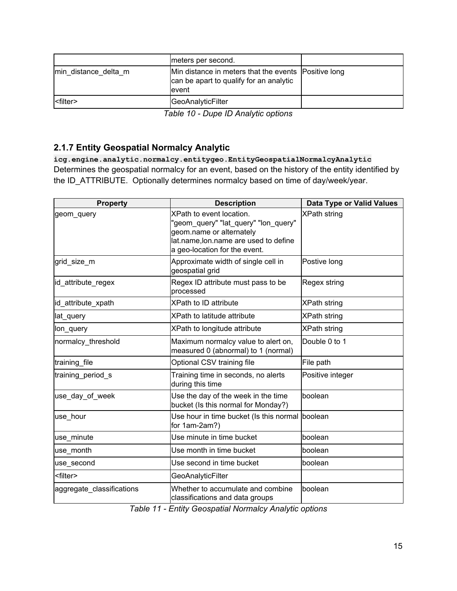|                      | meters per second.                                                                                        |  |
|----------------------|-----------------------------------------------------------------------------------------------------------|--|
| min distance delta m | Min distance in meters that the events Positive long<br>can be apart to qualify for an analytic<br>levent |  |
|                      | <b>GeoAnalyticFilter</b>                                                                                  |  |

| Table 10 - Dupe ID Analytic options |  |  |  |
|-------------------------------------|--|--|--|
|-------------------------------------|--|--|--|

## <span id="page-14-0"></span>**2.1.7 Entity Geospatial Normalcy Analytic**

**icg.engine.analytic.normalcy.entitygeo.EntityGeospatialNormalcyAnalytic** Determines the geospatial normalcy for an event, based on the history of the entity identified by the ID\_ATTRIBUTE. Optionally determines normalcy based on time of day/week/year.

| <b>Property</b>           | <b>Description</b>                                                                                                                                                     | <b>Data Type or Valid Values</b> |
|---------------------------|------------------------------------------------------------------------------------------------------------------------------------------------------------------------|----------------------------------|
| geom_query                | XPath to event location.<br>"geom_query" "lat_query" "lon_query"<br>geom.name or alternately<br>lat.name, lon.name are used to define<br>a geo-location for the event. | XPath string                     |
| grid size m               | Approximate width of single cell in<br>geospatial grid                                                                                                                 | Postive long                     |
| id attribute regex        | Regex ID attribute must pass to be<br>processed                                                                                                                        | Regex string                     |
| id attribute xpath        | <b>XPath to ID attribute</b>                                                                                                                                           | <b>XPath string</b>              |
| lat_query                 | XPath to latitude attribute                                                                                                                                            | <b>XPath string</b>              |
| lon_query                 | XPath to longitude attribute                                                                                                                                           | <b>XPath string</b>              |
| normalcy_threshold        | Maximum normalcy value to alert on,<br>measured 0 (abnormal) to 1 (normal)                                                                                             | Double 0 to 1                    |
| training file             | Optional CSV training file                                                                                                                                             | File path                        |
| training period s         | Training time in seconds, no alerts<br>during this time                                                                                                                | Positive integer                 |
| use_day_of_week           | Use the day of the week in the time<br>bucket (Is this normal for Monday?)                                                                                             | boolean                          |
| use hour                  | Use hour in time bucket (Is this normal<br>for 1am-2am?)                                                                                                               | boolean                          |
| use_minute                | Use minute in time bucket                                                                                                                                              | boolean                          |
| use month                 | Use month in time bucket                                                                                                                                               | boolean                          |
| use_second                | Use second in time bucket                                                                                                                                              | boolean                          |
| <filter></filter>         | GeoAnalyticFilter                                                                                                                                                      |                                  |
| aggregate_classifications | Whether to accumulate and combine<br>classifications and data groups                                                                                                   | boolean                          |

*Table 11 - Entity Geospatial Normalcy Analytic options*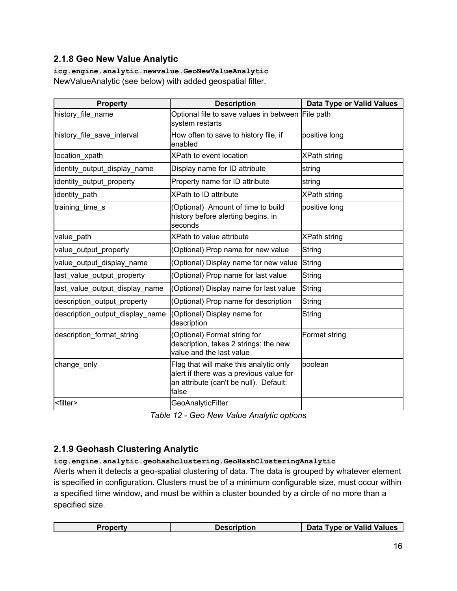## <span id="page-15-0"></span>**2.1.8 Geo New Value Analytic**

**icg.engine.analytic.newvalue.GeoNewValueAnalytic** NewValueAnalytic (see below) with added geospatial filter.

| <b>Property</b>                 | <b>Description</b>                                                                                                                   | <b>Data Type or Valid Values</b> |
|---------------------------------|--------------------------------------------------------------------------------------------------------------------------------------|----------------------------------|
| history_file_name               | Optional file to save values in between File path<br>system restarts                                                                 |                                  |
| history_file_save_interval      | How often to save to history file, if<br>enabled                                                                                     | positive long                    |
| location_xpath                  | XPath to event location                                                                                                              | <b>XPath string</b>              |
| identity_output_display_name    | Display name for ID attribute                                                                                                        | string                           |
| identity_output_property        | Property name for ID attribute                                                                                                       | string                           |
| identity path                   | XPath to ID attribute                                                                                                                | <b>XPath string</b>              |
| training_time_s                 | (Optional) Amount of time to build<br>history before alerting begins, in<br>seconds                                                  | positive long                    |
| value path                      | XPath to value attribute                                                                                                             | <b>XPath string</b>              |
| value_output_property           | (Optional) Prop name for new value                                                                                                   | String                           |
| value_output_display_name       | (Optional) Display name for new value                                                                                                | String                           |
| last_value_output_property      | (Optional) Prop name for last value                                                                                                  | String                           |
| last_value_output_display_name  | (Optional) Display name for last value                                                                                               | String                           |
| description output property     | (Optional) Prop name for description                                                                                                 | String                           |
| description_output_display_name | (Optional) Display name for<br>description                                                                                           | String                           |
| description format string       | (Optional) Format string for<br>description, takes 2 strings: the new<br>value and the last value                                    | Format string                    |
| change_only                     | Flag that will make this analytic only<br>alert if there was a previous value for<br>an attribute (can't be null). Default:<br>false | boolean                          |
| <filter></filter>               | <b>GeoAnalyticFilter</b>                                                                                                             |                                  |

*Table 12 - Geo New Value Analytic options*

## <span id="page-15-1"></span>**2.1.9 Geohash Clustering Analytic**

#### **icg.engine.analytic.geohashclustering.GeoHashClusteringAnalytic**

Alerts when it detects a geo-spatial clustering of data. The data is grouped by whatever element is specified in configuration. Clusters must be of a minimum configurable size, must occur within a specified time window, and must be within a cluster bounded by a circle of no more than a specified size.

|  | Data Type or Valid Values |
|--|---------------------------|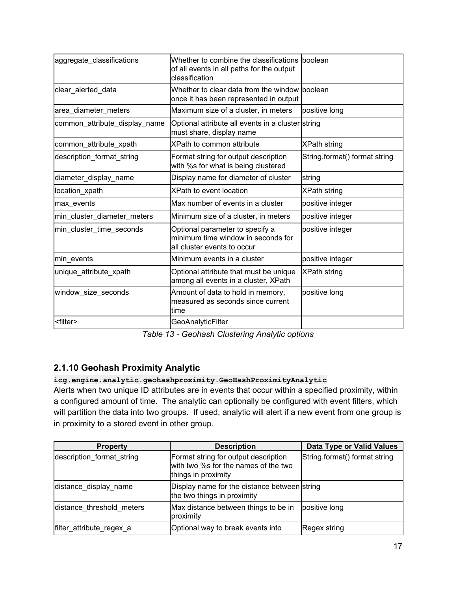| aggregate_classifications     | Whether to combine the classifications<br>of all events in all paths for the output<br>classification | boolean                       |
|-------------------------------|-------------------------------------------------------------------------------------------------------|-------------------------------|
| clear alerted data            | Whether to clear data from the window lboolean<br>once it has been represented in output              |                               |
| area_diameter_meters          | Maximum size of a cluster, in meters                                                                  | positive long                 |
| common_attribute_display_name | Optional attribute all events in a cluster string<br>must share, display name                         |                               |
| common_attribute_xpath        | XPath to common attribute                                                                             | <b>XPath string</b>           |
| description format string     | Format string for output description<br>with %s for what is being clustered                           | String.format() format string |
| diameter_display_name         | Display name for diameter of cluster                                                                  | string                        |
| location xpath                | XPath to event location                                                                               | <b>XPath string</b>           |
| max events                    | Max number of events in a cluster                                                                     | positive integer              |
| min cluster diameter meters   | Minimum size of a cluster, in meters                                                                  | positive integer              |
| min cluster time seconds      | Optional parameter to specify a<br>minimum time window in seconds for<br>all cluster events to occur  | positive integer              |
| min events                    | Minimum events in a cluster                                                                           | positive integer              |
| unique_attribute_xpath        | Optional attribute that must be unique<br>among all events in a cluster, XPath                        | XPath string                  |
| window_size_seconds           | Amount of data to hold in memory,<br>measured as seconds since current<br>time                        | positive long                 |
| <filter></filter>             | <b>GeoAnalyticFilter</b>                                                                              |                               |

*Table 13 - Geohash Clustering Analytic options*

## <span id="page-16-0"></span>**2.1.10 Geohash Proximity Analytic**

**icg.engine.analytic.geohashproximity.GeoHashProximityAnalytic**

Alerts when two unique ID attributes are in events that occur within a specified proximity, within a configured amount of time. The analytic can optionally be configured with event filters, which will partition the data into two groups. If used, analytic will alert if a new event from one group is in proximity to a stored event in other group.

| <b>Property</b>           | <b>Description</b>                                                                                  | Data Type or Valid Values     |
|---------------------------|-----------------------------------------------------------------------------------------------------|-------------------------------|
| description format string | Format string for output description<br>with two %s for the names of the two<br>things in proximity | String.format() format string |
| distance display name     | Display name for the distance between string<br>the two things in proximity                         |                               |
| distance threshold meters | Max distance between things to be in<br>proximity                                                   | positive long                 |
| filter_attribute_regex_a  | Optional way to break events into                                                                   | Regex string                  |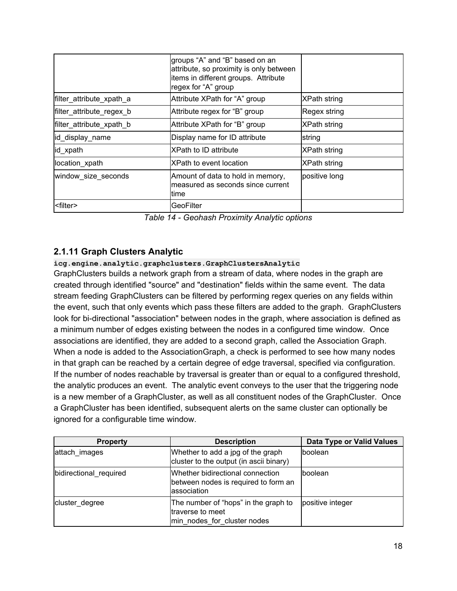|                          | groups "A" and "B" based on an<br>attribute, so proximity is only between<br>items in different groups. Attribute<br>regex for "A" group |                     |
|--------------------------|------------------------------------------------------------------------------------------------------------------------------------------|---------------------|
| filter_attribute_xpath_a | Attribute XPath for "A" group                                                                                                            | <b>XPath string</b> |
| filter_attribute_regex_b | Attribute regex for "B" group                                                                                                            | Regex string        |
| filter_attribute_xpath_b | Attribute XPath for "B" group                                                                                                            | <b>XPath string</b> |
| id_display_name          | Display name for ID attribute                                                                                                            | string              |
| id_xpath                 | <b>XPath to ID attribute</b>                                                                                                             | <b>XPath string</b> |
| location_xpath           | XPath to event location                                                                                                                  | XPath string        |
| window_size_seconds      | Amount of data to hold in memory,<br>measured as seconds since current<br>ltime                                                          | positive long       |
| <filter></filter>        | GeoFilter                                                                                                                                |                     |

*Table 14 - Geohash Proximity Analytic options*

## <span id="page-17-0"></span>**2.1.11 Graph Clusters Analytic**

### **icg.engine.analytic.graphclusters.GraphClustersAnalytic**

GraphClusters builds a network graph from a stream of data, where nodes in the graph are created through identified "source" and "destination" fields within the same event. The data stream feeding GraphClusters can be filtered by performing regex queries on any fields within the event, such that only events which pass these filters are added to the graph. GraphClusters look for bi-directional "association" between nodes in the graph, where association is defined as a minimum number of edges existing between the nodes in a configured time window. Once associations are identified, they are added to a second graph, called the Association Graph. When a node is added to the AssociationGraph, a check is performed to see how many nodes in that graph can be reached by a certain degree of edge traversal, specified via configuration. If the number of nodes reachable by traversal is greater than or equal to a configured threshold, the analytic produces an event. The analytic event conveys to the user that the triggering node is a new member of a GraphCluster, as well as all constituent nodes of the GraphCluster. Once a GraphCluster has been identified, subsequent alerts on the same cluster can optionally be ignored for a configurable time window.

| <b>Property</b>        | <b>Description</b>                                                                      | Data Type or Valid Values |
|------------------------|-----------------------------------------------------------------------------------------|---------------------------|
| attach images          | Whether to add a jpg of the graph<br>cluster to the output (in ascii binary)            | boolean                   |
| bidirectional required | Whether bidirectional connection<br>between nodes is required to form an<br>association | Iboolean                  |
| cluster degree         | The number of "hops" in the graph to<br>traverse to meet<br>min nodes for cluster nodes | positive integer          |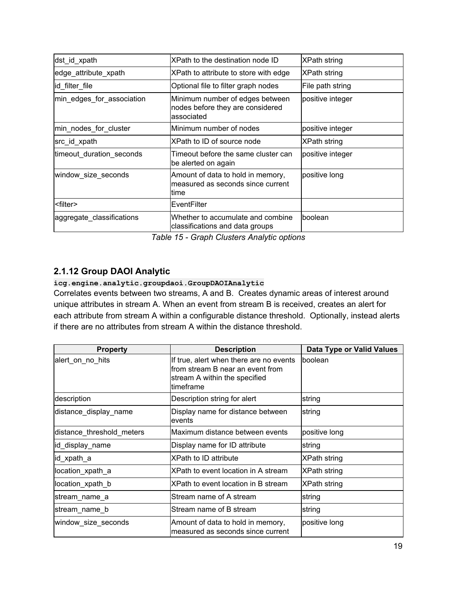| dst_id_xpath              | XPath to the destination node ID                                                  | XPath string        |
|---------------------------|-----------------------------------------------------------------------------------|---------------------|
| edge attribute xpath      | XPath to attribute to store with edge                                             | XPath string        |
| id filter file            | Optional file to filter graph nodes                                               | File path string    |
| min_edges_for_association | Minimum number of edges between<br>nodes before they are considered<br>associated | positive integer    |
| min_nodes_for_cluster     | Minimum number of nodes                                                           | positive integer    |
| src_id_xpath              | XPath to ID of source node                                                        | <b>XPath string</b> |
| timeout_duration_seconds  | Timeout before the same cluster can<br>be alerted on again                        | positive integer    |
| window_size_seconds       | Amount of data to hold in memory,<br>measured as seconds since current<br>ltime   | positive long       |
| <filter></filter>         | EventFilter                                                                       |                     |
| aggregate_classifications | Whether to accumulate and combine<br>classifications and data groups              | Iboolean            |

*Table 15 - Graph Clusters Analytic options*

## <span id="page-18-0"></span>**2.1.12 Group DAOI Analytic**

#### **icg.engine.analytic.groupdaoi.GroupDAOIAnalytic**

Correlates events between two streams, A and B. Creates dynamic areas of interest around unique attributes in stream A. When an event from stream B is received, creates an alert for each attribute from stream A within a configurable distance threshold. Optionally, instead alerts if there are no attributes from stream A within the distance threshold.

| <b>Property</b>           | <b>Description</b>                                                                                                          | Data Type or Valid Values |
|---------------------------|-----------------------------------------------------------------------------------------------------------------------------|---------------------------|
| alert_on_no_hits          | If true, alert when there are no events<br>lfrom stream B near an event from<br>stream A within the specified<br>ltimeframe | boolean                   |
| description               | Description string for alert                                                                                                | string                    |
| distance_display_name     | Display name for distance between<br>events                                                                                 | string                    |
| distance_threshold_meters | lMaximum distance between events                                                                                            | positive long             |
| id_display_name           | Display name for ID attribute                                                                                               | string                    |
| lid_xpath_a               | <b>XPath to ID attribute</b>                                                                                                | XPath string              |
| location_xpath_a          | XPath to event location in A stream                                                                                         | XPath string              |
| location_xpath_b          | XPath to event location in B stream                                                                                         | XPath string              |
| stream_name_a             | Stream name of A stream                                                                                                     | string                    |
| stream_name_b             | Stream name of B stream                                                                                                     | string                    |
| window_size_seconds       | Amount of data to hold in memory,<br>measured as seconds since current                                                      | positive long             |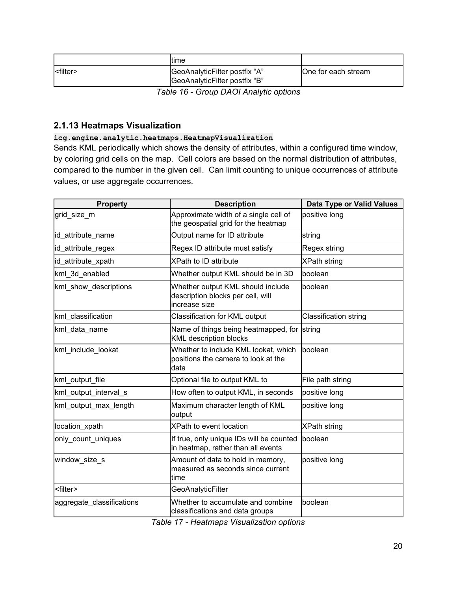|  | ltime                                                          |                     |
|--|----------------------------------------------------------------|---------------------|
|  | GeoAnalyticFilter postfix "A"<br>GeoAnalyticFilter postfix "B" | One for each stream |
|  | $T - L = 40$ Original DAOI Are the settings                    |                     |

*Table 16 - Group DAOI Analytic options*

### <span id="page-19-0"></span>**2.1.13 Heatmaps Visualization**

**icg.engine.analytic.heatmaps.HeatmapVisualization**

Sends KML periodically which shows the density of attributes, within a configured time window, by coloring grid cells on the map. Cell colors are based on the normal distribution of attributes, compared to the number in the given cell. Can limit counting to unique occurrences of attribute values, or use aggregate occurrences.

| <b>Property</b>           | <b>Description</b>                                                                      | <b>Data Type or Valid Values</b> |
|---------------------------|-----------------------------------------------------------------------------------------|----------------------------------|
| grid_size_m               | Approximate width of a single cell of<br>the geospatial grid for the heatmap            | positive long                    |
| id attribute name         | Output name for ID attribute                                                            | string                           |
| id_attribute_regex        | Regex ID attribute must satisfy                                                         | Regex string                     |
| id_attribute_xpath        | <b>XPath to ID attribute</b>                                                            | <b>XPath string</b>              |
| kml 3d enabled            | Whether output KML should be in 3D                                                      | boolean                          |
| kml_show_descriptions     | Whether output KML should include<br>description blocks per cell, will<br>increase size | boolean                          |
| kml_classification        | Classification for KML output                                                           | <b>Classification string</b>     |
| kml_data_name             | Name of things being heatmapped, for<br><b>KML description blocks</b>                   | string                           |
| kml include lookat        | Whether to include KML lookat, which<br>positions the camera to look at the<br>data     | boolean                          |
| kml_output_file           | Optional file to output KML to                                                          | File path string                 |
| kml_output_interval_s     | How often to output KML, in seconds                                                     | positive long                    |
| kml output max length     | Maximum character length of KML<br>output                                               | positive long                    |
| location_xpath            | XPath to event location                                                                 | <b>XPath string</b>              |
| only_count_uniques        | If true, only unique IDs will be counted<br>in heatmap, rather than all events          | boolean                          |
| window_size_s             | Amount of data to hold in memory,<br>measured as seconds since current<br>time          | positive long                    |
| <filter></filter>         | GeoAnalyticFilter                                                                       |                                  |
| aggregate_classifications | Whether to accumulate and combine<br>classifications and data groups                    | boolean                          |

*Table 17 - Heatmaps Visualization options*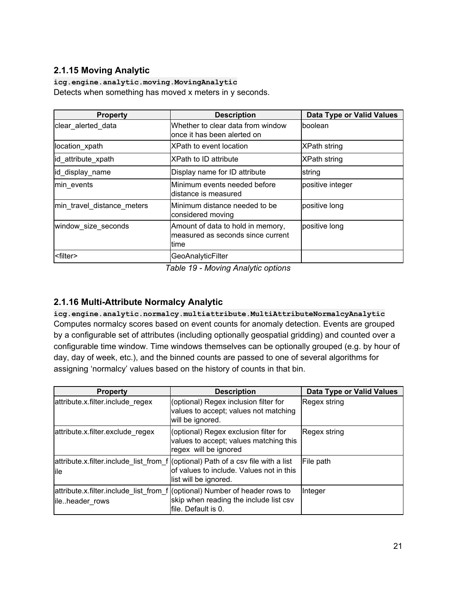## <span id="page-20-0"></span>**2.1.15 Moving Analytic**

**icg.engine.analytic.moving.MovingAnalytic** Detects when something has moved x meters in y seconds.

| <b>Property</b>            | <b>Description</b>                                                               | <b>Data Type or Valid Values</b> |
|----------------------------|----------------------------------------------------------------------------------|----------------------------------|
| clear_alerted_data         | Whether to clear data from window<br>lonce it has been alerted on                | lboolean                         |
| location xpath             | XPath to event location                                                          | <b>XPath string</b>              |
| id_attribute_xpath         | IXPath to ID attribute                                                           | <b>XPath string</b>              |
| id_display_name            | Display name for ID attribute                                                    | string                           |
| min events                 | lMinimum events needed before<br>ldistance is measured                           | positive integer                 |
| min travel distance meters | lMinimum distance needed to be<br>considered moving                              | positive long                    |
| window_size_seconds        | Amount of data to hold in memory,<br>lmeasured as seconds since current<br>ltime | positive long                    |
| <filter></filter>          | GeoAnalyticFilter                                                                |                                  |

*Table 19 - Moving Analytic options*

## <span id="page-20-1"></span>**2.1.16 Multi-Attribute Normalcy Analytic**

**icg.engine.analytic.normalcy.multiattribute.MultiAttributeNormalcyAnalytic** Computes normalcy scores based on event counts for anomaly detection. Events are grouped by a configurable set of attributes (including optionally geospatial gridding) and counted over a configurable time window. Time windows themselves can be optionally grouped (e.g. by hour of day, day of week, etc.), and the binned counts are passed to one of several algorithms for assigning 'normalcy' values based on the history of counts in that bin.

| <b>Property</b>                  | <b>Description</b>                                                                                                                                    | <b>Data Type or Valid Values</b> |
|----------------------------------|-------------------------------------------------------------------------------------------------------------------------------------------------------|----------------------------------|
| attribute.x.filter.include regex | (optional) Regex inclusion filter for<br>values to accept; values not matching<br>will be ignored.                                                    | Regex string                     |
| attribute.x.filter.exclude_regex | (optional) Regex exclusion filter for<br>values to accept; values matching this<br>regex will be ignored                                              | Regex string                     |
| lile                             | attribute.x.filter.include_list_from_f (optional) Path of a csv file with a list<br>of values to include. Values not in this<br>list will be ignored. | File path                        |
| ileheader rows                   | attribute.x.filter.include list from f (optional) Number of header rows to<br>skip when reading the include list csv<br>lfile. Default is 0.          | Integer                          |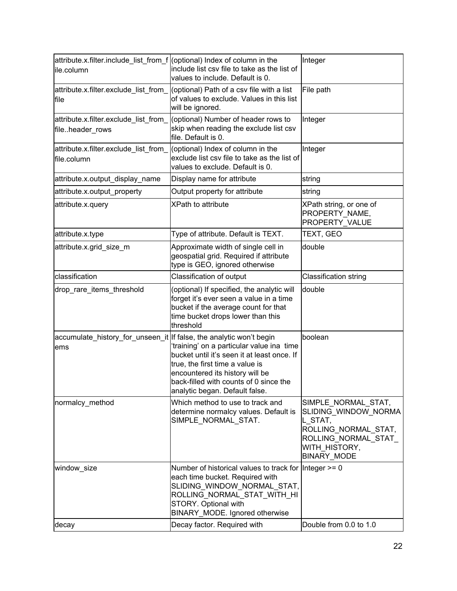| attribute.x.filter.include_list_from_f (optional) Index of column in the<br>ile.column | include list csv file to take as the list of<br>values to include. Default is 0.                                                                                                                                                                  | Integer                                                                                                                                       |
|----------------------------------------------------------------------------------------|---------------------------------------------------------------------------------------------------------------------------------------------------------------------------------------------------------------------------------------------------|-----------------------------------------------------------------------------------------------------------------------------------------------|
| attribute.x.filter.exclude_list_from_<br>file                                          | (optional) Path of a csv file with a list<br>of values to exclude. Values in this list<br>will be ignored.                                                                                                                                        | File path                                                                                                                                     |
| fileheader_rows                                                                        | attribute.x.filter.exclude_list_from_ (optional) Number of header rows to<br>skip when reading the exclude list csv<br>file. Default is 0.                                                                                                        | Integer                                                                                                                                       |
| attribute.x.filter.exclude_list_from_<br>file.column                                   | (optional) Index of column in the<br>exclude list csv file to take as the list of<br>values to exclude. Default is 0.                                                                                                                             | Integer                                                                                                                                       |
| attribute.x.output_display_name                                                        | Display name for attribute                                                                                                                                                                                                                        | string                                                                                                                                        |
| attribute.x.output_property                                                            | Output property for attribute                                                                                                                                                                                                                     | string                                                                                                                                        |
| attribute.x.query                                                                      | <b>XPath to attribute</b>                                                                                                                                                                                                                         | XPath string, or one of<br>PROPERTY NAME,<br>PROPERTY_VALUE                                                                                   |
| attribute.x.type                                                                       | Type of attribute. Default is TEXT.                                                                                                                                                                                                               | TEXT, GEO                                                                                                                                     |
| attribute.x.grid_size_m                                                                | Approximate width of single cell in<br>geospatial grid. Required if attribute<br>type is GEO, ignored otherwise                                                                                                                                   | double                                                                                                                                        |
| classification                                                                         | Classification of output                                                                                                                                                                                                                          | <b>Classification string</b>                                                                                                                  |
| drop_rare_items_threshold                                                              | (optional) If specified, the analytic will<br>forget it's ever seen a value in a time<br>bucket if the average count for that<br>time bucket drops lower than this                                                                                | double                                                                                                                                        |
|                                                                                        | threshold                                                                                                                                                                                                                                         |                                                                                                                                               |
| accumulate_history_for_unseen_it   If false, the analytic won't begin<br>lems          | 'training' on a particular value ina time<br>bucket until it's seen it at least once. If<br>true, the first time a value is<br>encountered its history will be<br>back-filled with counts of 0 since the<br>analytic began. Default false.        | boolean                                                                                                                                       |
| normalcy_method                                                                        | Which method to use to track and<br>determine normalcy values. Default is<br>SIMPLE_NORMAL_STAT.                                                                                                                                                  | SIMPLE_NORMAL_STAT,<br>SLIDING_WINDOW_NORMA<br>L_STAT,<br>ROLLING_NORMAL_STAT,<br>ROLLING_NORMAL_STAT_<br>WITH HISTORY,<br><b>BINARY_MODE</b> |
| window_size<br>decay                                                                   | Number of historical values to track for Integer $>= 0$<br>each time bucket. Required with<br>SLIDING_WINDOW_NORMAL_STAT,<br>ROLLING_NORMAL_STAT_WITH_HI<br>STORY. Optional with<br>BINARY_MODE. Ignored otherwise<br>Decay factor. Required with | Double from 0.0 to 1.0                                                                                                                        |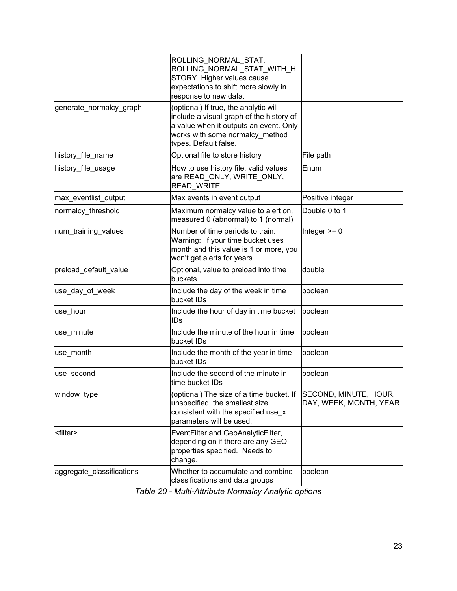|                           | ROLLING NORMAL STAT,<br>ROLLING_NORMAL_STAT_WITH HI<br>STORY. Higher values cause<br>expectations to shift more slowly in<br>response to new data.                                      |                                                 |
|---------------------------|-----------------------------------------------------------------------------------------------------------------------------------------------------------------------------------------|-------------------------------------------------|
| generate_normalcy_graph   | (optional) If true, the analytic will<br>include a visual graph of the history of<br>a value when it outputs an event. Only<br>works with some normalcy method<br>types. Default false. |                                                 |
| history_file_name         | Optional file to store history                                                                                                                                                          | File path                                       |
| history_file_usage        | How to use history file, valid values<br>are READ_ONLY, WRITE_ONLY,<br>READ_WRITE                                                                                                       | Enum                                            |
| max_eventlist_output      | Max events in event output                                                                                                                                                              | Positive integer                                |
| normalcy_threshold        | Maximum normalcy value to alert on,<br>measured 0 (abnormal) to 1 (normal)                                                                                                              | Double 0 to 1                                   |
| num training values       | Number of time periods to train.<br>Warning: if your time bucket uses<br>month and this value is 1 or more, you<br>won't get alerts for years.                                          | Integer $>= 0$                                  |
| preload_default_value     | Optional, value to preload into time<br>buckets                                                                                                                                         | double                                          |
| use_day_of_week           | Include the day of the week in time<br>bucket IDs                                                                                                                                       | boolean                                         |
| use_hour                  | Include the hour of day in time bucket<br>IDs                                                                                                                                           | boolean                                         |
| use_minute                | Include the minute of the hour in time<br>bucket IDs                                                                                                                                    | boolean                                         |
| use_month                 | Include the month of the year in time<br>bucket IDs                                                                                                                                     | boolean                                         |
| use_second                | Include the second of the minute in<br>time bucket IDs                                                                                                                                  | boolean                                         |
| window_type               | (optional) The size of a time bucket. If<br>unspecified, the smallest size<br>consistent with the specified use_x<br>parameters will be used.                                           | SECOND, MINUTE, HOUR,<br>DAY, WEEK, MONTH, YEAR |
| <filter></filter>         | EventFilter and GeoAnalyticFilter,<br>depending on if there are any GEO<br>properties specified. Needs to<br>change.                                                                    |                                                 |
| aggregate_classifications | Whether to accumulate and combine<br>classifications and data groups                                                                                                                    | boolean                                         |

*Table 20 - Multi-Attribute Normalcy Analytic options*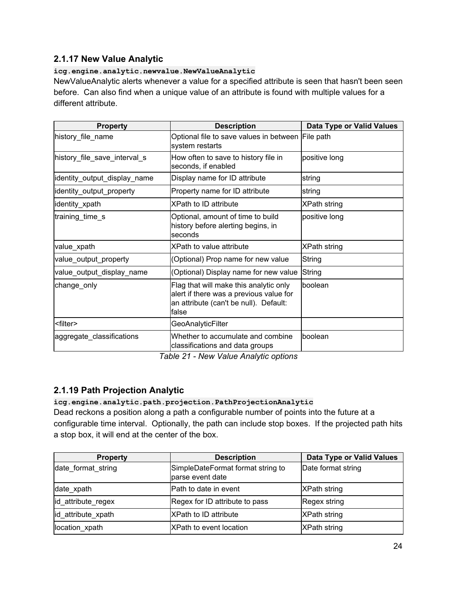## <span id="page-23-0"></span>**2.1.17 New Value Analytic**

#### **icg.engine.analytic.newvalue.NewValueAnalytic**

NewValueAnalytic alerts whenever a value for a specified attribute is seen that hasn't been seen before. Can also find when a unique value of an attribute is found with multiple values for a different attribute.

| <b>Property</b>              | <b>Description</b>                                                                                                                   | Data Type or Valid Values |
|------------------------------|--------------------------------------------------------------------------------------------------------------------------------------|---------------------------|
| history_file_name            | Optional file to save values in between File path<br>system restarts                                                                 |                           |
| history_file_save_interval_s | How often to save to history file in<br>seconds, if enabled                                                                          | positive long             |
| identity_output_display_name | Display name for ID attribute                                                                                                        | string                    |
| identity_output_property     | Property name for ID attribute                                                                                                       | string                    |
| identity_xpath               | <b>XPath to ID attribute</b>                                                                                                         | <b>XPath string</b>       |
| training_time_s              | Optional, amount of time to build<br>history before alerting begins, in<br>seconds                                                   | positive long             |
| value_xpath                  | XPath to value attribute                                                                                                             | <b>XPath string</b>       |
| value_output_property        | (Optional) Prop name for new value                                                                                                   | <b>String</b>             |
| value_output_display_name    | (Optional) Display name for new value                                                                                                | String                    |
| change_only                  | Flag that will make this analytic only<br>alert if there was a previous value for<br>an attribute (can't be null). Default:<br>false | boolean                   |
| <filter></filter>            | <b>GeoAnalyticFilter</b>                                                                                                             |                           |
| aggregate_classifications    | Whether to accumulate and combine<br>classifications and data groups                                                                 | <b>boolean</b>            |

*Table 21 - New Value Analytic options*

## <span id="page-23-1"></span>**2.1.19 Path Projection Analytic**

**icg.engine.analytic.path.projection.PathProjectionAnalytic** Dead reckons a position along a path a configurable number of points into the future at a configurable time interval. Optionally, the path can include stop boxes. If the projected path hits a stop box, it will end at the center of the box.

| <b>Property</b>    | <b>Description</b>                                    | <b>Data Type or Valid Values</b> |
|--------------------|-------------------------------------------------------|----------------------------------|
| date_format_string | SimpleDateFormat format string to<br>parse event date | Date format string               |
| date xpath         | Path to date in event                                 | <b>XPath string</b>              |
| id_attribute_regex | Regex for ID attribute to pass                        | Regex string                     |
| id_attribute_xpath | XPath to ID attribute                                 | <b>XPath string</b>              |
| location xpath     | <b>XPath to event location</b>                        | <b>XPath string</b>              |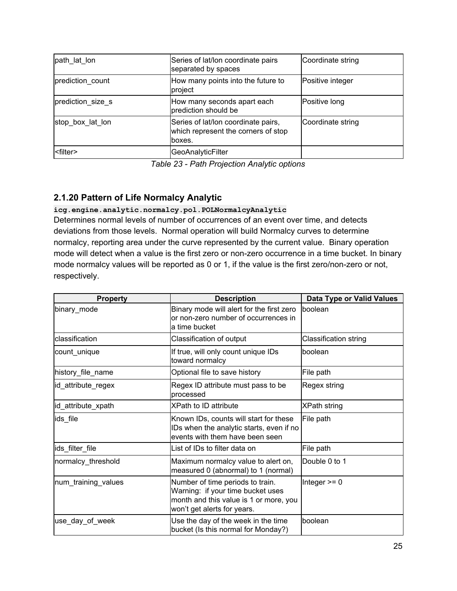| path lat lon      | Series of lat/lon coordinate pairs<br>separated by spaces                             | Coordinate string |
|-------------------|---------------------------------------------------------------------------------------|-------------------|
| prediction count  | How many points into the future to<br>project                                         | Positive integer  |
| prediction_size_s | How many seconds apart each<br>prediction should be                                   | Positive long     |
| stop box lat lon  | Series of lat/lon coordinate pairs,<br>which represent the corners of stop<br>lboxes. | Coordinate string |
| <filter></filter> | GeoAnalyticFilter                                                                     |                   |

*Table 23 - Path Projection Analytic options*

## <span id="page-24-0"></span>**2.1.20 Pattern of Life Normalcy Analytic**

#### **icg.engine.analytic.normalcy.pol.POLNormalcyAnalytic**

Determines normal levels of number of occurrences of an event over time, and detects deviations from those levels. Normal operation will build Normalcy curves to determine normalcy, reporting area under the curve represented by the current value. Binary operation mode will detect when a value is the first zero or non-zero occurrence in a time bucket. In binary mode normalcy values will be reported as 0 or 1, if the value is the first zero/non-zero or not, respectively.

| <b>Property</b>     | <b>Description</b>                                                                                                                             | <b>Data Type or Valid Values</b> |
|---------------------|------------------------------------------------------------------------------------------------------------------------------------------------|----------------------------------|
| binary_mode         | Binary mode will alert for the first zero<br>or non-zero number of occurrences in<br>a time bucket                                             | boolean                          |
| classification      | Classification of output                                                                                                                       | <b>Classification string</b>     |
| count_unique        | If true, will only count unique IDs<br>toward normalcy                                                                                         | boolean                          |
| history_file_name   | Optional file to save history                                                                                                                  | File path                        |
| id_attribute_regex  | Regex ID attribute must pass to be<br>processed                                                                                                | Regex string                     |
| id_attribute_xpath  | XPath to ID attribute                                                                                                                          | <b>XPath string</b>              |
| ids file            | Known IDs, counts will start for these<br>IDs when the analytic starts, even if no<br>events with them have been seen                          | File path                        |
| ids_filter_file     | List of IDs to filter data on                                                                                                                  | File path                        |
| normalcy_threshold  | Maximum normalcy value to alert on,<br>measured 0 (abnormal) to 1 (normal)                                                                     | Double 0 to 1                    |
| num_training_values | Number of time periods to train.<br>Warning: if your time bucket uses<br>month and this value is 1 or more, you<br>won't get alerts for years. | Integer $>= 0$                   |
| use_day_of_week     | Use the day of the week in the time<br>bucket (Is this normal for Monday?)                                                                     | boolean                          |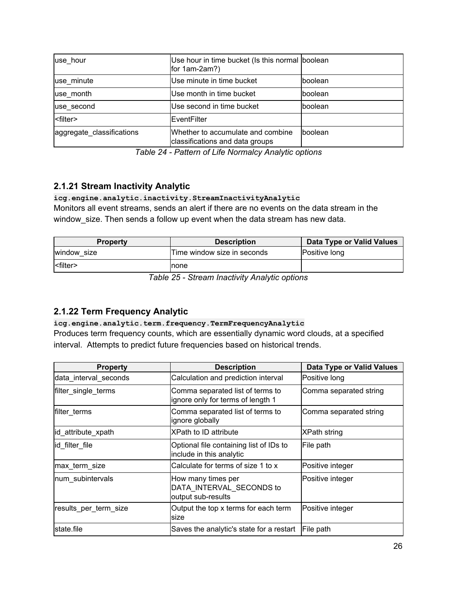| use hour                  | Use hour in time bucket (Is this normal boolean<br>for 1am-2am?)     |          |
|---------------------------|----------------------------------------------------------------------|----------|
| use minute                | Use minute in time bucket                                            | Iboolean |
| use month                 | Use month in time bucket                                             | Iboolean |
| use_second                | Use second in time bucket                                            | Iboolean |
| <filter></filter>         | EventFilter                                                          |          |
| aggregate_classifications | Whether to accumulate and combine<br>classifications and data groups | boolean  |

*Table 24 - Pattern of Life Normalcy Analytic options*

## <span id="page-25-0"></span>**2.1.21 Stream Inactivity Analytic**

### **icg.engine.analytic.inactivity.StreamInactivityAnalytic**

Monitors all event streams, sends an alert if there are no events on the data stream in the window\_size. Then sends a follow up event when the data stream has new data.

| <b>Property</b>       | <b>Description</b>          | Data Type or Valid Values |
|-----------------------|-----------------------------|---------------------------|
| window size           | Time window size in seconds | <b>Positive long</b>      |
| $ $ <filter></filter> | Inone                       |                           |

*Table 25 - Stream Inactivity Analytic options*

## <span id="page-25-1"></span>**2.1.22 Term Frequency Analytic**

#### **icg.engine.analytic.term.frequency.TermFrequencyAnalytic**

Produces term frequency counts, which are essentially dynamic word clouds, at a specified interval. Attempts to predict future frequencies based on historical trends.

| <b>Property</b>       | <b>Description</b>                                                    | <b>Data Type or Valid Values</b> |
|-----------------------|-----------------------------------------------------------------------|----------------------------------|
| data_interval_seconds | Calculation and prediction interval                                   | Positive long                    |
| filter_single_terms   | Comma separated list of terms to<br>ignore only for terms of length 1 | Comma separated string           |
| filter terms          | Comma separated list of terms to<br>ignore globally                   | Comma separated string           |
| id_attribute_xpath    | <b>XPath to ID attribute</b>                                          | XPath string                     |
| id filter file        | Optional file containing list of IDs to<br>include in this analytic   | File path                        |
| max term size         | Calculate for terms of size 1 to x                                    | Positive integer                 |
| num subintervals      | How many times per<br>DATA INTERVAL_SECONDS to<br>output sub-results  | Positive integer                 |
| results_per_term_size | Output the top x terms for each term<br>lsize                         | Positive integer                 |
| state file            | Saves the analytic's state for a restart                              | File path                        |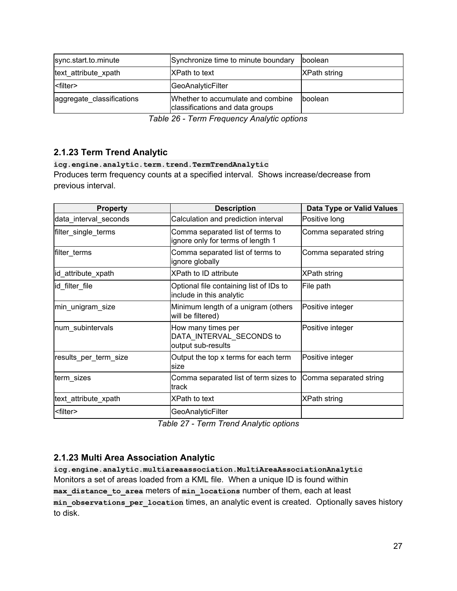| sync.start.to.minute      | Synchronize time to minute boundary                                  | boolean             |
|---------------------------|----------------------------------------------------------------------|---------------------|
| text attribute xpath      | <b>XPath to text</b>                                                 | <b>XPath string</b> |
|                           | GeoAnalyticFilter                                                    |                     |
| aggregate classifications | Whether to accumulate and combine<br>classifications and data groups | <b>boolean</b>      |

*Table 26 - Term Frequency Analytic options*

## <span id="page-26-0"></span>**2.1.23 Term Trend Analytic**

#### **icg.engine.analytic.term.trend.TermTrendAnalytic**

Produces term frequency counts at a specified interval. Shows increase/decrease from previous interval.

| <b>Property</b>       | <b>Description</b>                                                    | <b>Data Type or Valid Values</b> |
|-----------------------|-----------------------------------------------------------------------|----------------------------------|
| data_interval_seconds | Calculation and prediction interval                                   | Positive long                    |
| filter_single_terms   | Comma separated list of terms to<br>ignore only for terms of length 1 | Comma separated string           |
| filter terms          | Comma separated list of terms to<br>ignore globally                   | Comma separated string           |
| id_attribute_xpath    | <b>XPath to ID attribute</b>                                          | <b>XPath string</b>              |
| id filter file        | Optional file containing list of IDs to<br>include in this analytic   | File path                        |
| min_unigram_size      | Minimum length of a unigram (others<br>will be filtered)              | Positive integer                 |
| num subintervals      | How many times per<br>DATA_INTERVAL_SECONDS to<br>output sub-results  | Positive integer                 |
| results_per_term_size | Output the top x terms for each term<br>size                          | Positive integer                 |
| term_sizes            | Comma separated list of term sizes to<br>track                        | Comma separated string           |
| text_attribute_xpath  | <b>XPath to text</b>                                                  | <b>XPath string</b>              |
| <filter></filter>     | GeoAnalyticFilter                                                     |                                  |

*Table 27 - Term Trend Analytic options*

### <span id="page-26-1"></span>**2.1.23 Multi Area Association Analytic**

**icg.engine.analytic.multiareaassociation.MultiAreaAssociationAnalytic** Monitors a set of areas loaded from a KML file. When a unique ID is found within **max\_distance\_to\_area** meters of **min\_locations** number of them, each at least **min\_observations\_per\_location** times, an analytic event is created. Optionally saves history to disk.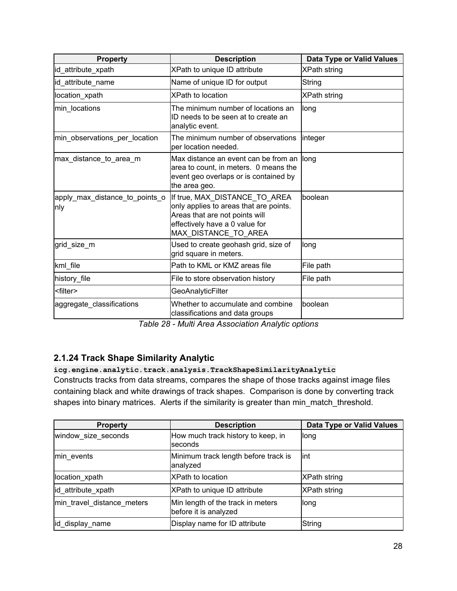| <b>Property</b>                       | <b>Description</b>                                                                                                                                                  | <b>Data Type or Valid Values</b> |
|---------------------------------------|---------------------------------------------------------------------------------------------------------------------------------------------------------------------|----------------------------------|
| id attribute xpath                    | XPath to unique ID attribute                                                                                                                                        | <b>XPath string</b>              |
| id_attribute_name                     | Name of unique ID for output                                                                                                                                        | String                           |
| location xpath                        | <b>XPath to location</b>                                                                                                                                            | <b>XPath string</b>              |
| min_locations                         | The minimum number of locations an<br>ID needs to be seen at to create an<br>analytic event.                                                                        | long                             |
| min_observations_per_location         | The minimum number of observations<br>per location needed.                                                                                                          | integer                          |
| max distance to area m                | Max distance an event can be from an<br>area to count, in meters. 0 means the<br>event geo overlaps or is contained by<br>the area geo.                             | long                             |
| apply_max_distance_to_points_o<br>nly | If true, MAX DISTANCE TO AREA<br>only applies to areas that are points.<br>Areas that are not points will<br>effectively have a 0 value for<br>MAX_DISTANCE_TO_AREA | boolean                          |
| grid size m                           | Used to create geohash grid, size of<br>grid square in meters.                                                                                                      | long                             |
| kml_file                              | Path to KML or KMZ areas file                                                                                                                                       | File path                        |
| history_file                          | File to store observation history                                                                                                                                   | File path                        |
| <filter></filter>                     | GeoAnalyticFilter                                                                                                                                                   |                                  |
| aggregate classifications             | Whether to accumulate and combine<br>classifications and data groups                                                                                                | boolean                          |

*Table 28 - Multi Area Association Analytic options*

## <span id="page-27-0"></span>**2.1.24 Track Shape Similarity Analytic**

### **icg.engine.analytic.track.analysis.TrackShapeSimilarityAnalytic**

Constructs tracks from data streams, compares the shape of those tracks against image files containing black and white drawings of track shapes. Comparison is done by converting track shapes into binary matrices. Alerts if the similarity is greater than min\_match\_threshold.

| <b>Property</b>            | <b>Description</b>                                         | <b>Data Type or Valid Values</b> |
|----------------------------|------------------------------------------------------------|----------------------------------|
| window size seconds        | How much track history to keep, in<br>seconds              | llong                            |
| min events                 | Minimum track length before track is<br>analyzed           | lint                             |
| location_xpath             | <b>XPath to location</b>                                   | XPath string                     |
| id attribute xpath         | XPath to unique ID attribute                               | XPath string                     |
| min_travel_distance_meters | Min length of the track in meters<br>before it is analyzed | long                             |
| id_display_name            | Display name for ID attribute                              | String                           |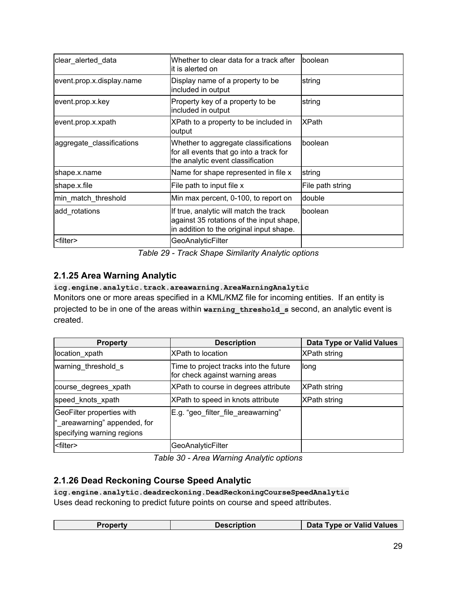| clear_alerted_data        | Whether to clear data for a track after<br>lit is alerted on                                                                   | boolean          |
|---------------------------|--------------------------------------------------------------------------------------------------------------------------------|------------------|
| event.prop.x.display.name | Display name of a property to be<br>included in output                                                                         | string           |
| event.prop.x.key          | Property key of a property to be<br>included in output                                                                         | string           |
| event.prop.x.xpath        | XPath to a property to be included in<br>output                                                                                | <b>XPath</b>     |
| aggregate_classifications | Whether to aggregate classifications<br>for all events that go into a track for<br>the analytic event classification           | Iboolean         |
| shape.x.name              | Name for shape represented in file x                                                                                           | string           |
| shape.x.file              | File path to input file x                                                                                                      | File path string |
| min_match_threshold       | Min max percent, 0-100, to report on                                                                                           | double           |
| add rotations             | If true, analytic will match the track<br>against 35 rotations of the input shape,<br>in addition to the original input shape. | Iboolean         |
| <filter></filter>         | GeoAnalyticFilter                                                                                                              |                  |

*Table 29 - Track Shape Similarity Analytic options*

## <span id="page-28-0"></span>**2.1.25 Area Warning Analytic**

### **icg.engine.analytic.track.areawarning.AreaWarningAnalytic**

Monitors one or more areas specified in a KML/KMZ file for incoming entities. If an entity is projected to be in one of the areas within **warning\_threshold\_s** second, an analytic event is created.

| <b>Property</b>                                                                         | <b>Description</b>                                                        | Data Type or Valid Values |
|-----------------------------------------------------------------------------------------|---------------------------------------------------------------------------|---------------------------|
| location xpath                                                                          | <b>XPath to location</b>                                                  | <b>XPath string</b>       |
| warning_threshold s                                                                     | Time to project tracks into the future<br>for check against warning areas | llong                     |
| course degrees xpath                                                                    | XPath to course in degrees attribute                                      | <b>XPath string</b>       |
| speed knots xpath                                                                       | XPath to speed in knots attribute                                         | <b>XPath string</b>       |
| GeoFilter properties with<br>"_areawarning" appended, for<br>specifying warning regions | E.g. "geo filter file areawarning"                                        |                           |
| <filter></filter>                                                                       | GeoAnalyticFilter                                                         |                           |

*Table 30 - Area Warning Analytic options*

## <span id="page-28-1"></span>**2.1.26 Dead Reckoning Course Speed Analytic**

**icg.engine.analytic.deadreckoning.DeadReckoningCourseSpeedAnalytic** Uses dead reckoning to predict future points on course and speed attributes.

| <b>Data Type or Valid Values</b><br><u>ੇੇੇੇੇੇੇੇੇੇੇੇੇੇੇੇੇੇੇੇ</u> ਕਹਾ<br>∍ronertv |  |  |
|---------------------------------------------------------------------------------|--|--|
|                                                                                 |  |  |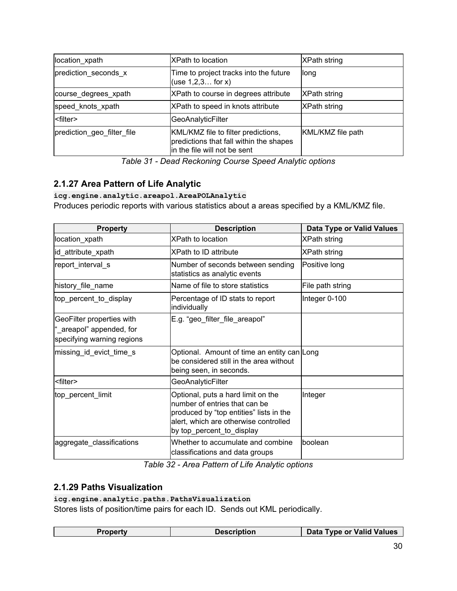| location_xpath             | IXPath to location                                                                                             | <b>XPath string</b> |
|----------------------------|----------------------------------------------------------------------------------------------------------------|---------------------|
| prediction seconds x       | Time to project tracks into the future<br>(use $1, 2, 3$ for x)                                                | llong               |
| course degrees xpath       | XPath to course in degrees attribute                                                                           | <b>XPath string</b> |
| speed knots xpath          | XPath to speed in knots attribute                                                                              | <b>XPath string</b> |
| <filter></filter>          | GeoAnalyticFilter                                                                                              |                     |
| prediction geo filter file | KML/KMZ file to filter predictions,<br>predictions that fall within the shapes<br>in the file will not be sent | KML/KMZ file path   |

*Table 31 - Dead Reckoning Course Speed Analytic options*

## <span id="page-29-0"></span>**2.1.27 Area Pattern of Life Analytic**

#### **icg.engine.analytic.areapol.AreaPOLAnalytic**

Produces periodic reports with various statistics about a areas specified by a KML/KMZ file.

| <b>Property</b>                                                                     | <b>Description</b>                                                                                                                                                                   | <b>Data Type or Valid Values</b> |
|-------------------------------------------------------------------------------------|--------------------------------------------------------------------------------------------------------------------------------------------------------------------------------------|----------------------------------|
| location_xpath                                                                      | <b>XPath to location</b>                                                                                                                                                             | <b>XPath string</b>              |
| id_attribute_xpath                                                                  | <b>XPath to ID attribute</b>                                                                                                                                                         | <b>XPath string</b>              |
| report_interval_s                                                                   | Number of seconds between sending<br>statistics as analytic events                                                                                                                   | Positive long                    |
| history_file_name                                                                   | Name of file to store statistics                                                                                                                                                     | File path string                 |
| top_percent_to_display                                                              | Percentage of ID stats to report<br>individually                                                                                                                                     | Integer 0-100                    |
| GeoFilter properties with<br>"_areapol" appended, for<br>specifying warning regions | E.g. "geo_filter_file_areapol"                                                                                                                                                       |                                  |
| missing_id_evict_time_s                                                             | Optional. Amount of time an entity can Long<br>be considered still in the area without<br>being seen, in seconds.                                                                    |                                  |
| <filter></filter>                                                                   | GeoAnalyticFilter                                                                                                                                                                    |                                  |
| top_percent_limit                                                                   | Optional, puts a hard limit on the<br>number of entries that can be<br>produced by "top entities" lists in the<br>alert, which are otherwise controlled<br>by top_percent_to_display | Integer                          |
| aggregate_classifications                                                           | Whether to accumulate and combine<br>classifications and data groups                                                                                                                 | boolean                          |

*Table 32 - Area Pattern of Life Analytic options*

## <span id="page-29-1"></span>**2.1.29 Paths Visualization**

#### **icg.engine.analytic.paths.PathsVisualization**

Stores lists of position/time pairs for each ID. Sends out KML periodically.

| Data Type or Valid Values<br>Description<br>Pronerty |
|------------------------------------------------------|
|------------------------------------------------------|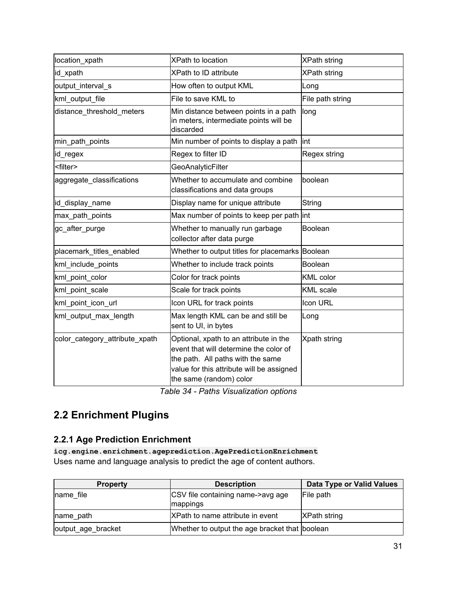| location_xpath                 | <b>XPath to location</b>                                                                                                                                                                      | <b>XPath string</b> |
|--------------------------------|-----------------------------------------------------------------------------------------------------------------------------------------------------------------------------------------------|---------------------|
| id_xpath                       | XPath to ID attribute                                                                                                                                                                         | <b>XPath string</b> |
| output_interval_s              | How often to output KML                                                                                                                                                                       | Long                |
| kml output file                | File to save KML to                                                                                                                                                                           | File path string    |
| distance_threshold_meters      | Min distance between points in a path<br>in meters, intermediate points will be<br>discarded                                                                                                  | long                |
| min_path_points                | Min number of points to display a path                                                                                                                                                        | lint                |
| id_regex                       | Regex to filter ID                                                                                                                                                                            | Regex string        |
| <filter></filter>              | GeoAnalyticFilter                                                                                                                                                                             |                     |
| aggregate_classifications      | Whether to accumulate and combine<br>classifications and data groups                                                                                                                          | boolean             |
| id_display_name                | Display name for unique attribute                                                                                                                                                             | String              |
| max_path_points                | Max number of points to keep per path int                                                                                                                                                     |                     |
| gc_after_purge                 | Whether to manually run garbage<br>collector after data purge                                                                                                                                 | Boolean             |
| placemark titles enabled       | Whether to output titles for placemarks Boolean                                                                                                                                               |                     |
| kml include points             | Whether to include track points                                                                                                                                                               | <b>Boolean</b>      |
| kml_point_color                | Color for track points                                                                                                                                                                        | KML color           |
| kml_point_scale                | Scale for track points                                                                                                                                                                        | <b>KML</b> scale    |
| kml_point_icon_url             | Icon URL for track points                                                                                                                                                                     | Icon URL            |
| kml_output_max_length          | Max length KML can be and still be<br>sent to UI, in bytes                                                                                                                                    | Long                |
| color_category_attribute_xpath | Optional, xpath to an attribute in the<br>event that will determine the color of<br>the path. All paths with the same<br>value for this attribute will be assigned<br>the same (random) color | Xpath string        |

*Table 34 - Paths Visualization options*

# <span id="page-30-0"></span>**2.2 Enrichment Plugins**

## <span id="page-30-1"></span>**2.2.1 Age Prediction Enrichment**

**icg.engine.enrichment.ageprediction.AgePredictionEnrichment** Uses name and language analysis to predict the age of content authors.

| <b>Property</b>    | <b>Description</b>                             | Data Type or Valid Values |
|--------------------|------------------------------------------------|---------------------------|
| name file          | CSV file containing name->avg age<br>mappings  | File path                 |
| name path          | XPath to name attribute in event               | <b>XPath string</b>       |
| output_age_bracket | Whether to output the age bracket that boolean |                           |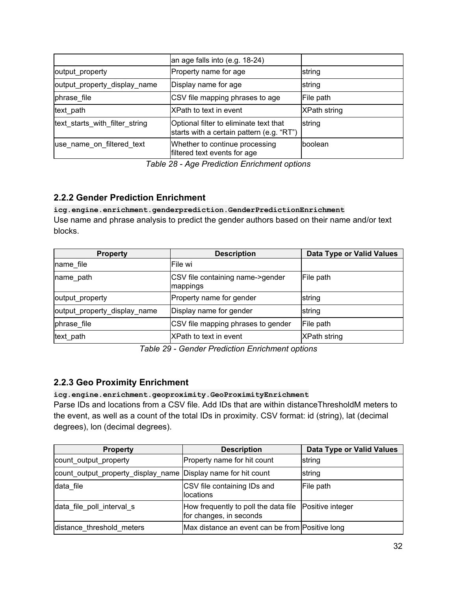|                                | an age falls into (e.g. 18-24)                                                      |              |
|--------------------------------|-------------------------------------------------------------------------------------|--------------|
| output_property                | Property name for age                                                               | string       |
| output_property_display_name   | Display name for age                                                                | string       |
| phrase file                    | CSV file mapping phrases to age                                                     | File path    |
| text path                      | XPath to text in event                                                              | XPath string |
| text_starts_with_filter_string | Optional filter to eliminate text that<br>starts with a certain pattern (e.g. "RT") | string       |
| use_name_on_filtered_text      | Whether to continue processing<br>filtered text events for age                      | boolean      |

*Table 28 - Age Prediction Enrichment options*

## <span id="page-31-0"></span>**2.2.2 Gender Prediction Enrichment**

**icg.engine.enrichment.genderprediction.GenderPredictionEnrichment** Use name and phrase analysis to predict the gender authors based on their name and/or text blocks.

| <b>Property</b>              | <b>Description</b>                           | <b>Data Type or Valid Values</b> |
|------------------------------|----------------------------------------------|----------------------------------|
| Iname file                   | lFile wi                                     |                                  |
| name path                    | CSV file containing name->gender<br>mappings | File path                        |
| output_property              | Property name for gender                     | string                           |
| output_property_display_name | Display name for gender                      | string                           |
| phrase file                  | CSV file mapping phrases to gender           | File path                        |
| text path                    | XPath to text in event                       | <b>XPath string</b>              |

*Table 29 - Gender Prediction Enrichment options*

## <span id="page-31-1"></span>**2.2.3 Geo Proximity Enrichment**

**icg.engine.enrichment.geoproximity.GeoProximityEnrichment**

Parse IDs and locations from a CSV file. Add IDs that are within distanceThresholdM meters to the event, as well as a count of the total IDs in proximity. CSV format: id (string), lat (decimal degrees), lon (decimal degrees).

| <b>Property</b>                                               | <b>Description</b>                                                                 | Data Type or Valid Values |
|---------------------------------------------------------------|------------------------------------------------------------------------------------|---------------------------|
| count_output_property                                         | Property name for hit count                                                        | string                    |
| count_output_property_display_name Display name for hit count |                                                                                    | string                    |
| data file                                                     | CSV file containing IDs and<br>locations                                           | File path                 |
| data_file_poll_interval_s                                     | How frequently to poll the data file   Positive integer<br>for changes, in seconds |                           |
| distance_threshold_meters                                     | Max distance an event can be from Positive long                                    |                           |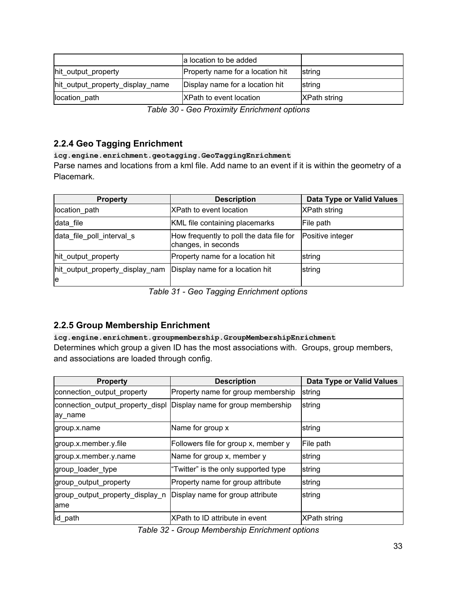|                                  | a location to be added           |                     |
|----------------------------------|----------------------------------|---------------------|
| hit output property              | Property name for a location hit | string              |
| hit_output_property_display_name | Display name for a location hit  | <b>Istring</b>      |
| location path                    | <b>XPath to event location</b>   | <b>XPath string</b> |

*Table 30 - Geo Proximity Enrichment options*

## <span id="page-32-0"></span>**2.2.4 Geo Tagging Enrichment**

**icg.engine.enrichment.geotagging.GeoTaggingEnrichment**

Parse names and locations from a kml file. Add name to an event if it is within the geometry of a Placemark.

| <b>Property</b>                       | <b>Description</b>                                              | <b>Data Type or Valid Values</b> |
|---------------------------------------|-----------------------------------------------------------------|----------------------------------|
| location_path                         | XPath to event location                                         | <b>XPath string</b>              |
| data file                             | KML file containing placemarks                                  | File path                        |
| data_file_poll_interval_s             | How frequently to poll the data file for<br>changes, in seconds | Positive integer                 |
| hit_output_property                   | Property name for a location hit                                | string                           |
| hit_output_property_display_nam<br>le | Display name for a location hit                                 | string                           |

*Table 31 - Geo Tagging Enrichment options*

## <span id="page-32-1"></span>**2.2.5 Group Membership Enrichment**

### **icg.engine.enrichment.groupmembership.GroupMembershipEnrichment**

Determines which group a given ID has the most associations with. Groups, group members, and associations are loaded through config.

| <b>Property</b>                         | <b>Description</b>                                                  | <b>Data Type or Valid Values</b> |
|-----------------------------------------|---------------------------------------------------------------------|----------------------------------|
| connection_output_property              | Property name for group membership                                  | string                           |
| ay_name                                 | connection_output_property_displ  Display name for group membership | string                           |
| group.x.name                            | Name for group x                                                    | string                           |
| group.x.member.y.file                   | Followers file for group x, member y                                | File path                        |
| group.x.member.y.name                   | Name for group x, member y                                          | string                           |
| group_loader_type                       | "Twitter" is the only supported type                                | string                           |
| group_output_property                   | Property name for group attribute                                   | string                           |
| group_output_property_display_n<br>lame | Display name for group attribute                                    | string                           |
| id_path                                 | XPath to ID attribute in event                                      | <b>XPath string</b>              |

*Table 32 - Group Membership Enrichment options*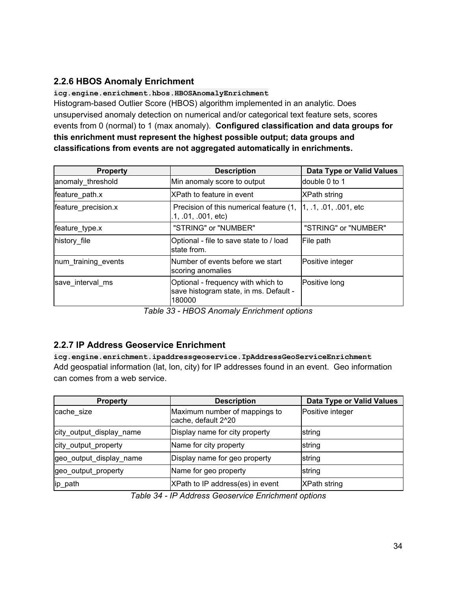## <span id="page-33-0"></span>**2.2.6 HBOS Anomaly Enrichment**

**icg.engine.enrichment.hbos.HBOSAnomalyEnrichment** Histogram-based Outlier Score (HBOS) algorithm implemented in an analytic. Does unsupervised anomaly detection on numerical and/or categorical text feature sets, scores events from 0 (normal) to 1 (max anomaly). **Configured classification and data groups for this enrichment must represent the highest possible output; data groups and classifications from events are not aggregated automatically in enrichments.**

| <b>Property</b>     | <b>Description</b>                                                                     | <b>Data Type or Valid Values</b> |
|---------------------|----------------------------------------------------------------------------------------|----------------------------------|
| anomaly threshold   | Min anomaly score to output                                                            | double 0 to 1                    |
| feature_path.x      | XPath to feature in event                                                              | <b>XPath string</b>              |
| feature precision.x | Precision of this numerical feature (1, 1, 1, 01, 001, etc<br>.1, .01, .001, etc.      |                                  |
| feature_type.x      | "STRING" or "NUMBER"                                                                   | "STRING" or "NUMBER"             |
| history file        | Optional - file to save state to / load<br>lstate from.                                | File path                        |
| num_training_events | Number of events before we start<br>scoring anomalies                                  | Positive integer                 |
| save interval ms    | Optional - frequency with which to<br>save histogram state, in ms. Default -<br>180000 | Positive long                    |

*Table 33 - HBOS Anomaly Enrichment options*

## <span id="page-33-1"></span>**2.2.7 IP Address Geoservice Enrichment**

**icg.engine.enrichment.ipaddressgeoservice.IpAddressGeoServiceEnrichment** Add geospatial information (lat, lon, city) for IP addresses found in an event. Geo information can comes from a web service.

| <b>Property</b>          | <b>Description</b>                                   | Data Type or Valid Values |
|--------------------------|------------------------------------------------------|---------------------------|
| cache size               | Maximum number of mappings to<br>cache, default 2^20 | Positive integer          |
| city_output_display_name | Display name for city property                       | string                    |
| city_output_property     | Name for city property                               | string                    |
| geo_output_display_name  | Display name for geo property                        | string                    |
| geo_output_property      | Name for geo property                                | string                    |
| lip_path                 | XPath to IP address(es) in event                     | <b>XPath string</b>       |

*Table 34 - IP Address Geoservice Enrichment options*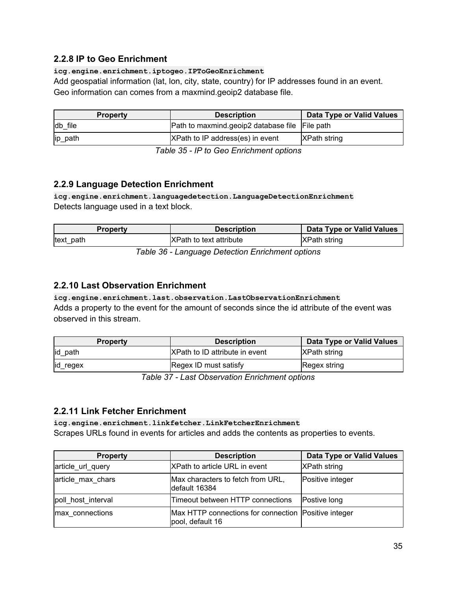### <span id="page-34-0"></span>**2.2.8 IP to Geo Enrichment**

#### **icg.engine.enrichment.iptogeo.IPToGeoEnrichment**

Add geospatial information (lat, lon, city, state, country) for IP addresses found in an event. Geo information can comes from a maxmind.geoip2 database file.

| <b>Property</b> | <b>Description</b>                             | Data Type or Valid Values |
|-----------------|------------------------------------------------|---------------------------|
| db file         | Path to maxmind geoip2 database file File path |                           |
| ip_path         | XPath to IP address(es) in event               | <b>XPath string</b>       |

*Table 35 - IP to Geo Enrichment options*

### <span id="page-34-1"></span>**2.2.9 Language Detection Enrichment**

**icg.engine.enrichment.languagedetection.LanguageDetectionEnrichment** Detects language used in a text block.

| <b>Property</b>                                  | <b>Description</b>              | Data Type or Valid Values |
|--------------------------------------------------|---------------------------------|---------------------------|
| text path                                        | <b>IXPath to text attribute</b> | XPath string              |
| Toble 20 I spausese Detection Ferisbroam entique |                                 |                           |

*Table 36 - Language Detection Enrichment options*

### <span id="page-34-2"></span>**2.2.10 Last Observation Enrichment**

#### **icg.engine.enrichment.last.observation.LastObservationEnrichment** Adds a property to the event for the amount of seconds since the id attribute of the event was observed in this stream.

| <b>Property</b> | <b>Description</b>                     | Data Type or Valid Values |
|-----------------|----------------------------------------|---------------------------|
| id path         | <b>IXPath to ID attribute in event</b> | <b>XPath string</b>       |
| id_regex        | Regex ID must satisfy                  | Regex string              |

*Table 37 - Last Observation Enrichment options*

### <span id="page-34-3"></span>**2.2.11 Link Fetcher Enrichment**

**icg.engine.enrichment.linkfetcher.LinkFetcherEnrichment**

Scrapes URLs found in events for articles and adds the contents as properties to events.

| <b>Property</b>    | <b>Description</b>                                                       | <b>Data Type or Valid Values</b> |
|--------------------|--------------------------------------------------------------------------|----------------------------------|
| article_url_query  | XPath to article URL in event                                            | <b>XPath string</b>              |
| article max chars  | Max characters to fetch from URL,<br>default 16384                       | Positive integer                 |
| poll_host_interval | Timeout between HTTP connections                                         | Postive long                     |
| max connections    | Max HTTP connections for connection Positive integer<br>pool, default 16 |                                  |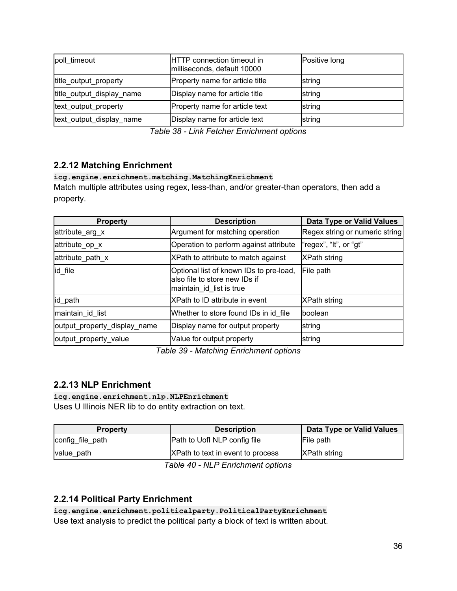| poll timeout              | <b>HTTP</b> connection timeout in<br>milliseconds, default 10000 | Positive long |
|---------------------------|------------------------------------------------------------------|---------------|
| title_output_property     | Property name for article title                                  | string        |
| title_output_display_name | Display name for article title                                   | string        |
| text_output_property      | Property name for article text                                   | string        |
| text_output_display_name  | Display name for article text                                    | string        |

*Table 38 - Link Fetcher Enrichment options*

## <span id="page-35-0"></span>**2.2.12 Matching Enrichment**

### **icg.engine.enrichment.matching.MatchingEnrichment**

Match multiple attributes using regex, less-than, and/or greater-than operators, then add a property.

| <b>Property</b>              | <b>Description</b>                                                                                    | Data Type or Valid Values      |
|------------------------------|-------------------------------------------------------------------------------------------------------|--------------------------------|
| attribute_arg_x              | Argument for matching operation                                                                       | Regex string or numeric string |
| attribute_op_x               | Operation to perform against attribute                                                                | "regex", "It", or "gt"         |
| attribute_path_x             | XPath to attribute to match against                                                                   | <b>XPath string</b>            |
| id_file                      | Optional list of known IDs to pre-load,<br>lalso file to store new IDs if<br>maintain_id_list is true | File path                      |
| id_path                      | XPath to ID attribute in event                                                                        | <b>XPath string</b>            |
| maintain_id_list             | Whether to store found IDs in id file                                                                 | <b>Iboolean</b>                |
| output_property_display_name | Display name for output property                                                                      | string                         |
| output_property_value        | Value for output property                                                                             | string                         |

*Table 39 - Matching Enrichment options*

### <span id="page-35-1"></span>**2.2.13 NLP Enrichment**

#### **icg.engine.enrichment.nlp.NLPEnrichment**

Uses U Illinois NER lib to do entity extraction on text.

| <b>Property</b>  | <b>Description</b>                                         | Data Type or Valid Values |
|------------------|------------------------------------------------------------|---------------------------|
| config file path | Path to Uofl NLP config file                               | File path                 |
| value path       | XPath to text in event to process                          | <b>XPath string</b>       |
|                  | $T = h/a$ $10$ $\mu$ $\sigma$ $T = m/s$ and $m/s$ $\sigma$ |                           |

*Table 40 - NLP Enrichment options*

### <span id="page-35-2"></span>**2.2.14 Political Party Enrichment**

**icg.engine.enrichment.politicalparty.PoliticalPartyEnrichment** Use text analysis to predict the political party a block of text is written about.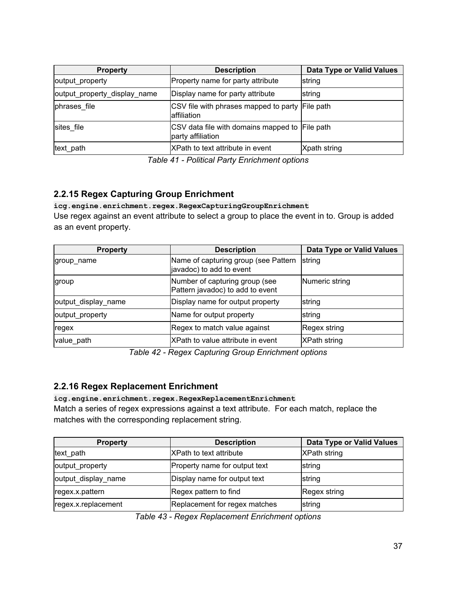| <b>Property</b>              | <b>Description</b>                                                  | Data Type or Valid Values |
|------------------------------|---------------------------------------------------------------------|---------------------------|
| output_property              | Property name for party attribute                                   | string                    |
| output_property_display_name | Display name for party attribute                                    | string                    |
| phrases file                 | CSV file with phrases mapped to party File path<br>affiliation      |                           |
| sites file                   | CSV data file with domains mapped to File path<br>party affiliation |                           |
| text path                    | XPath to text attribute in event                                    | Xpath string              |

*Table 41 - Political Party Enrichment options*

## <span id="page-36-0"></span>**2.2.15 Regex Capturing Group Enrichment**

**icg.engine.enrichment.regex.RegexCapturingGroupEnrichment** Use regex against an event attribute to select a group to place the event in to. Group is added as an event property.

| <b>Property</b>     | <b>Description</b>                                                 | <b>Data Type or Valid Values</b> |
|---------------------|--------------------------------------------------------------------|----------------------------------|
| group name          | Name of capturing group (see Pattern<br>javadoc) to add to event   | string                           |
| group               | Number of capturing group (see<br>Pattern javadoc) to add to event | Numeric string                   |
| output_display_name | Display name for output property                                   | string                           |
| output_property     | Name for output property                                           | string                           |
| regex               | Regex to match value against                                       | Regex string                     |
| value path          | XPath to value attribute in event                                  | <b>XPath string</b>              |

*Table 42 - Regex Capturing Group Enrichment options*

## <span id="page-36-1"></span>**2.2.16 Regex Replacement Enrichment**

### **icg.engine.enrichment.regex.RegexReplacementEnrichment**

Match a series of regex expressions against a text attribute. For each match, replace the matches with the corresponding replacement string.

| <b>Property</b>     | <b>Description</b>            | Data Type or Valid Values |
|---------------------|-------------------------------|---------------------------|
| text_path           | IXPath to text attribute      | <b>XPath string</b>       |
| output_property     | Property name for output text | string                    |
| output_display_name | Display name for output text  | string                    |
| regex.x.pattern     | Regex pattern to find         | Regex string              |
| regex.x.replacement | Replacement for regex matches | string                    |

*Table 43 - Regex Replacement Enrichment options*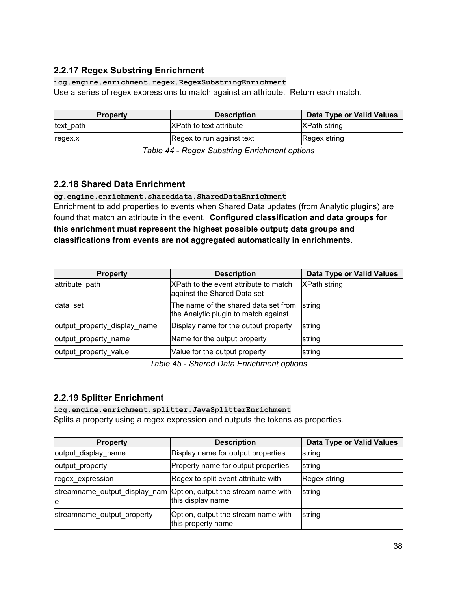## <span id="page-37-0"></span>**2.2.17 Regex Substring Enrichment**

**icg.engine.enrichment.regex.RegexSubstringEnrichment**

Use a series of regex expressions to match against an attribute. Return each match.

| <b>Property</b> | <b>Description</b>        | Data Type or Valid Values |
|-----------------|---------------------------|---------------------------|
| text path       | XPath to text attribute   | <b>XPath string</b>       |
| regex.x         | Regex to run against text | Regex string              |

*Table 44 - Regex Substring Enrichment options*

## <span id="page-37-1"></span>**2.2.18 Shared Data Enrichment**

**cg.engine.enrichment.shareddata.SharedDataEnrichment**

Enrichment to add properties to events when Shared Data updates (from Analytic plugins) are found that match an attribute in the event. **Configured classification and data groups for this enrichment must represent the highest possible output; data groups and classifications from events are not aggregated automatically in enrichments.**

| <b>Property</b>              | <b>Description</b>                                                           | <b>Data Type or Valid Values</b> |
|------------------------------|------------------------------------------------------------------------------|----------------------------------|
| attribute path               | XPath to the event attribute to match<br>against the Shared Data set         | <b>XPath string</b>              |
| data set                     | The name of the shared data set from<br>the Analytic plugin to match against | string                           |
| output_property_display_name | Display name for the output property                                         | string                           |
| output property name         | Name for the output property                                                 | string                           |
| output_property_value        | Value for the output property                                                | string                           |

*Table 45 - Shared Data Enrichment options*

## <span id="page-37-2"></span>**2.2.19 Splitter Enrichment**

**icg.engine.enrichment.splitter.JavaSplitterEnrichment** Splits a property using a regex expression and outputs the tokens as properties.

| <b>Property</b>            | <b>Description</b>                                                                       | <b>Data Type or Valid Values</b> |
|----------------------------|------------------------------------------------------------------------------------------|----------------------------------|
| output_display_name        | Display name for output properties                                                       | string                           |
| output_property            | Property name for output properties                                                      | string                           |
| regex_expression           | Regex to split event attribute with                                                      | Regex string                     |
| le                         | streamname_output_display_nam   Option, output the stream name with<br>this display name | string                           |
| streamname_output_property | Option, output the stream name with<br>this property name                                | string                           |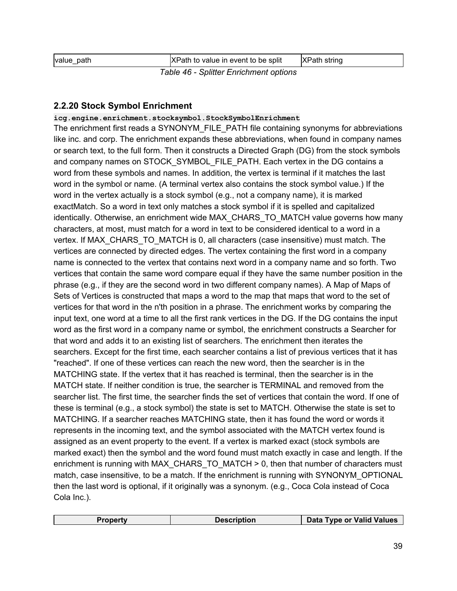| value path                             | XPath to value in event to be split | <b>XPath string</b> |
|----------------------------------------|-------------------------------------|---------------------|
| Table 46 - Splitter Enrichment options |                                     |                     |

## <span id="page-38-0"></span>**2.2.20 Stock Symbol Enrichment**

**icg.engine.enrichment.stocksymbol.StockSymbolEnrichment**

The enrichment first reads a SYNONYM\_FILE\_PATH file containing synonyms for abbreviations like inc. and corp. The enrichment expands these abbreviations, when found in company names or search text, to the full form. Then it constructs a Directed Graph (DG) from the stock symbols and company names on STOCK\_SYMBOL\_FILE\_PATH. Each vertex in the DG contains a word from these symbols and names. In addition, the vertex is terminal if it matches the last word in the symbol or name. (A terminal vertex also contains the stock symbol value.) If the word in the vertex actually is a stock symbol (e.g., not a company name), it is marked exactMatch. So a word in text only matches a stock symbol if it is spelled and capitalized identically. Otherwise, an enrichment wide MAX\_CHARS\_TO\_MATCH value governs how many characters, at most, must match for a word in text to be considered identical to a word in a vertex. If MAX\_CHARS\_TO\_MATCH is 0, all characters (case insensitive) must match. The vertices are connected by directed edges. The vertex containing the first word in a company name is connected to the vertex that contains next word in a company name and so forth. Two vertices that contain the same word compare equal if they have the same number position in the phrase (e.g., if they are the second word in two different company names). A Map of Maps of Sets of Vertices is constructed that maps a word to the map that maps that word to the set of vertices for that word in the n'th position in a phrase. The enrichment works by comparing the input text, one word at a time to all the first rank vertices in the DG. If the DG contains the input word as the first word in a company name or symbol, the enrichment constructs a Searcher for that word and adds it to an existing list of searchers. The enrichment then iterates the searchers. Except for the first time, each searcher contains a list of previous vertices that it has "reached". If one of these vertices can reach the new word, then the searcher is in the MATCHING state. If the vertex that it has reached is terminal, then the searcher is in the MATCH state. If neither condition is true, the searcher is TERMINAL and removed from the searcher list. The first time, the searcher finds the set of vertices that contain the word. If one of these is terminal (e.g., a stock symbol) the state is set to MATCH. Otherwise the state is set to MATCHING. If a searcher reaches MATCHING state, then it has found the word or words it represents in the incoming text, and the symbol associated with the MATCH vertex found is assigned as an event property to the event. If a vertex is marked exact (stock symbols are marked exact) then the symbol and the word found must match exactly in case and length. If the enrichment is running with MAX\_CHARS\_TO\_MATCH > 0, then that number of characters must match, case insensitive, to be a match. If the enrichment is running with SYNONYM\_OPTIONAL then the last word is optional, if it originally was a synonym. (e.g., Coca Cola instead of Coca Cola Inc.).

| Description<br>Pronerty | Data Type or Valid Values |
|-------------------------|---------------------------|
|-------------------------|---------------------------|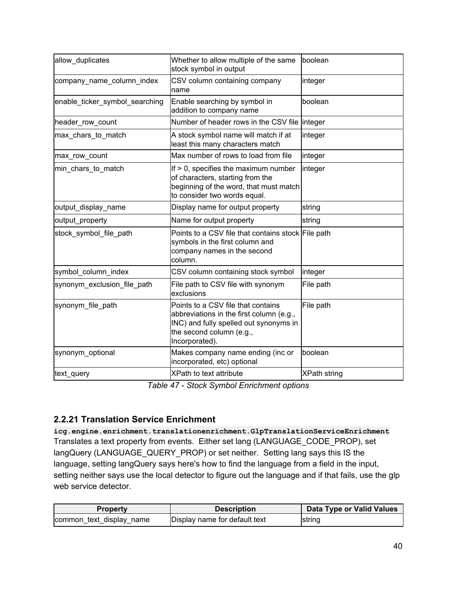| allow duplicates               | Whether to allow multiple of the same<br>stock symbol in output                                                                                                        | boolean             |
|--------------------------------|------------------------------------------------------------------------------------------------------------------------------------------------------------------------|---------------------|
| company_name_column_index      | CSV column containing company<br>name                                                                                                                                  | integer             |
| enable_ticker_symbol_searching | Enable searching by symbol in<br>addition to company name                                                                                                              | boolean             |
| header_row_count               | Number of header rows in the CSV file integer                                                                                                                          |                     |
| max_chars_to_match             | A stock symbol name will match if at<br>least this many characters match                                                                                               | integer             |
| max_row_count                  | Max number of rows to load from file                                                                                                                                   | integer             |
| min_chars_to_match             | If $> 0$ , specifies the maximum number<br>of characters, starting from the<br>beginning of the word, that must match<br>to consider two words equal.                  | integer             |
| output_display_name            | Display name for output property                                                                                                                                       | string              |
| output property                | Name for output property                                                                                                                                               | string              |
| stock symbol file path         | Points to a CSV file that contains stock File path<br>symbols in the first column and<br>company names in the second<br>column.                                        |                     |
| symbol_column_index            | CSV column containing stock symbol                                                                                                                                     | integer             |
| synonym_exclusion_file_path    | File path to CSV file with synonym<br>exclusions                                                                                                                       | File path           |
| synonym_file_path              | Points to a CSV file that contains<br>abbreviations in the first column (e.g.,<br>INC) and fully spelled out synonyms in<br>the second column (e.g.,<br>Incorporated). | File path           |
| synonym_optional               | Makes company name ending (inc or<br>incorporated, etc) optional                                                                                                       | boolean             |
| text_query                     | XPath to text attribute                                                                                                                                                | <b>XPath string</b> |

*Table 47 - Stock Symbol Enrichment options*

## <span id="page-39-0"></span>**2.2.21 Translation Service Enrichment**

**icg.engine.enrichment.translationenrichment.GlpTranslationServiceEnrichment** Translates a text property from events. Either set lang (LANGUAGE\_CODE\_PROP), set langQuery (LANGUAGE\_QUERY\_PROP) or set neither. Setting lang says this IS the language, setting langQuery says here's how to find the language from a field in the input, setting neither says use the local detector to figure out the language and if that fails, use the glp web service detector.

| <b>Property</b>          | <b>Description</b>            | <b>Data Type or Valid Values</b> |
|--------------------------|-------------------------------|----------------------------------|
| common text display name | Display name for default text | string                           |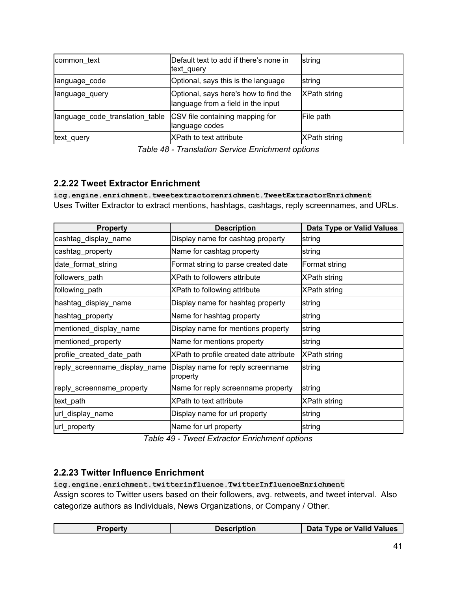| common text                     | Default text to add if there's none in<br>text_query                        | string              |
|---------------------------------|-----------------------------------------------------------------------------|---------------------|
| language_code                   | Optional, says this is the language                                         | string              |
| language_query                  | Optional, says here's how to find the<br>language from a field in the input | <b>XPath string</b> |
| language code translation table | CSV file containing mapping for<br>language codes                           | File path           |
| text_query                      | XPath to text attribute                                                     | <b>XPath string</b> |

*Table 48 - Translation Service Enrichment options*

## <span id="page-40-0"></span>**2.2.22 Tweet Extractor Enrichment**

**icg.engine.enrichment.tweetextractorenrichment.TweetExtractorEnrichment** Uses Twitter Extractor to extract mentions, hashtags, cashtags, reply screennames, and URLs.

| <b>Property</b>               | <b>Description</b>                            | <b>Data Type or Valid Values</b> |
|-------------------------------|-----------------------------------------------|----------------------------------|
| cashtag_display_name          | Display name for cashtag property             | string                           |
| cashtag_property              | Name for cashtag property                     | string                           |
| date_format_string            | Format string to parse created date           | Format string                    |
| followers_path                | XPath to followers attribute                  | XPath string                     |
| following_path                | XPath to following attribute                  | <b>XPath string</b>              |
| hashtag_display_name          | Display name for hashtag property             | string                           |
| hashtag_property              | Name for hashtag property                     | string                           |
| mentioned_display_name        | Display name for mentions property            | string                           |
| mentioned_property            | Name for mentions property                    | string                           |
| profile_created_date_path     | XPath to profile created date attribute       | <b>XPath string</b>              |
| reply_screenname_display_name | Display name for reply screenname<br>property | string                           |
| reply_screenname_property     | Name for reply screenname property            | string                           |
| text_path                     | XPath to text attribute                       | <b>XPath string</b>              |
| url_display_name              | Display name for url property                 | string                           |
| url_property                  | Name for url property                         | string                           |

*Table 49 - Tweet Extractor Enrichment options*

## <span id="page-40-1"></span>**2.2.23 Twitter Influence Enrichment**

**icg.engine.enrichment.twitterinfluence.TwitterInfluenceEnrichment**

Assign scores to Twitter users based on their followers, avg. retweets, and tweet interval. Also categorize authors as Individuals, News Organizations, or Company / Other.

| Description | Data Type or Valid Values |
|-------------|---------------------------|
|             |                           |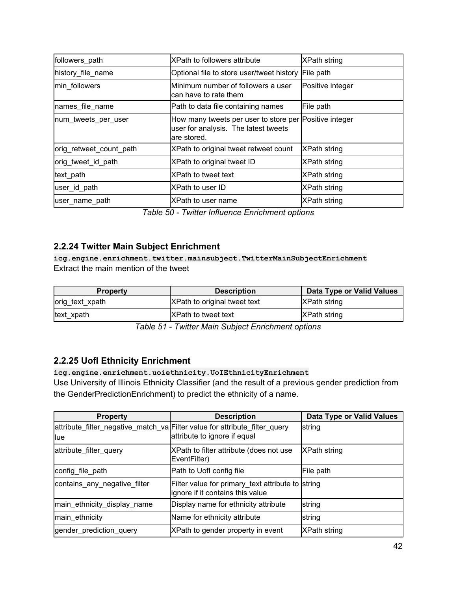| followers_path          | XPath to followers attribute                                                                                  | XPath string        |
|-------------------------|---------------------------------------------------------------------------------------------------------------|---------------------|
| history file name       | Optional file to store user/tweet history                                                                     | File path           |
| min followers           | Minimum number of followers a user<br>can have to rate them                                                   | Positive integer    |
| names file name         | Path to data file containing names                                                                            | File path           |
| num_tweets_per_user     | How many tweets per user to store per Positive integer<br>user for analysis. The latest tweets<br>are stored. |                     |
| orig_retweet_count_path | XPath to original tweet retweet count                                                                         | <b>XPath string</b> |
| orig tweet id path      | XPath to original tweet ID                                                                                    | <b>XPath string</b> |
| text path               | XPath to tweet text                                                                                           | XPath string        |
| user id path            | XPath to user ID                                                                                              | <b>XPath string</b> |
| user_name_path          | XPath to user name                                                                                            | <b>XPath string</b> |

*Table 50 - Twitter Influence Enrichment options*

## <span id="page-41-0"></span>**2.2.24 Twitter Main Subject Enrichment**

**icg.engine.enrichment.twitter.mainsubject.TwitterMainSubjectEnrichment** Extract the main mention of the tweet

| <b>Property</b> | <b>Description</b>           | Data Type or Valid Values |
|-----------------|------------------------------|---------------------------|
| orig_text_xpath | XPath to original tweet text | <b>XPath string</b>       |
| text_xpath      | <b>IXPath to tweet text</b>  | <b>XPath string</b>       |

*Table 51 - Twitter Main Subject Enrichment options*

### <span id="page-41-1"></span>**2.2.25 UofI Ethnicity Enrichment**

#### **icg.engine.enrichment.uoiethnicity.UoIEthnicityEnrichment**

Use University of Illinois Ethnicity Classifier (and the result of a previous gender prediction from the GenderPredictionEnrichment) to predict the ethnicity of a name.

| <b>Property</b>              | <b>Description</b>                                                                                         | Data Type or Valid Values |
|------------------------------|------------------------------------------------------------------------------------------------------------|---------------------------|
| <b>llue</b>                  | attribute_filter_negative_match_va Filter value for attribute_filter_query<br>attribute to ignore if equal | string                    |
| attribute_filter_query       | XPath to filter attribute (does not use<br>EventFilter)                                                    | <b>XPath string</b>       |
| config_file_path             | Path to Uofl config file                                                                                   | File path                 |
| contains_any_negative_filter | Filter value for primary_text attribute to string<br>ignore if it contains this value                      |                           |
| main_ethnicity_display_name  | Display name for ethnicity attribute                                                                       | string                    |
| main_ethnicity               | Name for ethnicity attribute                                                                               | string                    |
| gender prediction query      | XPath to gender property in event                                                                          | XPath string              |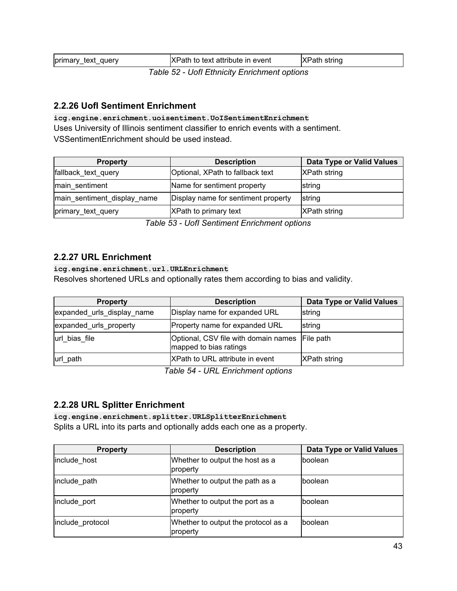| primary_text_query                         | XPath to text attribute in event | XPath string |
|--------------------------------------------|----------------------------------|--------------|
| Table 52 Usfl Ethnicity Enrichment options |                                  |              |

*Table 52 - UofI Ethnicity Enrichment options*

## <span id="page-42-0"></span>**2.2.26 UofI Sentiment Enrichment**

**icg.engine.enrichment.uoisentiment.UoISentimentEnrichment** Uses University of Illinois sentiment classifier to enrich events with a sentiment. VSSentimentEnrichment should be used instead.

| <b>Property</b>             | <b>Description</b>                  | Data Type or Valid Values |
|-----------------------------|-------------------------------------|---------------------------|
| fallback_text_query         | Optional, XPath to fallback text    | <b>XPath string</b>       |
| main sentiment              | Name for sentiment property         | string                    |
| main_sentiment_display_name | Display name for sentiment property | string                    |
| primary_text_query          | XPath to primary text               | <b>XPath string</b>       |

*Table 53 - UofI Sentiment Enrichment options*

### <span id="page-42-1"></span>**2.2.27 URL Enrichment**

**icg.engine.enrichment.url.URLEnrichment**

Resolves shortened URLs and optionally rates them according to bias and validity.

| <b>Property</b>            | <b>Description</b>                                             | Data Type or Valid Values |
|----------------------------|----------------------------------------------------------------|---------------------------|
| expanded_urls_display_name | Display name for expanded URL                                  | string                    |
| expanded urls property     | Property name for expanded URL                                 | string                    |
| url bias file              | Optional, CSV file with domain names<br>mapped to bias ratings | File path                 |
| url_path                   | XPath to URL attribute in event                                | <b>XPath string</b>       |

*Table 54 - URL Enrichment options*

### <span id="page-42-2"></span>**2.2.28 URL Splitter Enrichment**

**icg.engine.enrichment.splitter.URLSplitterEnrichment** Splits a URL into its parts and optionally adds each one as a property.

| <b>Property</b>  | <b>Description</b>                              | <b>Data Type or Valid Values</b> |
|------------------|-------------------------------------------------|----------------------------------|
| include host     | Whether to output the host as a<br>property     | boolean                          |
| include path     | Whether to output the path as a<br>property     | boolean                          |
| include_port     | Whether to output the port as a<br>property     | boolean                          |
| include protocol | Whether to output the protocol as a<br>property | boolean                          |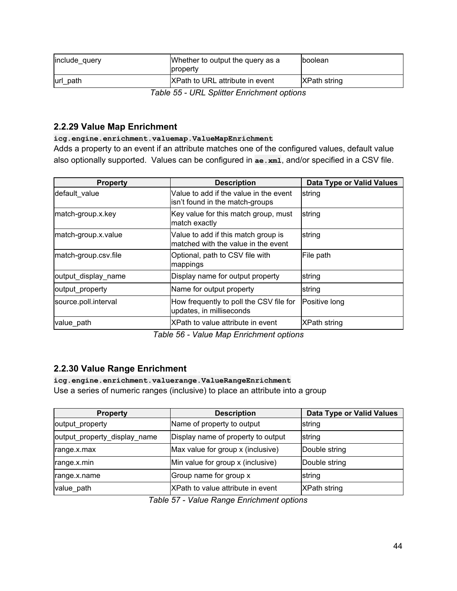| include query | Whether to output the query as a<br><b>Iproperty</b> | Iboolean             |
|---------------|------------------------------------------------------|----------------------|
| lurl path     | XPath to URL attribute in event                      | <b>IXPath string</b> |

*Table 55 - URL Splitter Enrichment options*

### <span id="page-43-0"></span>**2.2.29 Value Map Enrichment**

#### **icg.engine.enrichment.valuemap.ValueMapEnrichment**

Adds a property to an event if an attribute matches one of the configured values, default value also optionally supported. Values can be configured in **ae.xml**, and/or specified in a CSV file.

| <b>Property</b>      | <b>Description</b>                                                         | <b>Data Type or Valid Values</b> |
|----------------------|----------------------------------------------------------------------------|----------------------------------|
| default value        | Value to add if the value in the event<br>isn't found in the match-groups  | string                           |
| match-group.x.key    | Key value for this match group, must<br>match exactly                      | string                           |
| match-group.x.value  | Value to add if this match group is<br>matched with the value in the event | string                           |
| match-group.csv.file | Optional, path to CSV file with<br>mappings                                | File path                        |
| output display name  | Display name for output property                                           | string                           |
| output_property      | Name for output property                                                   | string                           |
| source.poll.interval | How frequently to poll the CSV file for<br>updates, in milliseconds        | Positive long                    |
| value path           | XPath to value attribute in event                                          | XPath string                     |

*Table 56 - Value Map Enrichment options*

## <span id="page-43-1"></span>**2.2.30 Value Range Enrichment**

**icg.engine.enrichment.valuerange.ValueRangeEnrichment** Use a series of numeric ranges (inclusive) to place an attribute into a group

| <b>Property</b>              | <b>Description</b>                 | Data Type or Valid Values |
|------------------------------|------------------------------------|---------------------------|
| output_property              | Name of property to output         | string                    |
| output_property_display_name | Display name of property to output | string                    |
| range.x.max                  | Max value for group x (inclusive)  | Double string             |
| range.x.min                  | Min value for group x (inclusive)  | Double string             |
| range.x.name                 | Group name for group x             | string                    |
| value_path                   | XPath to value attribute in event  | <b>XPath string</b>       |

*Table 57 - Value Range Enrichment options*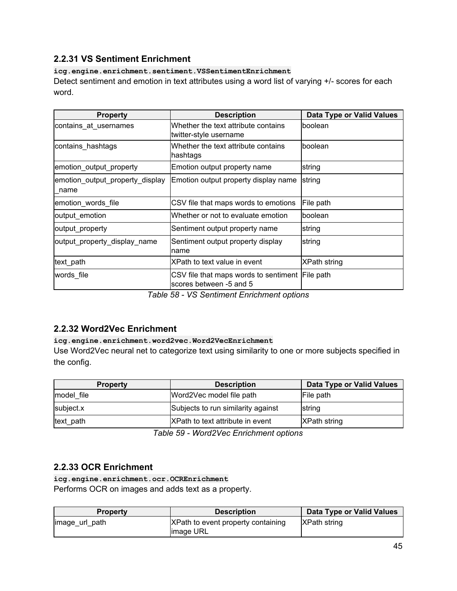## <span id="page-44-0"></span>**2.2.31 VS Sentiment Enrichment**

#### **icg.engine.enrichment.sentiment.VSSentimentEnrichment**

Detect sentiment and emotion in text attributes using a word list of varying +/- scores for each word.

| <b>Property</b>                         | <b>Description</b>                                                                                                               | <b>Data Type or Valid Values</b> |
|-----------------------------------------|----------------------------------------------------------------------------------------------------------------------------------|----------------------------------|
| contains_at_usernames                   | Whether the text attribute contains<br>twitter-style username                                                                    | boolean                          |
| contains hashtags                       | Whether the text attribute contains<br>hashtags                                                                                  | boolean                          |
| emotion_output_property                 | Emotion output property name                                                                                                     | string                           |
| emotion_output_property_display<br>name | Emotion output property display name                                                                                             | string                           |
| emotion words file                      | CSV file that maps words to emotions                                                                                             | File path                        |
| output_emotion                          | Whether or not to evaluate emotion                                                                                               | boolean                          |
| output_property                         | Sentiment output property name                                                                                                   | string                           |
| output_property_display_name            | Sentiment output property display<br>name                                                                                        | string                           |
| text_path                               | XPath to text value in event                                                                                                     | <b>XPath string</b>              |
| words file                              | CSV file that maps words to sentiment File path<br>scores between -5 and 5<br>$\tau$ -ki- FOI 140.0-afar-af $\tau$ ad-ka-af-afar |                                  |

*Table 58 - VS Sentiment Enrichment options*

## <span id="page-44-1"></span>**2.2.32 Word2Vec Enrichment**

#### **icg.engine.enrichment.word2vec.Word2VecEnrichment**

Use Word2Vec neural net to categorize text using similarity to one or more subjects specified in the config.

| <b>Property</b> | <b>Description</b>                 | Data Type or Valid Values |
|-----------------|------------------------------------|---------------------------|
| model file      | Word2Vec model file path           | File path                 |
| subject.x       | Subjects to run similarity against | <b>Istring</b>            |
| text_path       | XPath to text attribute in event   | <b>XPath string</b>       |

*Table 59 - Word2Vec Enrichment options*

## <span id="page-44-2"></span>**2.2.33 OCR Enrichment**

**icg.engine.enrichment.ocr.OCREnrichment** Performs OCR on images and adds text as a property.

| <b>Property</b> | <b>Description</b>                               | Data Type or Valid Values |
|-----------------|--------------------------------------------------|---------------------------|
| limage_url_path | XPath to event property containing<br>limage URL | <b>XPath string</b>       |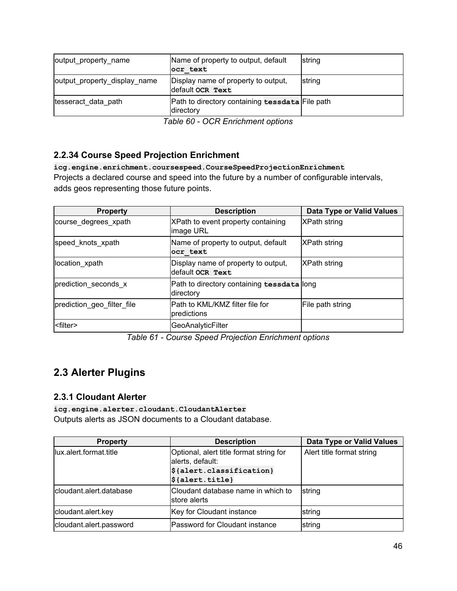| output property name         | Name of property to output, default<br>ocr text              | string |
|------------------------------|--------------------------------------------------------------|--------|
| output property display name | Display name of property to output,<br>default ock Text      | string |
| tesseract data path          | Path to directory containing tessdata File path<br>directory |        |

*Table 60 - OCR Enrichment options*

## <span id="page-45-0"></span>**2.2.34 Course Speed Projection Enrichment**

**icg.engine.enrichment.coursespeed.CourseSpeedProjectionEnrichment** Projects a declared course and speed into the future by a number of configurable intervals, adds geos representing those future points.

| <b>Property</b>            | <b>Description</b>                                      | <b>Data Type or Valid Values</b> |
|----------------------------|---------------------------------------------------------|----------------------------------|
| course degrees xpath       | XPath to event property containing<br>image URL         | XPath string                     |
| speed knots xpath          | Name of property to output, default<br>ocr text         | <b>XPath string</b>              |
| location xpath             | Display name of property to output,<br>default ocr Text | <b>XPath string</b>              |
| prediction seconds x       | Path to directory containing tessdata long<br>directory |                                  |
| prediction geo filter file | IPath to KML/KMZ filter file for<br>predictions         | File path string                 |
| <filter></filter>          | <b>GeoAnalyticFilter</b>                                |                                  |

*Table 61 - Course Speed Projection Enrichment options*

# <span id="page-45-1"></span>**2.3 Alerter Plugins**

### <span id="page-45-2"></span>**2.3.1 Cloudant Alerter**

**icg.engine.alerter.cloudant.CloudantAlerter** Outputs alerts as JSON documents to a Cloudant database.

| <b>Property</b>         | <b>Description</b>                                          | <b>Data Type or Valid Values</b> |
|-------------------------|-------------------------------------------------------------|----------------------------------|
| lux.alert.format.title  | Optional, alert title format string for<br>alerts, default: | Alert title format string        |
|                         | $\frac{1}{2}$ {alert.classification}                        |                                  |
|                         | $\frac{1}{2}$ {alert.title}                                 |                                  |
| cloudant.alert.database | Cloudant database name in which to<br><b>Istore alerts</b>  | string                           |
| cloudant.alert.key      | Key for Cloudant instance                                   | string                           |
| cloudant.alert.password | Password for Cloudant instance                              | string                           |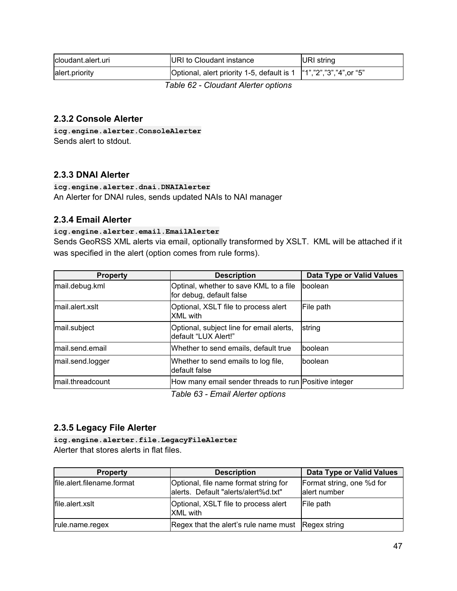| Icloudant.alert.uri                 | <b>IURI to Cloudant instance</b>                                        | URI string |
|-------------------------------------|-------------------------------------------------------------------------|------------|
| alert.priority                      | Optional, alert priority 1-5, default is 1   "1", "2", "3", "4", or "5" |            |
| Table CO, Claudeval Alexter antique |                                                                         |            |

*Table 62 - Cloudant Alerter options*

### <span id="page-46-0"></span>**2.3.2 Console Alerter**

**icg.engine.alerter.ConsoleAlerter** Sends alert to stdout.

### <span id="page-46-1"></span>**2.3.3 DNAI Alerter**

**icg.engine.alerter.dnai.DNAIAlerter** An Alerter for DNAI rules, sends updated NAIs to NAI manager

### <span id="page-46-2"></span>**2.3.4 Email Alerter**

#### **icg.engine.alerter.email.EmailAlerter**

Sends GeoRSS XML alerts via email, optionally transformed by XSLT. KML will be attached if it was specified in the alert (option comes from rule forms).

| <b>Property</b>  | <b>Description</b>                                                 | Data Type or Valid Values |
|------------------|--------------------------------------------------------------------|---------------------------|
| mail.debug.kml   | Optinal, whether to save KML to a file<br>for debug, default false | boolean                   |
| mail.alert.xslt  | Optional, XSLT file to process alert<br><b>XML</b> with            | File path                 |
| mail.subject     | Optional, subject line for email alerts,<br>default "LUX Alert!"   | string                    |
| mail.send.email  | Whether to send emails, default true                               | boolean                   |
| mail.send.logger | Whether to send emails to log file,<br>default false               | <b>Iboolean</b>           |
| mail.threadcount | How many email sender threads to run Positive integer              |                           |
|                  | Tahle 63 - Email Alerter ontions                                   |                           |

*Table 63 - Email Alerter options*

## <span id="page-46-3"></span>**2.3.5 Legacy File Alerter**

**icg.engine.alerter.file.LegacyFileAlerter** Alerter that stores alerts in flat files.

| <b>Property</b>            | <b>Description</b>                                                            | Data Type or Valid Values                 |
|----------------------------|-------------------------------------------------------------------------------|-------------------------------------------|
| file.alert.filename.format | Optional, file name format string for<br>alerts. Default "alerts/alert%d.txt" | Format string, one %d for<br>alert number |
| file.alert.xslt            | Optional, XSLT file to process alert<br><b>XML</b> with                       | File path                                 |
| rule.name.regex            | Regex that the alert's rule name must Regex string                            |                                           |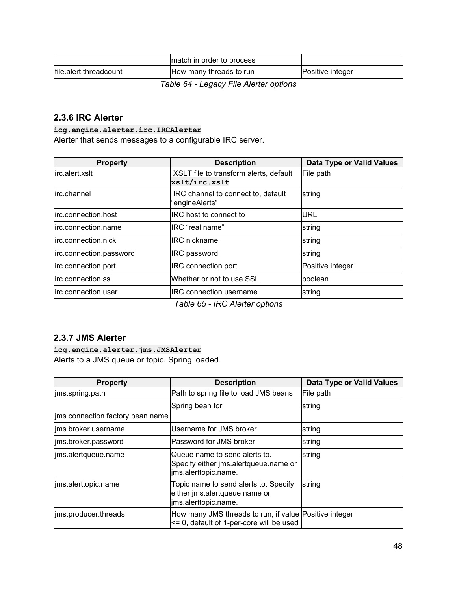|                        | match in order to process |                  |
|------------------------|---------------------------|------------------|
| file.alert.threadcount | How many threads to run   | Positive integer |

*Table 64 - Legacy File Alerter options*

### <span id="page-47-0"></span>**2.3.6 IRC Alerter**

**icg.engine.alerter.irc.IRCAlerter**

Alerter that sends messages to a configurable IRC server.

| XSLT file to transform alerts, default               |                                      |
|------------------------------------------------------|--------------------------------------|
| xslt/irc.xslt                                        | File path                            |
| IRC channel to connect to, default<br>"engineAlerts" | string                               |
| IRC host to connect to                               | URL                                  |
| IRC "real name"                                      | string                               |
| <b>IRC</b> nickname                                  | string                               |
| <b>IRC</b> password                                  | string                               |
| <b>IRC</b> connection port                           | Positive integer                     |
| Whether or not to use SSL                            | boolean                              |
| <b>IRC</b> connection username                       | string                               |
|                                                      | $T_2$ ble $2F$ , IDO Alexter entiano |

*Table 65 - IRC Alerter options*

## <span id="page-47-1"></span>**2.3.7 JMS Alerter**

**icg.engine.alerter.jms.JMSAlerter** Alerts to a JMS queue or topic. Spring loaded.

| <b>Property</b>                  | <b>Description</b>                                                                                     | <b>Data Type or Valid Values</b> |
|----------------------------------|--------------------------------------------------------------------------------------------------------|----------------------------------|
| jms.spring.path                  | Path to spring file to load JMS beans                                                                  | File path                        |
|                                  | Spring bean for                                                                                        | string                           |
| ims.connection.factory.bean.name |                                                                                                        |                                  |
| lims.broker.username             | Username for JMS broker                                                                                | string                           |
| ims.broker.password              | Password for JMS broker                                                                                | string                           |
| jms.alertqueue.name              | lQueue name to send alerts to.<br>Specify either jms.alertqueue.name or<br>ims.alerttopic.name.        | string                           |
| ims.alerttopic.name              | Topic name to send alerts to. Specify<br>either ims.alertqueue.name or<br>ims.alerttopic.name.         | string                           |
| ims.producer.threads             | How many JMS threads to run, if value Positive integer<br>$\leq$ 0, default of 1-per-core will be used |                                  |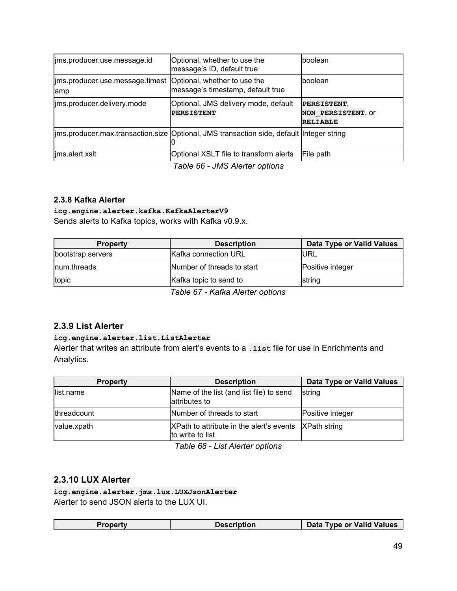| ims.producer.use.message.id                                            | Optional, whether to use the<br>message's ID, default true                                 | lboolean                                             |
|------------------------------------------------------------------------|--------------------------------------------------------------------------------------------|------------------------------------------------------|
| lims.producer.use.message.timest   Optional, whether to use the<br>amp | message's timestamp, default true                                                          | lboolean                                             |
| ims.producer.delivery.mode                                             | Optional, JMS delivery mode, default<br><b>PERSISTENT</b>                                  | PERSISTENT,<br>NON PERSISTENT, OF<br><b>RELIABLE</b> |
|                                                                        | ims.producer.max.transaction.size  Optional, JMS transaction side, default  Integer string |                                                      |
| ims.alert.xslt                                                         | Optional XSLT file to transform alerts<br>$\tau$ is a notative in the set of $\tau$        | File path                                            |

*Table 66 - JMS Alerter options*

### **2.3.8 Kafka Alerter**

# **icg.engine.alerter.kafka.KafkaAlerterV9**

Sends alerts to Kafka topics, works with Kafka v0.9.x.

| <b>Property</b>   | <b>Description</b>           | Data Type or Valid Values |
|-------------------|------------------------------|---------------------------|
| bootstrap.servers | <b>Kafka connection URL</b>  | <b>IURL</b>               |
| Inum.threads      | Number of threads to start   | Positive integer          |
| topic             | Kafka topic to send to       | string                    |
|                   | Toble C7 Vefice Alexandriano |                           |

*Table 67 - Kafka Alerter options*

### <span id="page-48-0"></span>**2.3.9 List Alerter**

#### **icg.engine.alerter.list.ListAlerter**

Alerter that writes an attribute from alert's events to a **.list** file for use in Enrichments and Analytics.

| <b>Property</b>     | <b>Description</b>                                                        | <b>Data Type or Valid Values</b> |
|---------------------|---------------------------------------------------------------------------|----------------------------------|
| list.name           | Name of the list (and list file) to send<br>attributes to                 | string                           |
| <i>Ithreadcount</i> | Number of threads to start                                                | Positive integer                 |
| value.xpath         | XPath to attribute in the alert's events XPath string<br>to write to list |                                  |

*Table 68 - List Alerter options*

### <span id="page-48-1"></span>**2.3.10 LUX Alerter**

**icg.engine.alerter.jms.lux.LUXJsonAlerter** Alerter to send JSON alerts to the LUX UI.

| Property | <b>Description</b> | Data Type or Valid Values |
|----------|--------------------|---------------------------|
|----------|--------------------|---------------------------|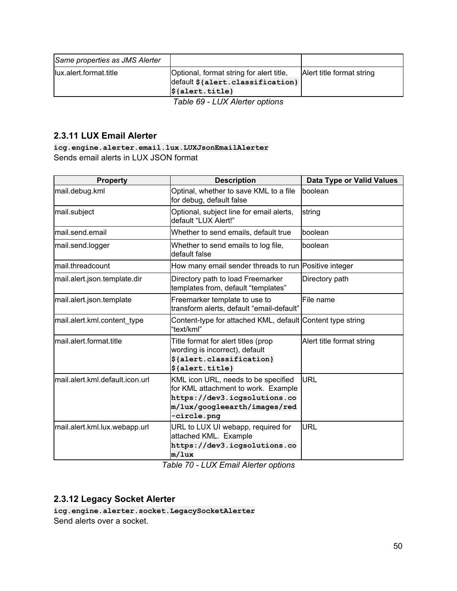| Same properties as JMS Alerter |                                                                                                                      |                           |
|--------------------------------|----------------------------------------------------------------------------------------------------------------------|---------------------------|
| lux.alert.format.title         | Optional, format string for alert title,<br>default \${alert.classification}<br>$\mathcal{S}\{\text{alert.title}\}\$ | Alert title format string |
|                                | Table 69 - LUX Alerter options                                                                                       |                           |

### <span id="page-49-0"></span>**2.3.11 LUX Email Alerter**

**icg.engine.alerter.email.lux.LUXJsonEmailAlerter** Sends email alerts in LUX JSON format

| <b>Property</b>                 | <b>Description</b>                                                                                                                                        | <b>Data Type or Valid Values</b> |
|---------------------------------|-----------------------------------------------------------------------------------------------------------------------------------------------------------|----------------------------------|
| mail.debug.kml                  | Optinal, whether to save KML to a file<br>for debug, default false                                                                                        | boolean                          |
| mail.subject                    | Optional, subject line for email alerts,<br>default "LUX Alert!"                                                                                          | string                           |
| mail.send.email                 | Whether to send emails, default true                                                                                                                      | boolean                          |
| mail.send.logger                | Whether to send emails to log file,<br>default false                                                                                                      | boolean                          |
| mail.threadcount                | How many email sender threads to run Positive integer                                                                                                     |                                  |
| mail.alert.json.template.dir    | Directory path to load Freemarker<br>templates from, default "templates"                                                                                  | Directory path                   |
| mail.alert.json.template        | Freemarker template to use to<br>transform alerts, default "email-default"                                                                                | File name                        |
| mail.alert.kml.content_type     | Content-type for attached KML, default Content type string<br>"text/kml"                                                                                  |                                  |
| mail.alert.format.title         | Title format for alert titles (prop<br>wording is incorrect), default<br>\${alert.classification}<br>\${alert.title}                                      | Alert title format string        |
| mail.alert.kml.default.icon.url | KML icon URL, needs to be specified<br>for KML attachment to work. Example<br>https://dev3.icgsolutions.co<br>m/lux/googleearth/images/red<br>-circle.png | <b>URL</b>                       |
| mail.alert.kml.lux.webapp.url   | URL to LUX UI webapp, required for<br>attached KML. Example<br>https://dev3.icgsolutions.co<br>m/lux                                                      | <b>URL</b>                       |

*Table 70 - LUX Email Alerter options*

## <span id="page-49-1"></span>**2.3.12 Legacy Socket Alerter**

**icg.engine.alerter.socket.LegacySocketAlerter** Send alerts over a socket.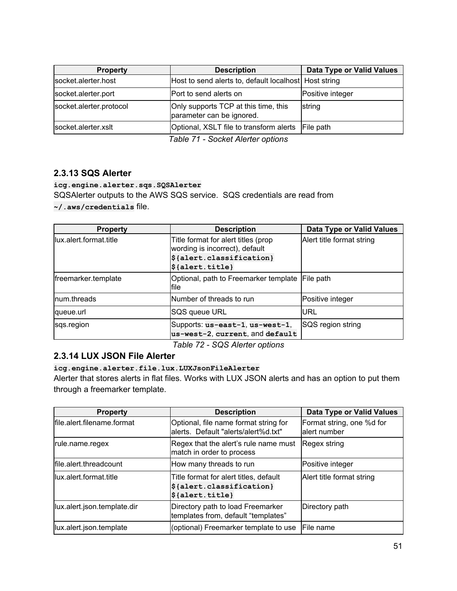| <b>Property</b>         | <b>Description</b>                                                | Data Type or Valid Values |
|-------------------------|-------------------------------------------------------------------|---------------------------|
| socket.alerter.host     | Host to send alerts to, default localhost Host string             |                           |
| socket.alerter.port     | Port to send alerts on                                            | Positive integer          |
| socket.alerter.protocol | Only supports TCP at this time, this<br>parameter can be ignored. | string                    |
| socket.alerter.xslt     | Optional, XSLT file to transform alerts File path                 |                           |

*Table 71 - Socket Alerter options*

## <span id="page-50-0"></span>**2.3.13 SQS Alerter**

**icg.engine.alerter.sqs.SQSAlerter**

SQSAlerter outputs to the AWS SQS service. SQS credentials are read from

**~/.aws/credentials** file.

| <b>Property</b>         | <b>Description</b>                                                                                                                                                 | Data Type or Valid Values |
|-------------------------|--------------------------------------------------------------------------------------------------------------------------------------------------------------------|---------------------------|
| llux.alert.format.title | Title format for alert titles (prop<br>wording is incorrect), default<br>\${alert.classification}<br>$ \boldsymbol{\mathsf{\$}}\{\texttt{alert}.\texttt{title}\} $ | Alert title format string |
| freemarker.template     | Optional, path to Freemarker template<br>lfile                                                                                                                     | File path                 |
| num.threads             | Number of threads to run                                                                                                                                           | Positive integer          |
| queue.url               | SQS queue URL                                                                                                                                                      | iurl                      |
| sqs.region              | Supports: us-east-1, us-west-1,<br>us-west-2, current, and default                                                                                                 | <b>SQS</b> region string  |

*Table 72 - SQS Alerter options*

## <span id="page-50-1"></span>**2.3.14 LUX JSON File Alerter**

**icg.engine.alerter.file.lux.LUXJsonFileAlerter**

Alerter that stores alerts in flat files. Works with LUX JSON alerts and has an option to put them through a freemarker template.

| <b>Property</b>             | <b>Description</b>                                                                                | <b>Data Type or Valid Values</b>           |
|-----------------------------|---------------------------------------------------------------------------------------------------|--------------------------------------------|
| file.alert.filename.format  | Optional, file name format string for<br>lalerts. Default "alerts/alert%d.txt"                    | Format string, one %d for<br>lalert number |
| rule.name.regex             | Regex that the alert's rule name must<br>match in order to process                                | Regex string                               |
| file.alert.threadcount      | How many threads to run                                                                           | Positive integer                           |
| llux.alert.format.title     | Title format for alert titles, default<br>\${alert.classification}<br>$\frac{1}{2}$ {alert.title} | Alert title format string                  |
| lux.alert.json.template.dir | Directory path to load Freemarker<br>templates from, default "templates"                          | Directory path                             |
| lux.alert.json.template     | (optional) Freemarker template to use                                                             | <b>IFile name</b>                          |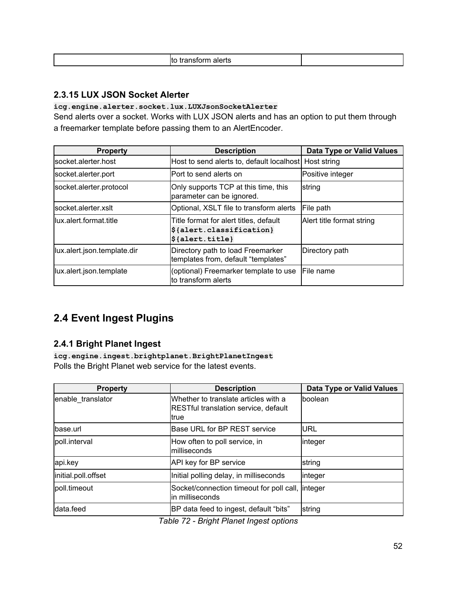| TOITH alerts<br>. .<br>. . |
|----------------------------|
|----------------------------|

### **2.3.15 LUX JSON Socket Alerter**

## **icg.engine.alerter.socket.lux.LUXJsonSocketAlerter**

Send alerts over a socket. Works with LUX JSON alerts and has an option to put them through a freemarker template before passing them to an AlertEncoder.

| <b>Property</b>             | <b>Description</b>                                                                                | <b>Data Type or Valid Values</b> |
|-----------------------------|---------------------------------------------------------------------------------------------------|----------------------------------|
| lsocket.alerter.host        | Host to send alerts to, default localhost Host string                                             |                                  |
| socket.alerter.port         | IPort to send alerts on                                                                           | Positive integer                 |
| socket.alerter.protocol     | Only supports TCP at this time, this<br>parameter can be ignored.                                 | string                           |
| lsocket.alerter.xslt        | Optional, XSLT file to transform alerts                                                           | File path                        |
| llux.alert.format.title     | Title format for alert titles, default<br>\${alert.classification}<br>$\frac{1}{2}$ {alert.title} | Alert title format string        |
| lux.alert.json.template.dir | Directory path to load Freemarker<br>templates from, default "templates"                          | Directory path                   |
| lux.alert.json.template     | (optional) Freemarker template to use<br>lto transform alerts                                     | File name                        |

## <span id="page-51-0"></span>**2.4 Event Ingest Plugins**

### <span id="page-51-1"></span>**2.4.1 Bright Planet Ingest**

**icg.engine.ingest.brightplanet.BrightPlanetIngest** Polls the Bright Planet web service for the latest events.

| <b>Property</b>     | <b>Description</b>                                                                    | <b>Data Type or Valid Values</b> |
|---------------------|---------------------------------------------------------------------------------------|----------------------------------|
| enable translator   | Whether to translate articles with a<br>RESTful translation service, default<br>ltrue | boolean                          |
| lbase.url           | Base URL for BP REST service                                                          | URL                              |
| poll.interval       | How often to poll service, in<br>Imilliseconds                                        | integer                          |
| api.key             | API key for BP service                                                                | string                           |
| initial.poll.offset | Initial polling delay, in milliseconds                                                | integer                          |
| poll.timeout        | Socket/connection timeout for poll call, integer<br>in milliseconds                   |                                  |
| data.feed           | BP data feed to ingest, default "bits"                                                | string                           |

*Table 72 - Bright Planet Ingest options*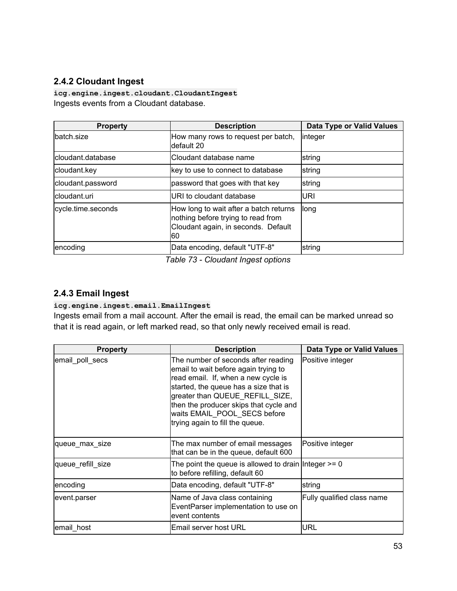## <span id="page-52-0"></span>**2.4.2 Cloudant Ingest**

**icg.engine.ingest.cloudant.CloudantIngest** Ingests events from a Cloudant database.

| <b>Property</b>    | <b>Description</b>                                                                                                         | <b>Data Type or Valid Values</b> |
|--------------------|----------------------------------------------------------------------------------------------------------------------------|----------------------------------|
| batch.size         | How many rows to request per batch,<br>ldefault 20                                                                         | linteger                         |
| cloudant.database  | lCloudant database name                                                                                                    | string                           |
| cloudant.key       | key to use to connect to database                                                                                          | string                           |
| cloudant.password  | password that goes with that key                                                                                           | string                           |
| cloudant.uri       | URI to cloudant database                                                                                                   | <b>URI</b>                       |
| cycle.time.seconds | How long to wait after a batch returns<br>nothing before trying to read from<br>Cloudant again, in seconds. Default<br>I60 | long                             |
| encoding           | Data encoding, default "UTF-8"                                                                                             | string                           |

*Table 73 - Cloudant Ingest options*

### <span id="page-52-1"></span>**2.4.3 Email Ingest**

#### **icg.engine.ingest.email.EmailIngest**

Ingests email from a mail account. After the email is read, the email can be marked unread so that it is read again, or left marked read, so that only newly received email is read.

| <b>Property</b>   | <b>Description</b>                                                                                                                                                                                                                                                                                          | <b>Data Type or Valid Values</b> |
|-------------------|-------------------------------------------------------------------------------------------------------------------------------------------------------------------------------------------------------------------------------------------------------------------------------------------------------------|----------------------------------|
| email_poll_secs   | The number of seconds after reading<br>email to wait before again trying to<br>read email. If, when a new cycle is<br>started, the queue has a size that is<br>greater than QUEUE_REFILL_SIZE,<br>then the producer skips that cycle and<br>waits EMAIL_POOL_SECS before<br>trying again to fill the queue. | Positive integer                 |
| queue max size    | The max number of email messages<br>that can be in the queue, default 600                                                                                                                                                                                                                                   | Positive integer                 |
| queue refill size | The point the queue is allowed to drain Integer $>= 0$<br>to before refilling, default 60                                                                                                                                                                                                                   |                                  |
| encoding          | Data encoding, default "UTF-8"                                                                                                                                                                                                                                                                              | string                           |
| event.parser      | Name of Java class containing<br>EventParser implementation to use on<br>event contents                                                                                                                                                                                                                     | Fully qualified class name       |
| email host        | lEmail server host URL                                                                                                                                                                                                                                                                                      | URL                              |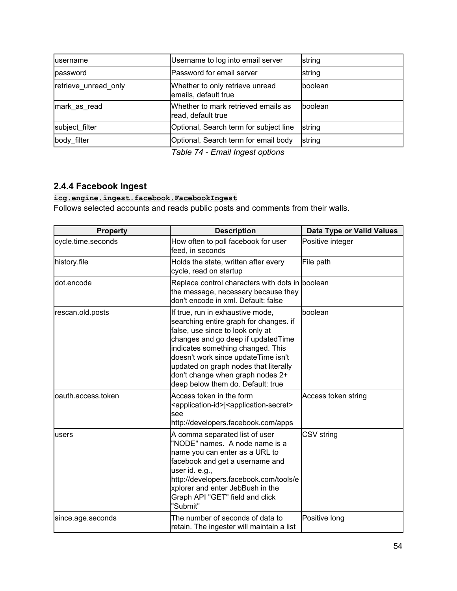| lusername            | Username to log into email server                         | string          |
|----------------------|-----------------------------------------------------------|-----------------|
| password             | Password for email server                                 | string          |
| retrieve unread only | Whether to only retrieve unread<br>emails, default true   | boolean         |
| mark as read         | Whether to mark retrieved emails as<br>read, default true | <b>Iboolean</b> |
| subject filter       | Optional, Search term for subject line                    | string          |
| body filter          | Optional, Search term for email body                      | string          |

*Table 74 - Email Ingest options*

## <span id="page-53-0"></span>**2.4.4 Facebook Ingest**

### **icg.engine.ingest.facebook.FacebookIngest**

Follows selected accounts and reads public posts and comments from their walls.

| <b>Property</b>    | <b>Description</b>                                                                                                                                                                                                                                                                                                                                 | <b>Data Type or Valid Values</b> |
|--------------------|----------------------------------------------------------------------------------------------------------------------------------------------------------------------------------------------------------------------------------------------------------------------------------------------------------------------------------------------------|----------------------------------|
| cycle.time.seconds | How often to poll facebook for user<br>feed, in seconds                                                                                                                                                                                                                                                                                            | Positive integer                 |
| history.file       | Holds the state, written after every<br>cycle, read on startup                                                                                                                                                                                                                                                                                     | File path                        |
| dot.encode         | Replace control characters with dots in boolean<br>the message, necessary because they<br>don't encode in xml. Default: false                                                                                                                                                                                                                      |                                  |
| rescan.old.posts   | If true, run in exhaustive mode,<br>searching entire graph for changes. if<br>false, use since to look only at<br>changes and go deep if updatedTime<br>indicates something changed. This<br>doesn't work since updateTime isn't<br>updated on graph nodes that literally<br>don't change when graph nodes 2+<br>deep below them do. Default: true | boolean                          |
| oauth.access.token | Access token in the form<br><application-id> <application-secret><br/>see<br/>http://developers.facebook.com/apps</application-secret></application-id>                                                                                                                                                                                            | Access token string              |
| lusers             | A comma separated list of user<br>"NODE" names. A node name is a<br>name you can enter as a URL to<br>facebook and get a username and<br>user id. e.g.,<br>http://developers.facebook.com/tools/e<br>xplorer and enter JebBush in the<br>Graph API "GET" field and click<br>"Submit"                                                               | CSV string                       |
| since.age.seconds  | The number of seconds of data to<br>retain. The ingester will maintain a list                                                                                                                                                                                                                                                                      | Positive long                    |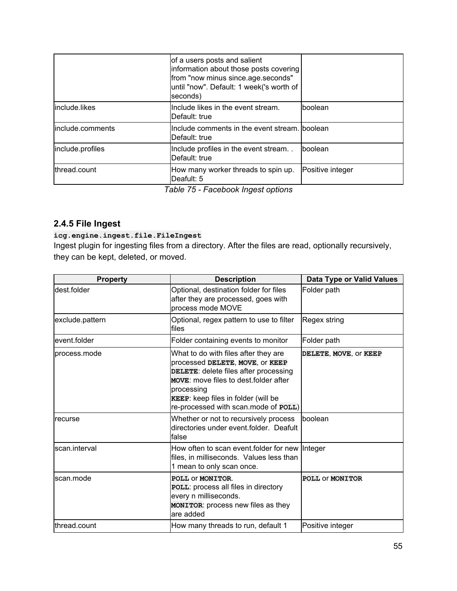|                  | of a users posts and salient<br>information about those posts covering<br>from "now minus since.age.seconds"<br>until "now". Default: 1 week('s worth of<br>seconds) |                  |
|------------------|----------------------------------------------------------------------------------------------------------------------------------------------------------------------|------------------|
| include.likes    | Include likes in the event stream.<br>Default: true                                                                                                                  | boolean          |
| include.comments | Include comments in the event stream. boolean<br>Default: true                                                                                                       |                  |
| include.profiles | Include profiles in the event stream<br>Default: true                                                                                                                | boolean          |
| thread.count     | How many worker threads to spin up.<br>Deafult: 5                                                                                                                    | Positive integer |

*Table 75 - Facebook Ingest options*

## <span id="page-54-0"></span>**2.4.5 File Ingest**

### **icg.engine.ingest.file.FileIngest**

Ingest plugin for ingesting files from a directory. After the files are read, optionally recursively, they can be kept, deleted, or moved.

| <b>Property</b> | <b>Description</b>                                                                                                                                                                                                                                     | Data Type or Valid Values |
|-----------------|--------------------------------------------------------------------------------------------------------------------------------------------------------------------------------------------------------------------------------------------------------|---------------------------|
| dest folder     | Optional, destination folder for files<br>after they are processed, goes with<br>process mode MOVE                                                                                                                                                     | Folder path               |
| exclude.pattern | Optional, regex pattern to use to filter<br>files                                                                                                                                                                                                      | Regex string              |
| event.folder    | Folder containing events to monitor                                                                                                                                                                                                                    | Folder path               |
| process.mode    | What to do with files after they are<br>processed DELETE, MOVE, OF KEEP<br>DELETE: delete files after processing<br>MOVE: move files to dest folder after<br>processing<br>KEEP: keep files in folder (will be<br>re-processed with scan.mode of POLL) | DELETE, MOVE, OF KEEP     |
| recurse         | Whether or not to recursively process<br>directories under event.folder. Deafult<br>false                                                                                                                                                              | <b>Iboolean</b>           |
| scan interval   | How often to scan event folder for new Integer<br>files, in milliseconds. Values less than<br>1 mean to only scan once.                                                                                                                                |                           |
| scan.mode       | POLL OF MONITOR.<br>POLL: process all files in directory<br>every n milliseconds.<br>MONITOR: process new files as they<br>are added                                                                                                                   | POLL OF MONITOR           |
| thread.count    | How many threads to run, default 1                                                                                                                                                                                                                     | Positive integer          |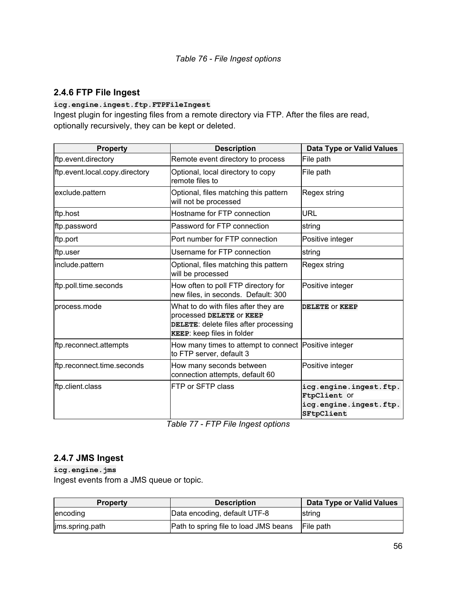## <span id="page-55-0"></span>**2.4.6 FTP File Ingest**

### **icg.engine.ingest.ftp.FTPFileIngest**

Ingest plugin for ingesting files from a remote directory via FTP. After the files are read, optionally recursively, they can be kept or deleted.

| <b>Property</b>                | <b>Description</b>                                                                                                                      | <b>Data Type or Valid Values</b>       |
|--------------------------------|-----------------------------------------------------------------------------------------------------------------------------------------|----------------------------------------|
| ftp.event.directory            | Remote event directory to process                                                                                                       | File path                              |
| ftp.event.local.copy.directory | Optional, local directory to copy<br>remote files to                                                                                    | File path                              |
| exclude.pattern                | Optional, files matching this pattern<br>will not be processed                                                                          | Regex string                           |
| ftp.host                       | Hostname for FTP connection                                                                                                             | <b>URL</b>                             |
| ftp.password                   | Password for FTP connection                                                                                                             | string                                 |
| ftp.port                       | Port number for FTP connection                                                                                                          | Positive integer                       |
| ftp.user                       | Username for FTP connection                                                                                                             | string                                 |
| include.pattern                | Optional, files matching this pattern<br>will be processed                                                                              | Regex string                           |
| ftp.poll.time.seconds          | How often to poll FTP directory for<br>new files, in seconds. Default: 300                                                              | Positive integer                       |
| process.mode                   | What to do with files after they are<br>processed DELETE OF KEEP<br>DELETE: delete files after processing<br>KEEP: keep files in folder | DELETE OF KEEP                         |
| ftp.reconnect.attempts         | How many times to attempt to connect Positive integer<br>to FTP server, default 3                                                       |                                        |
| ftp.reconnect.time.seconds     | How many seconds between<br>connection attempts, default 60                                                                             | Positive integer                       |
| ftp.client.class               | FTP or SFTP class                                                                                                                       | icg.engine.ingest.ftp.<br>FtpClient Of |
|                                |                                                                                                                                         | icg.engine.ingest.ftp.<br>SFtpClient   |

*Table 77 - FTP File Ingest options*

### <span id="page-55-1"></span>**2.4.7 JMS Ingest**

**icg.engine.jms** Ingest events from a JMS queue or topic.

| <b>Property</b> | <b>Description</b>                                     | Data Type or Valid Values |
|-----------------|--------------------------------------------------------|---------------------------|
| encoding        | Data encoding, default UTF-8                           | string                    |
| jms.spring.path | <b>Path to spring file to load JMS beans</b> File path |                           |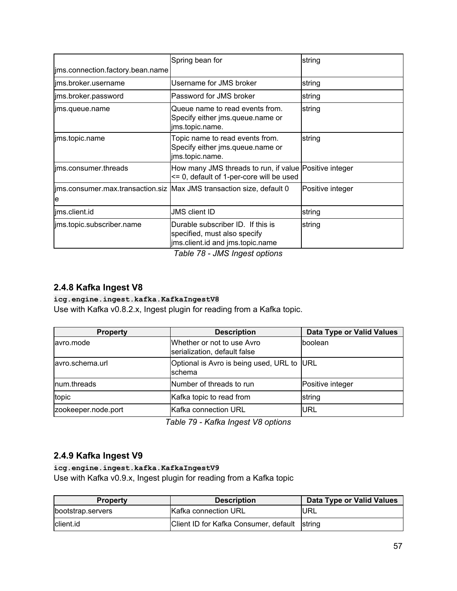|                                  | Spring bean for                                                                                                                      | string           |
|----------------------------------|--------------------------------------------------------------------------------------------------------------------------------------|------------------|
| jms.connection.factory.bean.name |                                                                                                                                      |                  |
| ims.broker.username              | Username for JMS broker                                                                                                              | string           |
| jms.broker.password              | lPassword for JMS broker                                                                                                             | string           |
| lims.queue.name                  | Queue name to read events from.<br>Specify either jms.queue.name or<br>jms.topic.name.                                               | string           |
| jms.topic.name                   | Topic name to read events from.<br>Specify either jms.queue.name or<br>jms.topic.name.                                               | string           |
| lims.consumer.threads            | How many JMS threads to run, if value Positive integer<br><= 0, default of 1-per-core will be used                                   |                  |
| e                                | jms.consumer.max.transaction.siz Max JMS transaction size, default 0                                                                 | Positive integer |
| lims.client.id                   | <b>JMS client ID</b>                                                                                                                 | string           |
| ims.topic.subscriber.name        | Durable subscriber ID. If this is<br>specified, must also specify<br>jms.client.id and jms.topic.name<br>— <i>11</i> — 20 11101 1111 | string           |

*Table 78 - JMS Ingest options*

### <span id="page-56-0"></span>**2.4.8 Kafka Ingest V8**

#### **icg.engine.ingest.kafka.KafkaIngestV8**

Use with Kafka v0.8.2.x, Ingest plugin for reading from a Kafka topic.

| <b>Property</b>     | <b>Description</b>                                         | <b>Data Type or Valid Values</b> |
|---------------------|------------------------------------------------------------|----------------------------------|
| lavro.mode          | Whether or not to use Avro<br>serialization, default false | boolean                          |
| avro.schema.url     | Optional is Avro is being used, URL to URL<br>schema       |                                  |
| Inum.threads        | Number of threads to run                                   | Positive integer                 |
| topic               | Kafka topic to read from                                   | string                           |
| zookeeper.node.port | Kafka connection URL                                       | <b>URL</b>                       |

*Table 79 - Kafka Ingest V8 options*

### <span id="page-56-1"></span>**2.4.9 Kafka Ingest V9**

### **icg.engine.ingest.kafka.KafkaIngestV9**

Use with Kafka v0.9.x, Ingest plugin for reading from a Kafka topic

| <b>Property</b>   | <b>Description</b>                           | Data Type or Valid Values |
|-------------------|----------------------------------------------|---------------------------|
| bootstrap.servers | Kafka connection URL                         | <b>IURL</b>               |
| Iclient.id        | Client ID for Kafka Consumer, default string |                           |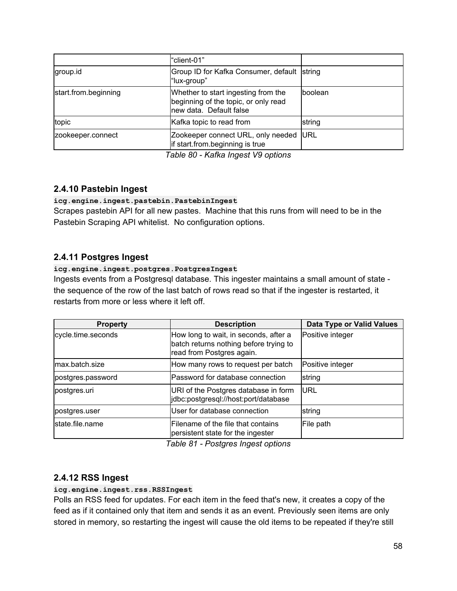|                      | "client-01"                                                                                            |             |
|----------------------|--------------------------------------------------------------------------------------------------------|-------------|
| group.id             | Group ID for Kafka Consumer, default string<br>"lux-group"                                             |             |
| start.from.beginning | Whether to start ingesting from the<br>beginning of the topic, or only read<br>new data. Default false | boolean     |
| topic                | Kafka topic to read from                                                                               | string      |
| zookeeper.connect    | Zookeeper connect URL, only needed<br>if start.from.beginning is true                                  | <b>IURL</b> |

*Table 80 - Kafka Ingest V9 options*

### <span id="page-57-0"></span>**2.4.10 Pastebin Ingest**

#### **icg.engine.ingest.pastebin.PastebinIngest**

Scrapes pastebin API for all new pastes. Machine that this runs from will need to be in the Pastebin Scraping API whitelist. No configuration options.

### <span id="page-57-1"></span>**2.4.11 Postgres Ingest**

#### **icg.engine.ingest.postgres.PostgresIngest**

Ingests events from a Postgresql database. This ingester maintains a small amount of state the sequence of the row of the last batch of rows read so that if the ingester is restarted, it restarts from more or less where it left off.

| <b>Property</b>    | <b>Description</b>                                                                                           | Data Type or Valid Values |
|--------------------|--------------------------------------------------------------------------------------------------------------|---------------------------|
| cycle.time.seconds | How long to wait, in seconds, after a<br>batch returns nothing before trying to<br>read from Postgres again. | Positive integer          |
| max.batch.size     | How many rows to request per batch                                                                           | Positive integer          |
| postgres.password  | Password for database connection                                                                             | string                    |
| postgres.uri       | URI of the Postgres database in form<br>jdbc:postgresql://host:port/database                                 | <b>IURL</b>               |
| postgres.user      | User for database connection                                                                                 | string                    |
| lstate.file.name   | Filename of the file that contains<br>persistent state for the ingester                                      | File path                 |

*Table 81 - Postgres Ingest options*

### <span id="page-57-2"></span>**2.4.12 RSS Ingest**

#### **icg.engine.ingest.rss.RSSIngest**

Polls an RSS feed for updates. For each item in the feed that's new, it creates a copy of the feed as if it contained only that item and sends it as an event. Previously seen items are only stored in memory, so restarting the ingest will cause the old items to be repeated if they're still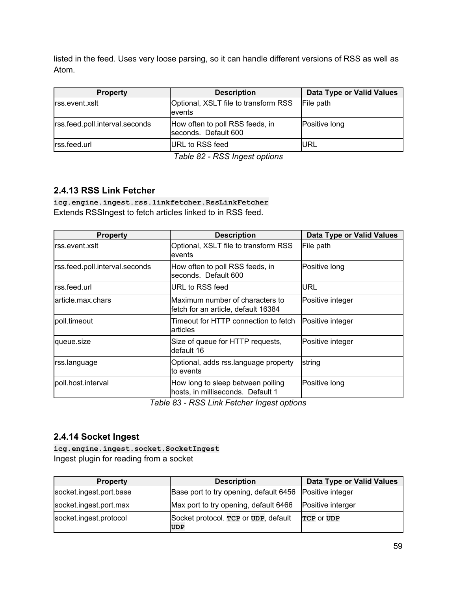listed in the feed. Uses very loose parsing, so it can handle different versions of RSS as well as Atom.

| <b>Property</b>                | <b>Description</b>                                      | <b>Data Type or Valid Values</b> |
|--------------------------------|---------------------------------------------------------|----------------------------------|
| rss.event.xslt                 | Optional, XSLT file to transform RSS<br>levents         | File path                        |
| rss.feed.poll.interval.seconds | How often to poll RSS feeds, in<br>seconds. Default 600 | Positive long                    |
| rss.feed.url                   | URL to RSS feed                                         | IURL                             |

*Table 82 - RSS Ingest options*

### <span id="page-58-0"></span>**2.4.13 RSS Link Fetcher**

**icg.engine.ingest.rss.linkfetcher.RssLinkFetcher** Extends RSSIngest to fetch articles linked to in RSS feed.

| <b>Property</b>                | <b>Description</b>                                                      | <b>Data Type or Valid Values</b> |
|--------------------------------|-------------------------------------------------------------------------|----------------------------------|
| rss.event.xslt                 | Optional, XSLT file to transform RSS<br>levents                         | File path                        |
| rss.feed.poll.interval.seconds | How often to poll RSS feeds, in<br>seconds. Default 600                 | Positive long                    |
| rss.feed.url                   | IURL to RSS feed                                                        | URL                              |
| larticle.max.chars             | lMaximum number of characters to<br>fetch for an article, default 16384 | lPositive integer                |
| poll.timeout                   | Timeout for HTTP connection to fetch<br>larticles                       | Positive integer                 |
| queue.size                     | Size of queue for HTTP requests,<br>ldefault 16                         | Positive integer                 |
| rss.language                   | Optional, adds rss.language property<br>lto events                      | string                           |
| poll.host.interval             | How long to sleep between polling<br>hosts, in milliseconds. Default 1  | Positive long                    |

*Table 83 - RSS Link Fetcher Ingest options*

### <span id="page-58-1"></span>**2.4.14 Socket Ingest**

**icg.engine.ingest.socket.SocketIngest** Ingest plugin for reading from a socket

| <b>Property</b>         | <b>Description</b>                                 | Data Type or Valid Values |
|-------------------------|----------------------------------------------------|---------------------------|
| socket.ingest.port.base | Base port to try opening, default 6456             | Positive integer          |
| socket.ingest.port.max  | Max port to try opening, default 6466              | Positive interger         |
| socket.ingest.protocol  | Socket protocol. TCP or UDP, default<br><b>UDP</b> | TCP OF UDP                |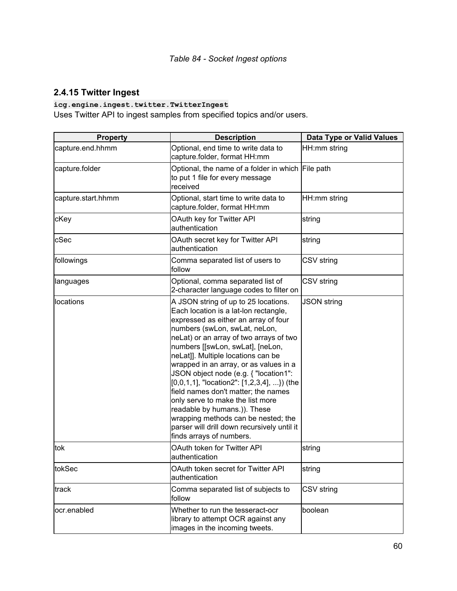## <span id="page-59-0"></span>**2.4.15 Twitter Ingest**

### **icg.engine.ingest.twitter.TwitterIngest**

Uses Twitter API to ingest samples from specified topics and/or users.

| <b>Property</b>    | <b>Description</b>                                                                                                                                                                                                                                                                                                                                                                                                                                                                                                                                                                                                                              | <b>Data Type or Valid Values</b> |
|--------------------|-------------------------------------------------------------------------------------------------------------------------------------------------------------------------------------------------------------------------------------------------------------------------------------------------------------------------------------------------------------------------------------------------------------------------------------------------------------------------------------------------------------------------------------------------------------------------------------------------------------------------------------------------|----------------------------------|
| capture.end.hhmm   | Optional, end time to write data to<br>capture.folder, format HH:mm                                                                                                                                                                                                                                                                                                                                                                                                                                                                                                                                                                             | HH:mm string                     |
| capture.folder     | Optional, the name of a folder in which File path<br>to put 1 file for every message<br>received                                                                                                                                                                                                                                                                                                                                                                                                                                                                                                                                                |                                  |
| capture.start.hhmm | Optional, start time to write data to<br>capture.folder, format HH:mm                                                                                                                                                                                                                                                                                                                                                                                                                                                                                                                                                                           | HH:mm string                     |
| cKey               | OAuth key for Twitter API<br>authentication                                                                                                                                                                                                                                                                                                                                                                                                                                                                                                                                                                                                     | string                           |
| cSec               | OAuth secret key for Twitter API<br>authentication                                                                                                                                                                                                                                                                                                                                                                                                                                                                                                                                                                                              | string                           |
| followings         | Comma separated list of users to<br>follow                                                                                                                                                                                                                                                                                                                                                                                                                                                                                                                                                                                                      | CSV string                       |
| languages          | Optional, comma separated list of<br>2-character language codes to filter on                                                                                                                                                                                                                                                                                                                                                                                                                                                                                                                                                                    | CSV string                       |
| locations          | A JSON string of up to 25 locations.<br>Each location is a lat-lon rectangle,<br>expressed as either an array of four<br>numbers (swLon, swLat, neLon,<br>neLat) or an array of two arrays of two<br>numbers [[swLon, swLat], [neLon,<br>neLat]]. Multiple locations can be<br>wrapped in an array, or as values in a<br>JSON object node (e.g. { "location1":<br>$[0,0,1,1]$ , "location2": $[1,2,3,4]$ , }) (the<br>field names don't matter; the names<br>only serve to make the list more<br>readable by humans.)). These<br>wrapping methods can be nested; the<br>parser will drill down recursively until it<br>finds arrays of numbers. | <b>JSON string</b>               |
| tok                | OAuth token for Twitter API<br>authentication                                                                                                                                                                                                                                                                                                                                                                                                                                                                                                                                                                                                   | string                           |
| tokSec             | OAuth token secret for Twitter API<br>authentication                                                                                                                                                                                                                                                                                                                                                                                                                                                                                                                                                                                            | string                           |
| track              | Comma separated list of subjects to<br>follow                                                                                                                                                                                                                                                                                                                                                                                                                                                                                                                                                                                                   | <b>CSV</b> string                |
| ocr.enabled        | Whether to run the tesseract-ocr<br>library to attempt OCR against any<br>images in the incoming tweets.                                                                                                                                                                                                                                                                                                                                                                                                                                                                                                                                        | boolean                          |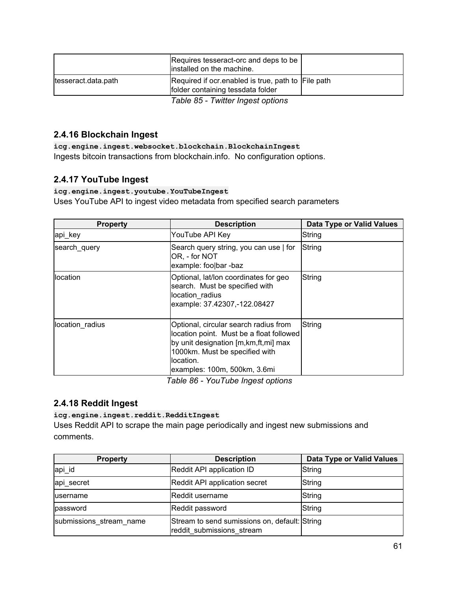|                     | Requires tesseract-orc and deps to be<br>installed on the machine.                       |  |
|---------------------|------------------------------------------------------------------------------------------|--|
| tesseract.data.path | Required if ocr. enabled is true, path to File path<br>folder containing tessdata folder |  |
|                     | Table 85 - Twitter Ingest options                                                        |  |

### <span id="page-60-0"></span>**2.4.16 Blockchain Ingest**

**icg.engine.ingest.websocket.blockchain.BlockchainIngest** Ingests bitcoin transactions from blockchain.info. No configuration options.

### <span id="page-60-1"></span>**2.4.17 YouTube Ingest**

#### **icg.engine.ingest.youtube.YouTubeIngest**

Uses YouTube API to ingest video metadata from specified search parameters

| <b>Property</b> | <b>Description</b>                                                                                                                                                                                           | <b>Data Type or Valid Values</b> |
|-----------------|--------------------------------------------------------------------------------------------------------------------------------------------------------------------------------------------------------------|----------------------------------|
| api_key         | YouTube API Key                                                                                                                                                                                              | <b>String</b>                    |
| search_query    | Search query string, you can use   for<br>OR, - for NOT<br>example: foolbar -baz                                                                                                                             | String                           |
| llocation       | Optional, lat/lon coordinates for geo<br>search. Must be specified with<br>location radius<br>example: 37.42307,-122.08427                                                                                   | String                           |
| location radius | Optional, circular search radius from<br>location point. Must be a float followed<br>by unit designation [m, km, ft, mi] max<br>1000km. Must be specified with<br>llocation.<br>examples: 100m, 500km, 3.6mi | String                           |

*Table 86 - YouTube Ingest options*

### <span id="page-60-2"></span>**2.4.18 Reddit Ingest**

#### **icg.engine.ingest.reddit.RedditIngest**

Uses Reddit API to scrape the main page periodically and ingest new submissions and comments.

| <b>Property</b>         | <b>Description</b>                                                         | <b>Data Type or Valid Values</b> |
|-------------------------|----------------------------------------------------------------------------|----------------------------------|
| api_id                  | Reddit API application ID                                                  | String                           |
| api secret              | Reddit API application secret                                              | String                           |
| lusername               | <b>IReddit username</b>                                                    | String                           |
| password                | Reddit password                                                            | String                           |
| submissions_stream_name | Stream to send sumissions on, default: String<br>reddit submissions stream |                                  |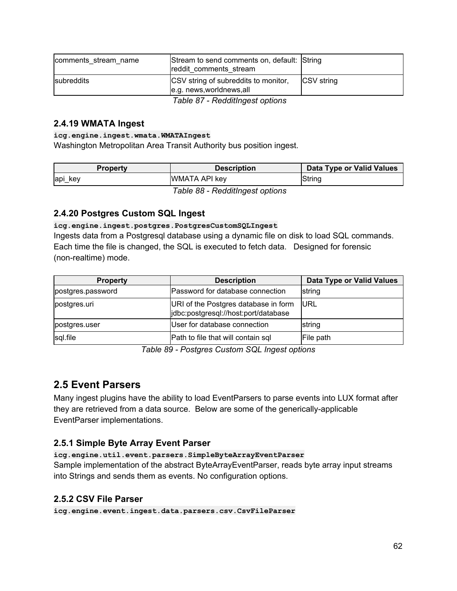| comments stream name | Stream to send comments on, default: String<br>reddit comments stream |                   |
|----------------------|-----------------------------------------------------------------------|-------------------|
| <b>Isubreddits</b>   | CSV string of subreddits to monitor,<br>e.g. news, worldnews, all     | <b>CSV</b> string |
|                      | Table 87 - RedditIngest options                                       |                   |

### <span id="page-61-0"></span>**2.4.19 WMATA Ingest**

#### **icg.engine.ingest.wmata.WMATAIngest**

Washington Metropolitan Area Transit Authority bus position ingest.

| <b>Property</b> | Description                   | Data Type or Valid Values |
|-----------------|-------------------------------|---------------------------|
| api key         | <b>WMATA API key</b>          | String                    |
|                 | Table 88 Badditlerent entiene |                           |

*Table 88 - RedditIngest options*

### <span id="page-61-1"></span>**2.4.20 Postgres Custom SQL Ingest**

#### **icg.engine.ingest.postgres.PostgresCustomSQLIngest**

Ingests data from a Postgresql database using a dynamic file on disk to load SQL commands. Each time the file is changed, the SQL is executed to fetch data. Designed for forensic (non-realtime) mode.

| <b>Property</b>   | <b>Description</b>                                                           | Data Type or Valid Values |
|-------------------|------------------------------------------------------------------------------|---------------------------|
| postgres.password | Password for database connection                                             | string                    |
| postgres.uri      | URI of the Postgres database in form<br>jdbc:postgresql://host:port/database | <b>IURL</b>               |
| postgres.user     | User for database connection                                                 | string                    |
| sql.file          | Path to file that will contain sql                                           | File path                 |

*Table 89 - Postgres Custom SQL Ingest options*

## <span id="page-61-2"></span>**2.5 Event Parsers**

Many ingest plugins have the ability to load EventParsers to parse events into LUX format after they are retrieved from a data source. Below are some of the generically-applicable EventParser implementations.

### <span id="page-61-3"></span>**2.5.1 Simple Byte Array Event Parser**

#### **icg.engine.util.event.parsers.SimpleByteArrayEventParser**

Sample implementation of the abstract ByteArrayEventParser, reads byte array input streams into Strings and sends them as events. No configuration options.

### <span id="page-61-4"></span>**2.5.2 CSV File Parser**

**icg.engine.event.ingest.data.parsers.csv.CsvFileParser**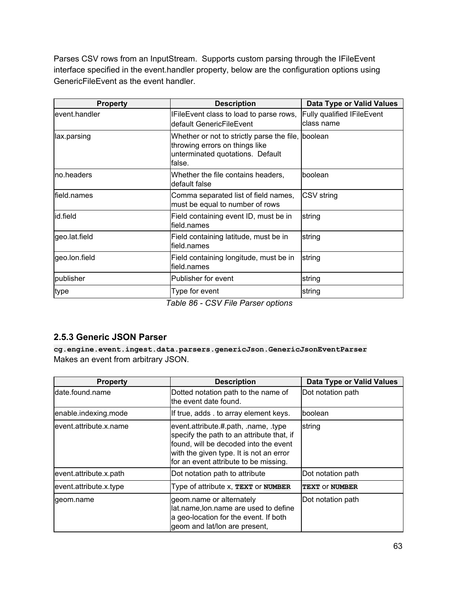Parses CSV rows from an InputStream. Supports custom parsing through the IFileEvent interface specified in the event.handler property, below are the configuration options using GenericFileEvent as the event handler.

| <b>Property</b> | <b>Description</b>                                                                                                                 | Data Type or Valid Values                       |
|-----------------|------------------------------------------------------------------------------------------------------------------------------------|-------------------------------------------------|
| event.handler   | IFileEvent class to load to parse rows,<br>default GenericFileEvent                                                                | <b>Fully qualified IFileEvent</b><br>class name |
| lax.parsing     | Whether or not to strictly parse the file, boolean<br>throwing errors on things like<br>unterminated quotations. Default<br>false. |                                                 |
| Ino.headers     | Whether the file contains headers,<br>default false                                                                                | boolean                                         |
| lfield.names    | Comma separated list of field names,<br>must be equal to number of rows                                                            | CSV string                                      |
| id.field        | Field containing event ID, must be in<br>field.names                                                                               | string                                          |
| geo.lat.field   | Field containing latitude, must be in<br>field.names                                                                               | string                                          |
| geo.lon.field   | Field containing longitude, must be in<br>field.names                                                                              | string                                          |
| publisher       | Publisher for event                                                                                                                | string                                          |
| type            | Type for event<br>$-11.22.2217 - 2$                                                                                                | string                                          |

*Table 86 - CSV File Parser options*

### <span id="page-62-0"></span>**2.5.3 Generic JSON Parser**

**cg.engine.event.ingest.data.parsers.genericJson.GenericJsonEventParser** Makes an event from arbitrary JSON.

| <b>Property</b>         | <b>Description</b>                                                                                                                                                                                             | <b>Data Type or Valid Values</b> |
|-------------------------|----------------------------------------------------------------------------------------------------------------------------------------------------------------------------------------------------------------|----------------------------------|
| ldate.found.name        | Dotted notation path to the name of<br>the event date found.                                                                                                                                                   | Dot notation path                |
| enable.indexing.mode    | If true, adds . to array element keys.                                                                                                                                                                         | boolean                          |
| levent.attribute.x.name | event.attribute.#.path, .name, .type<br>specify the path to an attribute that, if<br>found, will be decoded into the event<br>with the given type. It is not an error<br>for an event attribute to be missing. | string                           |
| event.attribute.x.path  | Dot notation path to attribute                                                                                                                                                                                 | Dot notation path                |
| event.attribute.x.type  | Type of attribute x, TEXT or NUMBER                                                                                                                                                                            | <b>TEXT OF NUMBER</b>            |
| geom.name               | geom.name or alternately<br>lat.name, lon.name are used to define<br>a geo-location for the event. If both<br>geom and lat/lon are present,                                                                    | Dot notation path                |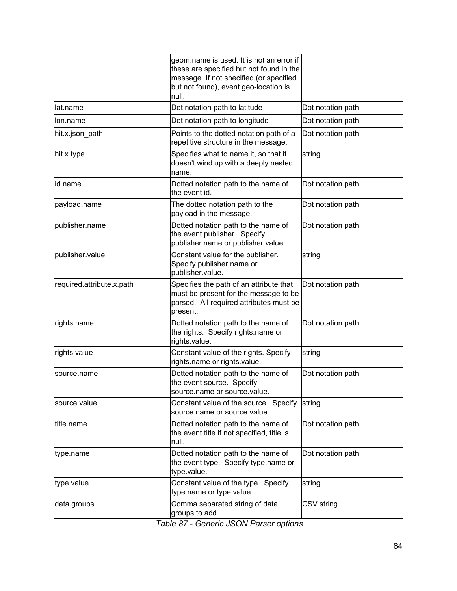|                           | geom.name is used. It is not an error if<br>these are specified but not found in the<br>message. If not specified (or specified<br>but not found), event geo-location is<br>null. |                   |
|---------------------------|-----------------------------------------------------------------------------------------------------------------------------------------------------------------------------------|-------------------|
| lat.name                  | Dot notation path to latitude                                                                                                                                                     | Dot notation path |
| lon.name                  | Dot notation path to longitude                                                                                                                                                    | Dot notation path |
| hit.x.json path           | Points to the dotted notation path of a<br>repetitive structure in the message.                                                                                                   | Dot notation path |
| hit.x.type                | Specifies what to name it, so that it<br>doesn't wind up with a deeply nested<br>name.                                                                                            | string            |
| id.name                   | Dotted notation path to the name of<br>the event id.                                                                                                                              | Dot notation path |
| payload.name              | The dotted notation path to the<br>payload in the message.                                                                                                                        | Dot notation path |
| publisher.name            | Dotted notation path to the name of<br>the event publisher. Specify<br>publisher.name or publisher.value.                                                                         | Dot notation path |
| publisher.value           | Constant value for the publisher.<br>Specify publisher.name or<br>publisher.value.                                                                                                | string            |
| required.attribute.x.path | Specifies the path of an attribute that<br>must be present for the message to be<br>parsed. All required attributes must be<br>present.                                           | Dot notation path |
| rights.name               | Dotted notation path to the name of<br>the rights. Specify rights.name or<br>rights.value.                                                                                        | Dot notation path |
| rights.value              | Constant value of the rights. Specify<br>rights.name or rights.value.                                                                                                             | string            |
| source.name               | Dotted notation path to the name of<br>the event source. Specify<br>source.name or source.value.                                                                                  | Dot notation path |
| source.value              | Constant value of the source. Specify<br>source.name or source.value.                                                                                                             | string            |
| title.name                | Dotted notation path to the name of<br>the event title if not specified, title is<br>null.                                                                                        | Dot notation path |
| type.name                 | Dotted notation path to the name of<br>the event type. Specify type name or<br>type.value.                                                                                        | Dot notation path |
| type.value                | Constant value of the type. Specify<br>type.name or type.value.                                                                                                                   | string            |
| data.groups               | Comma separated string of data<br>groups to add                                                                                                                                   | CSV string        |

*Table 87 - Generic JSON Parser options*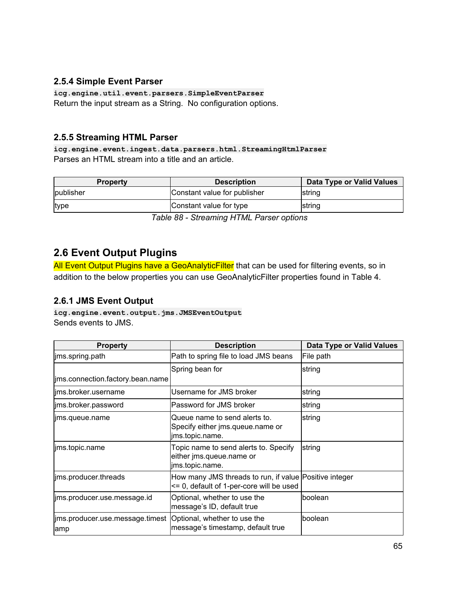### <span id="page-64-0"></span>**2.5.4 Simple Event Parser**

**icg.engine.util.event.parsers.SimpleEventParser** Return the input stream as a String. No configuration options.

### <span id="page-64-1"></span>**2.5.5 Streaming HTML Parser**

**icg.engine.event.ingest.data.parsers.html.StreamingHtmlParser** Parses an HTML stream into a title and an article.

| <b>Property</b> | <b>Description</b>           | Data Type or Valid Values |
|-----------------|------------------------------|---------------------------|
| publisher       | Constant value for publisher | <b>Istring</b>            |
| type            | Constant value for type      | string                    |

*Table 88 - Streaming HTML Parser options*

## <span id="page-64-2"></span>**2.6 Event Output Plugins**

All Event Output Plugins have a GeoAnalyticFilter that can be used for filtering events, so in addition to the below properties you can use GeoAnalyticFilter properties found in Table 4.

### <span id="page-64-3"></span>**2.6.1 JMS Event Output**

**icg.engine.event.output.jms.JMSEventOutput** Sends events to JMS.

| <b>Property</b>                                                      | <b>Description</b>                                                                                 | Data Type or Valid Values |
|----------------------------------------------------------------------|----------------------------------------------------------------------------------------------------|---------------------------|
| jms.spring.path                                                      | Path to spring file to load JMS beans                                                              | File path                 |
|                                                                      | Spring bean for                                                                                    | string                    |
| jms.connection.factory.bean.name                                     |                                                                                                    |                           |
| lims.broker.username                                                 | Username for JMS broker                                                                            | string                    |
| lims.broker.password                                                 | Password for JMS broker                                                                            | string                    |
| lims.queue.name                                                      | Queue name to send alerts to.<br>Specify either jms.queue.name or<br>jms.topic.name.               | string                    |
| jms.topic.name                                                       | Topic name to send alerts to. Specify<br>either jms.queue.name or<br>jms.topic.name.               | string                    |
| ims.producer.threads                                                 | How many JMS threads to run, if value Positive integer<br><= 0, default of 1-per-core will be used |                           |
| lims.producer.use.message.id                                         | Optional, whether to use the<br>message's ID, default true                                         | lboolean                  |
| ims.producer.use.message.timest  Optional, whether to use the<br>amp | message's timestamp, default true                                                                  | Iboolean                  |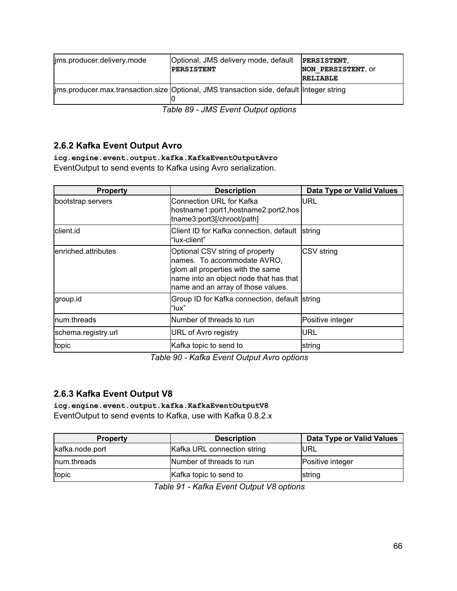| lims.producer.delivery.mode          | Optional, JMS delivery mode, default                                                      | PERSISTENT,        |
|--------------------------------------|-------------------------------------------------------------------------------------------|--------------------|
|                                      | <b>PERSISTENT</b>                                                                         | NON PERSISTENT, OF |
|                                      |                                                                                           | <b>RELIABLE</b>    |
|                                      | lims.producer.max.transaction.size Optional, JMS transaction side, default Integer string |                    |
| $Table 90 - 1110$ $Time 10:40:40:40$ |                                                                                           |                    |

*Table 89 - JMS Event Output options*

### <span id="page-65-0"></span>**2.6.2 Kafka Event Output Avro**

**icg.engine.event.output.kafka.KafkaEventOutputAvro** EventOutput to send events to Kafka using Avro serialization.

| <b>Property</b>      | <b>Description</b>                                                                                                                                                                  | <b>Data Type or Valid Values</b> |
|----------------------|-------------------------------------------------------------------------------------------------------------------------------------------------------------------------------------|----------------------------------|
| bootstrap.servers    | Connection URL for Kafka<br>hostname1:port1,hostname2:port2,hos<br>tname3:port3[/chroot/path]                                                                                       | URL                              |
| lclient.id           | Client ID for Kafka connection, default<br>"lux-client"                                                                                                                             | <b>Istring</b>                   |
| lenriched.attributes | Optional CSV string of property<br>names. To accommodate AVRO,<br>glom all properties with the same<br>name into an object node that has that<br>name and an array of those values. | CSV string                       |
| group.id             | Group ID for Kafka connection, default string<br>"lux"                                                                                                                              |                                  |
| num.threads          | Number of threads to run                                                                                                                                                            | Positive integer                 |
| schema.registry.url  | URL of Avro registry                                                                                                                                                                | URL                              |
| topic                | Kafka topic to send to                                                                                                                                                              | string                           |

*Table 90 - Kafka Event Output Avro options*

## <span id="page-65-1"></span>**2.6.3 Kafka Event Output V8**

**icg.engine.event.output.kafka.KafkaEventOutputV8** EventOutput to send events to Kafka, use with Kafka 0.8.2.x

| <b>Property</b> | <b>Description</b>          | Data Type or Valid Values |
|-----------------|-----------------------------|---------------------------|
| kafka.node.port | Kafka URL connection string | <b>IURL</b>               |
| Inum.threads    | Number of threads to run    | Positive integer          |
| topic           | Kafka topic to send to      | string                    |

*Table 91 - Kafka Event Output V8 options*